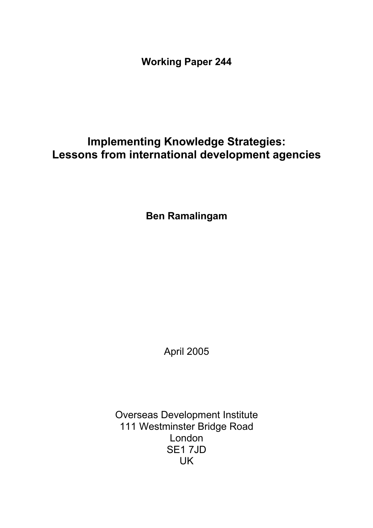**Working Paper 244** 

# **Implementing Knowledge Strategies: Lessons from international development agencies**

**Ben Ramalingam** 

April 2005

Overseas Development Institute 111 Westminster Bridge Road London SE1 7JD UK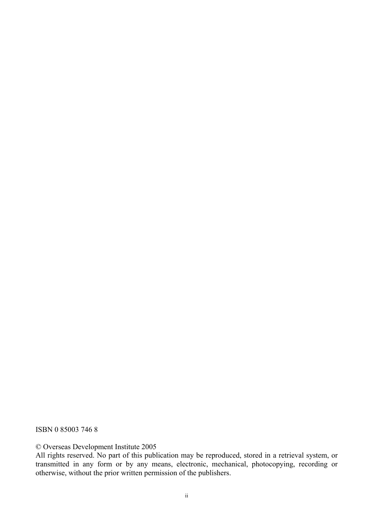ISBN 0 85003 746 8

© Overseas Development Institute 2005

All rights reserved. No part of this publication may be reproduced, stored in a retrieval system, or transmitted in any form or by any means, electronic, mechanical, photocopying, recording or otherwise, without the prior written permission of the publishers.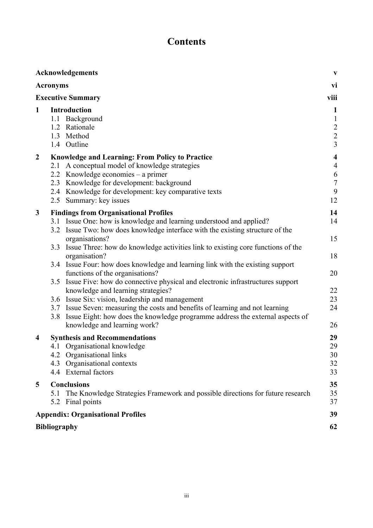# **Contents**

|                          | Acknowledgements                                                                                                                                                                                                                                                                                 | $\mathbf{V}$                                                                           |  |
|--------------------------|--------------------------------------------------------------------------------------------------------------------------------------------------------------------------------------------------------------------------------------------------------------------------------------------------|----------------------------------------------------------------------------------------|--|
|                          | <b>Acronyms</b>                                                                                                                                                                                                                                                                                  | vi                                                                                     |  |
| <b>Executive Summary</b> |                                                                                                                                                                                                                                                                                                  |                                                                                        |  |
| 1                        | <b>Introduction</b><br>Background<br>1.1<br>1.2 Rationale<br>1.3 Method<br>1.4 Outline                                                                                                                                                                                                           | $\mathbf{1}$<br>$\mathbf{1}$<br>$\begin{array}{c} 2 \\ 2 \\ 3 \end{array}$             |  |
| $\boldsymbol{2}$         | <b>Knowledge and Learning: From Policy to Practice</b><br>2.1 A conceptual model of knowledge strategies<br>2.2 Knowledge economies – a primer<br>Knowledge for development: background<br>2.3<br>2.4 Knowledge for development: key comparative texts<br>Summary: key issues<br>2.5             | $\overline{\mathbf{4}}$<br>$\overline{4}$<br>$\boldsymbol{6}$<br>$\sqrt{ }$<br>9<br>12 |  |
| $\mathbf{3}$             | <b>Findings from Organisational Profiles</b><br>3.1 Issue One: how is knowledge and learning understood and applied?<br>3.2 Issue Two: how does knowledge interface with the existing structure of the                                                                                           | 14<br>14                                                                               |  |
|                          | organisations?<br>3.3<br>Issue Three: how do knowledge activities link to existing core functions of the<br>organisation?                                                                                                                                                                        | 15<br>18                                                                               |  |
|                          | 3.4 Issue Four: how does knowledge and learning link with the existing support<br>functions of the organisations?<br>Issue Five: how do connective physical and electronic infrastructures support<br>3.5                                                                                        | 20                                                                                     |  |
|                          | knowledge and learning strategies?<br>3.6 Issue Six: vision, leadership and management<br>3.7 Issue Seven: measuring the costs and benefits of learning and not learning<br>Issue Eight: how does the knowledge programme address the external aspects of<br>3.8<br>knowledge and learning work? | 22<br>23<br>24<br>26                                                                   |  |
| 4                        | <b>Synthesis and Recommendations</b><br>Organisational knowledge<br>4.1<br>Organisational links<br>4.2<br>Organisational contexts<br>4.3<br><b>External factors</b><br>4.4                                                                                                                       | 29<br>29<br>30<br>32<br>33                                                             |  |
| 5                        | <b>Conclusions</b><br>The Knowledge Strategies Framework and possible directions for future research<br>5.1<br>5.2 Final points                                                                                                                                                                  | 35<br>35<br>37                                                                         |  |
|                          | <b>Appendix: Organisational Profiles</b>                                                                                                                                                                                                                                                         |                                                                                        |  |
|                          | <b>Bibliography</b>                                                                                                                                                                                                                                                                              | 62                                                                                     |  |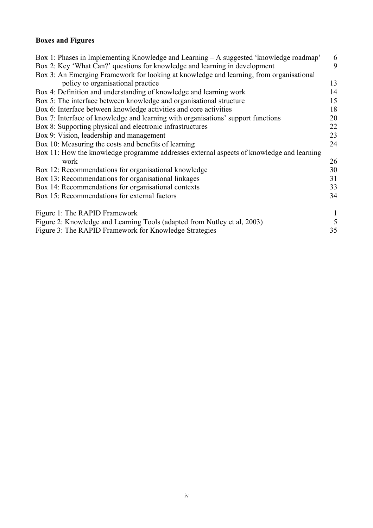# **Boxes and Figures**

| Box 1: Phases in Implementing Knowledge and Learning – A suggested 'knowledge roadmap'   | 6  |
|------------------------------------------------------------------------------------------|----|
| Box 2: Key 'What Can?' questions for knowledge and learning in development               | 9  |
| Box 3: An Emerging Framework for looking at knowledge and learning, from organisational  |    |
| policy to organisational practice                                                        | 13 |
| Box 4: Definition and understanding of knowledge and learning work                       | 14 |
| Box 5: The interface between knowledge and organisational structure                      | 15 |
| Box 6: Interface between knowledge activities and core activities                        | 18 |
| Box 7: Interface of knowledge and learning with organisations' support functions         | 20 |
| Box 8: Supporting physical and electronic infrastructures                                | 22 |
| Box 9: Vision, leadership and management                                                 | 23 |
| Box 10: Measuring the costs and benefits of learning                                     | 24 |
| Box 11: How the knowledge programme addresses external aspects of knowledge and learning |    |
| work                                                                                     | 26 |
| Box 12: Recommendations for organisational knowledge                                     | 30 |
| Box 13: Recommendations for organisational linkages                                      | 31 |
| Box 14: Recommendations for organisational contexts                                      | 33 |
| Box 15: Recommendations for external factors                                             | 34 |
|                                                                                          |    |
| Figure 1: The RAPID Framework                                                            |    |
| Figure 2: Knowledge and Learning Tools (adapted from Nutley et al, 2003)                 | 5  |
| Figure 3: The RAPID Framework for Knowledge Strategies                                   | 35 |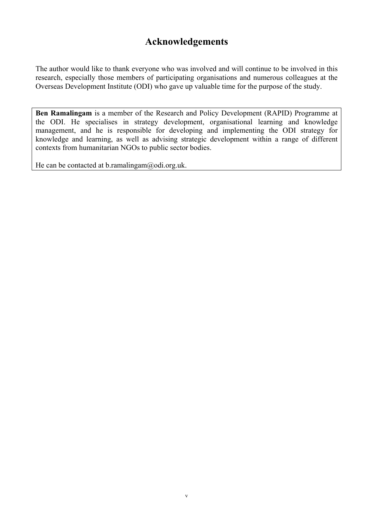# **Acknowledgements**

The author would like to thank everyone who was involved and will continue to be involved in this research, especially those members of participating organisations and numerous colleagues at the Overseas Development Institute (ODI) who gave up valuable time for the purpose of the study.

**Ben Ramalingam** is a member of the Research and Policy Development (RAPID) Programme at the ODI. He specialises in strategy development, organisational learning and knowledge management, and he is responsible for developing and implementing the ODI strategy for knowledge and learning, as well as advising strategic development within a range of different contexts from humanitarian NGOs to public sector bodies.

He can be contacted at b.ramalingam@odi.org.uk.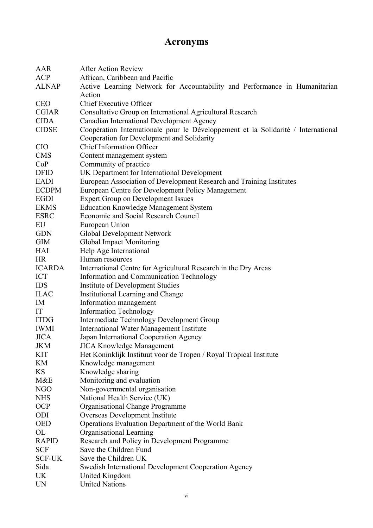# **Acronyms**

| AAR           | <b>After Action Review</b>                                                        |  |  |  |  |
|---------------|-----------------------------------------------------------------------------------|--|--|--|--|
| <b>ACP</b>    | African, Caribbean and Pacific                                                    |  |  |  |  |
| <b>ALNAP</b>  | Active Learning Network for Accountability and Performance in Humanitarian        |  |  |  |  |
|               | Action                                                                            |  |  |  |  |
| <b>CEO</b>    | Chief Executive Officer                                                           |  |  |  |  |
| <b>CGIAR</b>  | Consultative Group on International Agricultural Research                         |  |  |  |  |
| <b>CIDA</b>   | Canadian International Development Agency                                         |  |  |  |  |
| <b>CIDSE</b>  | Coopération Internationale pour le Développement et la Solidarité / International |  |  |  |  |
|               | Cooperation for Development and Solidarity                                        |  |  |  |  |
| <b>CIO</b>    | <b>Chief Information Officer</b>                                                  |  |  |  |  |
| <b>CMS</b>    | Content management system                                                         |  |  |  |  |
| CoP           | Community of practice                                                             |  |  |  |  |
| <b>DFID</b>   | UK Department for International Development                                       |  |  |  |  |
| <b>EADI</b>   | European Association of Development Research and Training Institutes              |  |  |  |  |
| <b>ECDPM</b>  | European Centre for Development Policy Management                                 |  |  |  |  |
| <b>EGDI</b>   | <b>Expert Group on Development Issues</b>                                         |  |  |  |  |
| <b>EKMS</b>   | <b>Education Knowledge Management System</b>                                      |  |  |  |  |
| <b>ESRC</b>   | Economic and Social Research Council                                              |  |  |  |  |
| EU            | European Union                                                                    |  |  |  |  |
| <b>GDN</b>    | Global Development Network                                                        |  |  |  |  |
| <b>GIM</b>    | Global Impact Monitoring                                                          |  |  |  |  |
| <b>HAI</b>    | Help Age International                                                            |  |  |  |  |
| <b>HR</b>     | Human resources                                                                   |  |  |  |  |
| <b>ICARDA</b> | International Centre for Agricultural Research in the Dry Areas                   |  |  |  |  |
| <b>ICT</b>    | Information and Communication Technology                                          |  |  |  |  |
| <b>IDS</b>    | Institute of Development Studies                                                  |  |  |  |  |
| <b>ILAC</b>   | Institutional Learning and Change                                                 |  |  |  |  |
| IM            | Information management                                                            |  |  |  |  |
| IT            | <b>Information Technology</b>                                                     |  |  |  |  |
| <b>ITDG</b>   | Intermediate Technology Development Group                                         |  |  |  |  |
| <b>IWMI</b>   | <b>International Water Management Institute</b>                                   |  |  |  |  |
| <b>JICA</b>   | Japan International Cooperation Agency                                            |  |  |  |  |
| JKM           | <b>JICA Knowledge Management</b>                                                  |  |  |  |  |
| <b>KIT</b>    | Het Koninklijk Instituut voor de Tropen / Royal Tropical Institute                |  |  |  |  |
| KM            | Knowledge management                                                              |  |  |  |  |
| <b>KS</b>     | Knowledge sharing                                                                 |  |  |  |  |
| M&E           | Monitoring and evaluation                                                         |  |  |  |  |
| NGO           | Non-governmental organisation                                                     |  |  |  |  |
| <b>NHS</b>    | National Health Service (UK)                                                      |  |  |  |  |
| <b>OCP</b>    | Organisational Change Programme                                                   |  |  |  |  |
| ODI           | Overseas Development Institute                                                    |  |  |  |  |
| <b>OED</b>    | Operations Evaluation Department of the World Bank                                |  |  |  |  |
| OL            | Organisational Learning                                                           |  |  |  |  |
| <b>RAPID</b>  | Research and Policy in Development Programme                                      |  |  |  |  |
| <b>SCF</b>    | Save the Children Fund                                                            |  |  |  |  |
| <b>SCF-UK</b> | Save the Children UK                                                              |  |  |  |  |
| Sida          | Swedish International Development Cooperation Agency                              |  |  |  |  |
| <b>UK</b>     | United Kingdom                                                                    |  |  |  |  |
| <b>UN</b>     | <b>United Nations</b>                                                             |  |  |  |  |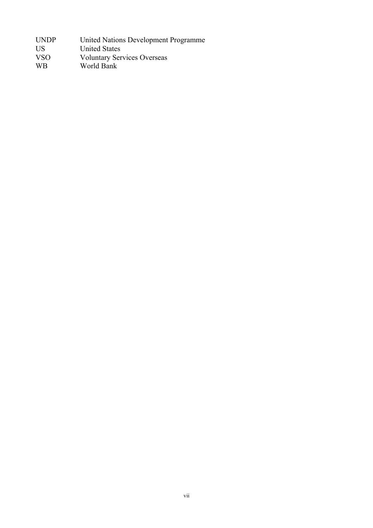| United Nations Development Programme |
|--------------------------------------|
| <b>United States</b>                 |
| <b>Voluntary Services Overseas</b>   |
| World Bank                           |
|                                      |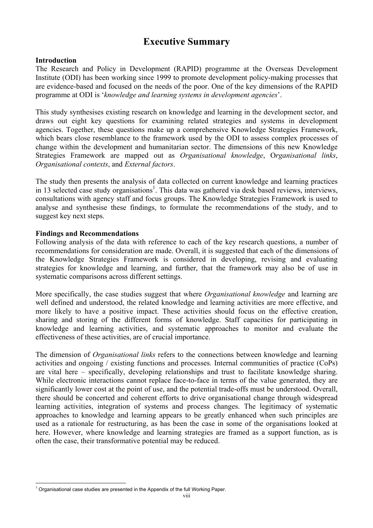# **Executive Summary**

#### **Introduction**

The Research and Policy in Development (RAPID) programme at the Overseas Development Institute (ODI) has been working since 1999 to promote development policy-making processes that are evidence-based and focused on the needs of the poor. One of the key dimensions of the RAPID programme at ODI is '*knowledge and learning systems in development agencies*'.

This study synthesises existing research on knowledge and learning in the development sector, and draws out eight key questions for examining related strategies and systems in development agencies. Together, these questions make up a comprehensive Knowledge Strategies Framework, which bears close resemblance to the framework used by the ODI to assess complex processes of change within the development and humanitarian sector. The dimensions of this new Knowledge Strategies Framework are mapped out as *Organisational knowledge*, O*rganisational links*, *Organisational contexts*, and *External factors*.

The study then presents the analysis of data collected on current knowledge and learning practices in 13 selected case study organisations<sup>1</sup>. This data was gathered via desk based reviews, interviews, consultations with agency staff and focus groups. The Knowledge Strategies Framework is used to analyse and synthesise these findings, to formulate the recommendations of the study, and to suggest key next steps.

#### **Findings and Recommendations**

Following analysis of the data with reference to each of the key research questions, a number of recommendations for consideration are made. Overall, it is suggested that each of the dimensions of the Knowledge Strategies Framework is considered in developing, revising and evaluating strategies for knowledge and learning, and further, that the framework may also be of use in systematic comparisons across different settings.

More specifically, the case studies suggest that where *Organisational knowledge* and learning are well defined and understood, the related knowledge and learning activities are more effective, and more likely to have a positive impact. These activities should focus on the effective creation, sharing and storing of the different forms of knowledge. Staff capacities for participating in knowledge and learning activities, and systematic approaches to monitor and evaluate the effectiveness of these activities, are of crucial importance.

The dimension of *Organisational links* refers to the connections between knowledge and learning activities and ongoing / existing functions and processes. Internal communities of practice (CoPs) are vital here – specifically, developing relationships and trust to facilitate knowledge sharing. While electronic interactions cannot replace face-to-face in terms of the value generated, they are significantly lower cost at the point of use, and the potential trade-offs must be understood. Overall, there should be concerted and coherent efforts to drive organisational change through widespread learning activities, integration of systems and process changes. The legitimacy of systematic approaches to knowledge and learning appears to be greatly enhanced when such principles are used as a rationale for restructuring, as has been the case in some of the organisations looked at here. However, where knowledge and learning strategies are framed as a support function, as is often the case, their transformative potential may be reduced.

 $\overline{a}$  $1$  Organisational case studies are presented in the Appendix of the full Working Paper.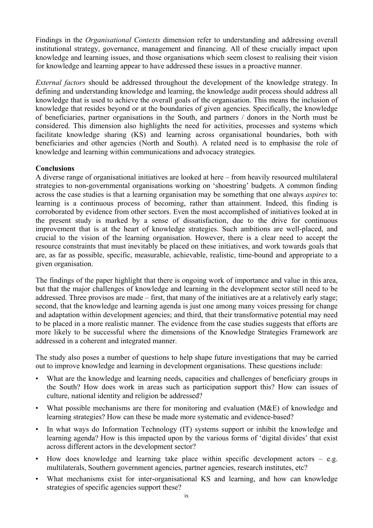Findings in the *Organisational Contexts* dimension refer to understanding and addressing overall institutional strategy, governance, management and financing. All of these crucially impact upon knowledge and learning issues, and those organisations which seem closest to realising their vision for knowledge and learning appear to have addressed these issues in a proactive manner.

*External factors* should be addressed throughout the development of the knowledge strategy. In defining and understanding knowledge and learning, the knowledge audit process should address all knowledge that is used to achieve the overall goals of the organisation. This means the inclusion of knowledge that resides beyond or at the boundaries of given agencies. Specifically, the knowledge of beneficiaries, partner organisations in the South, and partners / donors in the North must be considered. This dimension also highlights the need for activities, processes and systems which facilitate knowledge sharing (KS) and learning across organisational boundaries, both with beneficiaries and other agencies (North and South). A related need is to emphasise the role of knowledge and learning within communications and advocacy strategies.

### **Conclusions**

A diverse range of organisational initiatives are looked at here – from heavily resourced multilateral strategies to non-governmental organisations working on 'shoestring' budgets. A common finding across the case studies is that a learning organisation may be something that one always *aspires* to: learning is a continuous process of becoming, rather than attainment. Indeed, this finding is corroborated by evidence from other sectors. Even the most accomplished of initiatives looked at in the present study is marked by a sense of dissatisfaction, due to the drive for continuous improvement that is at the heart of knowledge strategies. Such ambitions are well-placed, and crucial to the vision of the learning organisation. However, there is a clear need to accept the resource constraints that must inevitably be placed on these initiatives, and work towards goals that are, as far as possible, specific, measurable, achievable, realistic, time-bound and appropriate to a given organisation.

The findings of the paper highlight that there is ongoing work of importance and value in this area, but that the major challenges of knowledge and learning in the development sector still need to be addressed. Three provisos are made – first, that many of the initiatives are at a relatively early stage; second, that the knowledge and learning agenda is just one among many voices pressing for change and adaptation within development agencies; and third, that their transformative potential may need to be placed in a more realistic manner. The evidence from the case studies suggests that efforts are more likely to be successful where the dimensions of the Knowledge Strategies Framework are addressed in a coherent and integrated manner.

The study also poses a number of questions to help shape future investigations that may be carried out to improve knowledge and learning in development organisations. These questions include:

- What are the knowledge and learning needs, capacities and challenges of beneficiary groups in the South? How does work in areas such as participation support this? How can issues of culture, national identity and religion be addressed?
- What possible mechanisms are there for monitoring and evaluation  $(MAE)$  of knowledge and learning strategies? How can these be made more systematic and evidence-based?
- In what ways do Information Technology (IT) systems support or inhibit the knowledge and learning agenda? How is this impacted upon by the various forms of 'digital divides' that exist across different actors in the development sector?
- How does knowledge and learning take place within specific development actors  $-$  e.g. multilaterals, Southern government agencies, partner agencies, research institutes, etc?
- What mechanisms exist for inter-organisational KS and learning, and how can knowledge strategies of specific agencies support these?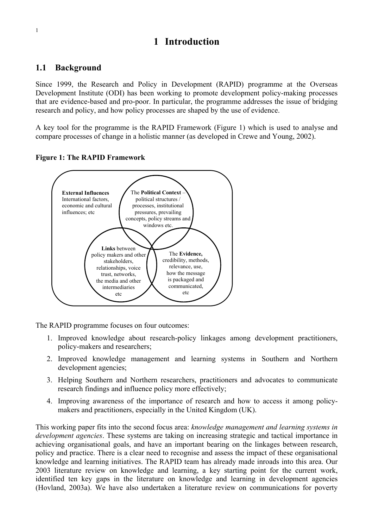# **1 Introduction**

## **1.1 Background**

Since 1999, the Research and Policy in Development (RAPID) programme at the Overseas Development Institute (ODI) has been working to promote development policy-making processes that are evidence-based and pro-poor. In particular, the programme addresses the issue of bridging research and policy, and how policy processes are shaped by the use of evidence.

A key tool for the programme is the RAPID Framework (Figure 1) which is used to analyse and compare processes of change in a holistic manner (as developed in Crewe and Young, 2002).





The RAPID programme focuses on four outcomes:

- 1. Improved knowledge about research-policy linkages among development practitioners, policy-makers and researchers;
- 2. Improved knowledge management and learning systems in Southern and Northern development agencies;
- 3. Helping Southern and Northern researchers, practitioners and advocates to communicate research findings and influence policy more effectively;
- 4. Improving awareness of the importance of research and how to access it among policymakers and practitioners, especially in the United Kingdom (UK).

This working paper fits into the second focus area: *knowledge management and learning systems in development agencies*. These systems are taking on increasing strategic and tactical importance in achieving organisational goals, and have an important bearing on the linkages between research, policy and practice. There is a clear need to recognise and assess the impact of these organisational knowledge and learning initiatives. The RAPID team has already made inroads into this area. Our 2003 literature review on knowledge and learning, a key starting point for the current work, identified ten key gaps in the literature on knowledge and learning in development agencies (Hovland, 2003a). We have also undertaken a literature review on communications for poverty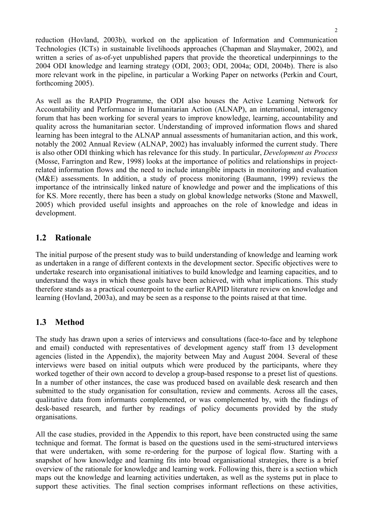reduction (Hovland, 2003b), worked on the application of Information and Communication Technologies (ICTs) in sustainable livelihoods approaches (Chapman and Slaymaker, 2002), and written a series of as-of-yet unpublished papers that provide the theoretical underpinnings to the 2004 ODI knowledge and learning strategy (ODI, 2003; ODI, 2004a; ODI, 2004b). There is also more relevant work in the pipeline, in particular a Working Paper on networks (Perkin and Court, forthcoming 2005).

As well as the RAPID Programme, the ODI also houses the Active Learning Network for Accountability and Performance in Humanitarian Action (ALNAP), an international, interagency forum that has been working for several years to improve knowledge, learning, accountability and quality across the humanitarian sector. Understanding of improved information flows and shared learning has been integral to the ALNAP annual assessments of humanitarian action, and this work, notably the 2002 Annual Review (ALNAP, 2002) has invaluably informed the current study. There is also other ODI thinking which has relevance for this study. In particular, *Development as Process* (Mosse, Farrington and Rew, 1998) looks at the importance of politics and relationships in projectrelated information flows and the need to include intangible impacts in monitoring and evaluation (M&E) assessments. In addition, a study of process monitoring (Baumann, 1999) reviews the importance of the intrinsically linked nature of knowledge and power and the implications of this for KS. More recently, there has been a study on global knowledge networks (Stone and Maxwell, 2005) which provided useful insights and approaches on the role of knowledge and ideas in development.

### **1.2 Rationale**

The initial purpose of the present study was to build understanding of knowledge and learning work as undertaken in a range of different contexts in the development sector. Specific objectives were to undertake research into organisational initiatives to build knowledge and learning capacities, and to understand the ways in which these goals have been achieved, with what implications. This study therefore stands as a practical counterpoint to the earlier RAPID literature review on knowledge and learning (Hovland, 2003a), and may be seen as a response to the points raised at that time.

## **1.3 Method**

The study has drawn upon a series of interviews and consultations (face-to-face and by telephone and email) conducted with representatives of development agency staff from 13 development agencies (listed in the Appendix), the majority between May and August 2004. Several of these interviews were based on initial outputs which were produced by the participants, where they worked together of their own accord to develop a group-based response to a preset list of questions. In a number of other instances, the case was produced based on available desk research and then submitted to the study organisation for consultation, review and comments. Across all the cases, qualitative data from informants complemented, or was complemented by, with the findings of desk-based research, and further by readings of policy documents provided by the study organisations.

All the case studies, provided in the Appendix to this report, have been constructed using the same technique and format. The format is based on the questions used in the semi-structured interviews that were undertaken, with some re-ordering for the purpose of logical flow. Starting with a snapshot of how knowledge and learning fits into broad organisational strategies, there is a brief overview of the rationale for knowledge and learning work. Following this, there is a section which maps out the knowledge and learning activities undertaken, as well as the systems put in place to support these activities. The final section comprises informant reflections on these activities,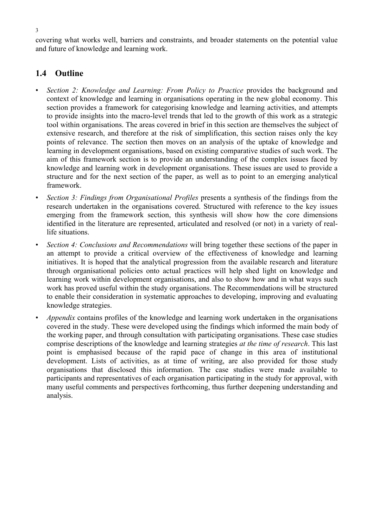covering what works well, barriers and constraints, and broader statements on the potential value and future of knowledge and learning work.

## **1.4 Outline**

- *Section 2: Knowledge and Learning: From Policy to Practice* provides the background and context of knowledge and learning in organisations operating in the new global economy. This section provides a framework for categorising knowledge and learning activities, and attempts to provide insights into the macro-level trends that led to the growth of this work as a strategic tool within organisations. The areas covered in brief in this section are themselves the subject of extensive research, and therefore at the risk of simplification, this section raises only the key points of relevance. The section then moves on an analysis of the uptake of knowledge and learning in development organisations, based on existing comparative studies of such work. The aim of this framework section is to provide an understanding of the complex issues faced by knowledge and learning work in development organisations. These issues are used to provide a structure and for the next section of the paper, as well as to point to an emerging analytical framework.
- *Section 3: Findings from Organisational Profiles* presents a synthesis of the findings from the research undertaken in the organisations covered. Structured with reference to the key issues emerging from the framework section, this synthesis will show how the core dimensions identified in the literature are represented, articulated and resolved (or not) in a variety of reallife situations.
- *Section 4: Conclusions and Recommendations* will bring together these sections of the paper in an attempt to provide a critical overview of the effectiveness of knowledge and learning initiatives. It is hoped that the analytical progression from the available research and literature through organisational policies onto actual practices will help shed light on knowledge and learning work within development organisations, and also to show how and in what ways such work has proved useful within the study organisations. The Recommendations will be structured to enable their consideration in systematic approaches to developing, improving and evaluating knowledge strategies.
- *Appendix* contains profiles of the knowledge and learning work undertaken in the organisations covered in the study. These were developed using the findings which informed the main body of the working paper, and through consultation with participating organisations. These case studies comprise descriptions of the knowledge and learning strategies *at the time of research*. This last point is emphasised because of the rapid pace of change in this area of institutional development. Lists of activities, as at time of writing, are also provided for those study organisations that disclosed this information. The case studies were made available to participants and representatives of each organisation participating in the study for approval, with many useful comments and perspectives forthcoming, thus further deepening understanding and analysis.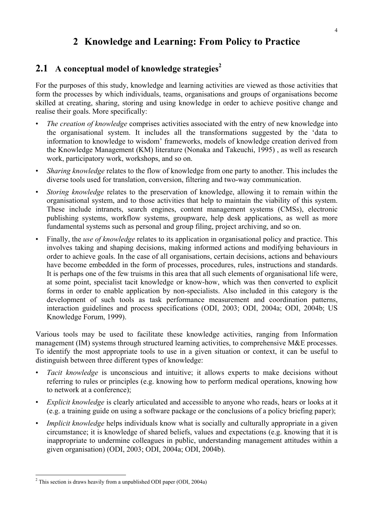# **2 Knowledge and Learning: From Policy to Practice**

# **2.1 A conceptual model of knowledge strategies<sup>2</sup>**

For the purposes of this study, knowledge and learning activities are viewed as those activities that form the processes by which individuals, teams, organisations and groups of organisations become skilled at creating, sharing, storing and using knowledge in order to achieve positive change and realise their goals. More specifically:

- *The creation of knowledge* comprises activities associated with the entry of new knowledge into the organisational system. It includes all the transformations suggested by the 'data to information to knowledge to wisdom' frameworks, models of knowledge creation derived from the Knowledge Management (KM) literature (Nonaka and Takeuchi, 1995) , as well as research work, participatory work, workshops, and so on.
- *Sharing knowledge* relates to the flow of knowledge from one party to another. This includes the diverse tools used for translation, conversion, filtering and two-way communication.
- *Storing knowledge* relates to the preservation of knowledge, allowing it to remain within the organisational system, and to those activities that help to maintain the viability of this system. These include intranets, search engines, content management systems (CMSs), electronic publishing systems, workflow systems, groupware, help desk applications, as well as more fundamental systems such as personal and group filing, project archiving, and so on.
- Finally, the *use of knowledge* relates to its application in organisational policy and practice. This involves taking and shaping decisions, making informed actions and modifying behaviours in order to achieve goals. In the case of all organisations, certain decisions, actions and behaviours have become embedded in the form of processes, procedures, rules, instructions and standards. It is perhaps one of the few truisms in this area that all such elements of organisational life were, at some point, specialist tacit knowledge or know-how, which was then converted to explicit forms in order to enable application by non-specialists. Also included in this category is the development of such tools as task performance measurement and coordination patterns, interaction guidelines and process specifications (ODI, 2003; ODI, 2004a; ODI, 2004b; US Knowledge Forum, 1999).

Various tools may be used to facilitate these knowledge activities, ranging from Information management (IM) systems through structured learning activities, to comprehensive M&E processes. To identify the most appropriate tools to use in a given situation or context, it can be useful to distinguish between three different types of knowledge:

- *Tacit knowledge* is unconscious and intuitive; it allows experts to make decisions without referring to rules or principles (e.g. knowing how to perform medical operations, knowing how to network at a conference);
- *Explicit knowledge* is clearly articulated and accessible to anyone who reads, hears or looks at it (e.g. a training guide on using a software package or the conclusions of a policy briefing paper);
- *Implicit knowledge* helps individuals know what is socially and culturally appropriate in a given circumstance; it is knowledge of shared beliefs, values and expectations (e.g. knowing that it is inappropriate to undermine colleagues in public, understanding management attitudes within a given organisation) (ODI, 2003; ODI, 2004a; ODI, 2004b).

<sup>&</sup>lt;sup>2</sup> This section is draws heavily from a unpublished ODI paper (ODI, 2004a)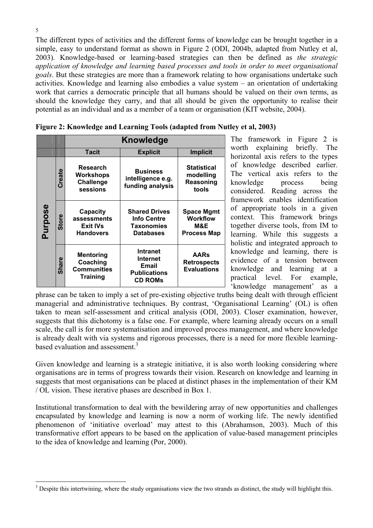The different types of activities and the different forms of knowledge can be brought together in a simple, easy to understand format as shown in Figure 2 (ODI, 2004b, adapted from Nutley et al, 2003). Knowledge-based or learning-based strategies can then be defined as *the strategic application of knowledge and learning based processes and tools in order to meet organisational goals*. But these strategies are more than a framework relating to how organisations undertake such activities. Knowledge and learning also embodies a value system – an orientation of undertaking work that carries a democratic principle that all humans should be valued on their own terms, as should the knowledge they carry, and that all should be given the opportunity to realise their potential as an individual and as a member of a team or organisation (KIT website, 2004).

|         |              | <b>Knowledge</b>                                                      |                                                                                      |                                                            |  |  |
|---------|--------------|-----------------------------------------------------------------------|--------------------------------------------------------------------------------------|------------------------------------------------------------|--|--|
|         |              | <b>Tacit</b>                                                          | <b>Implicit</b>                                                                      |                                                            |  |  |
|         | Create       | Research<br><b>Workshops</b><br><b>Challenge</b><br>sessions          | <b>Business</b><br>intelligence e.g.<br>funding analysis                             | <b>Statistical</b><br>modelling<br>Reasoning<br>tools      |  |  |
| Purpose | <b>Store</b> | Capacity<br>assessments<br><b>Exit IVs</b><br><b>Handovers</b>        | <b>Shared Drives</b><br><b>Info Centre</b><br><b>Taxonomies</b><br><b>Databases</b>  | <b>Space Mgmt</b><br><b>Workflow</b><br>M&E<br>Process Map |  |  |
|         | <b>Share</b> | <b>Mentoring</b><br>Coaching<br><b>Communities</b><br><b>Training</b> | <b>Intranet</b><br>Internet<br><b>Email</b><br><b>Publications</b><br><b>CD ROMs</b> | <b>AARs</b><br><b>Retrospects</b><br><b>Evaluations</b>    |  |  |

| Figure 2: Knowledge and Learning Tools (adapted from Nutley et al, 2003) |  |  |
|--------------------------------------------------------------------------|--|--|

The framework in Figure 2 is worth explaining briefly. The horizontal axis refers to the types of knowledge described earlier. The vertical axis refers to the knowledge process being considered. Reading across the framework enables identification of appropriate tools in a given context. This framework brings together diverse tools, from IM to learning. While this suggests a holistic and integrated approach to knowledge and learning, there is evidence of a tension between knowledge and learning at a practical level. For example, 'knowledge management' as a

phrase can be taken to imply a set of pre-existing objective truths being dealt with through efficient managerial and administrative techniques. By contrast, 'Organisational Learning' (OL) is often taken to mean self-assessment and critical analysis (ODI, 2003). Closer examination, however, suggests that this dichotomy is a false one. For example, where learning already occurs on a small scale, the call is for more systematisation and improved process management, and where knowledge is already dealt with via systems and rigorous processes, there is a need for more flexible learningbased evaluation and assessment.<sup>3</sup>

Given knowledge and learning is a strategic initiative, it is also worth looking considering where organisations are in terms of progress towards their vision. Research on knowledge and learning in suggests that most organisations can be placed at distinct phases in the implementation of their KM / OL vision. These iterative phases are described in Box 1.

Institutional transformation to deal with the bewildering array of new opportunities and challenges encapsulated by knowledge and learning is now a norm of working life. The newly identified phenomenon of 'initiative overload' may attest to this (Abrahamson, 2003). Much of this transformative effort appears to be based on the application of value-based management principles to the idea of knowledge and learning (Por, 2000).

 $\overline{a}$ 

 $3$  Despite this intertwining, where the study organisations view the two strands as distinct, the study will highlight this.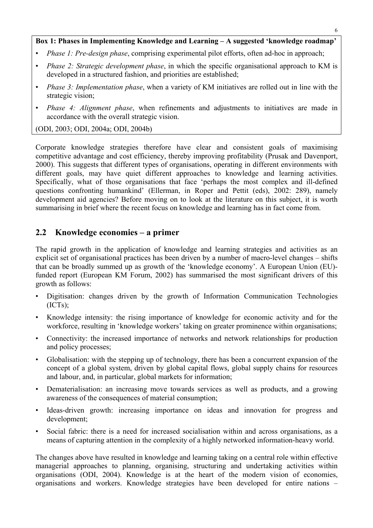#### **Box 1: Phases in Implementing Knowledge and Learning – A suggested 'knowledge roadmap'**

- *Phase 1: Pre-design phase*, comprising experimental pilot efforts, often ad-hoc in approach;
- *Phase 2: Strategic development phase*, in which the specific organisational approach to KM is developed in a structured fashion, and priorities are established;
- *Phase 3: Implementation phase*, when a variety of KM initiatives are rolled out in line with the strategic vision;
- *Phase 4: Alignment phase*, when refinements and adjustments to initiatives are made in accordance with the overall strategic vision.

(ODI, 2003; ODI, 2004a; ODI, 2004b)

Corporate knowledge strategies therefore have clear and consistent goals of maximising competitive advantage and cost efficiency, thereby improving profitability (Prusak and Davenport, 2000). This suggests that different types of organisations, operating in different environments with different goals, may have quiet different approaches to knowledge and learning activities. Specifically, what of those organisations that face 'perhaps the most complex and ill-defined questions confronting humankind' (Ellerman, in Roper and Pettit (eds), 2002: 289), namely development aid agencies? Before moving on to look at the literature on this subject, it is worth summarising in brief where the recent focus on knowledge and learning has in fact come from.

### **2.2 Knowledge economies – a primer**

The rapid growth in the application of knowledge and learning strategies and activities as an explicit set of organisational practices has been driven by a number of macro-level changes – shifts that can be broadly summed up as growth of the 'knowledge economy'. A European Union (EU) funded report (European KM Forum, 2002) has summarised the most significant drivers of this growth as follows:

- Digitisation: changes driven by the growth of Information Communication Technologies (ICTs);
- Knowledge intensity: the rising importance of knowledge for economic activity and for the workforce, resulting in 'knowledge workers' taking on greater prominence within organisations;
- Connectivity: the increased importance of networks and network relationships for production and policy processes;
- Globalisation: with the stepping up of technology, there has been a concurrent expansion of the concept of a global system, driven by global capital flows, global supply chains for resources and labour, and, in particular, global markets for information;
- Dematerialisation: an increasing move towards services as well as products, and a growing awareness of the consequences of material consumption;
- Ideas-driven growth: increasing importance on ideas and innovation for progress and development;
- Social fabric: there is a need for increased socialisation within and across organisations, as a means of capturing attention in the complexity of a highly networked information-heavy world.

The changes above have resulted in knowledge and learning taking on a central role within effective managerial approaches to planning, organising, structuring and undertaking activities within organisations (ODI, 2004). Knowledge is at the heart of the modern vision of economies, organisations and workers. Knowledge strategies have been developed for entire nations –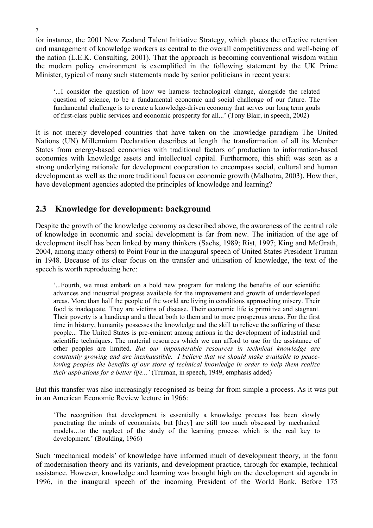for instance, the 2001 New Zealand Talent Initiative Strategy, which places the effective retention and management of knowledge workers as central to the overall competitiveness and well-being of the nation (L.E.K. Consulting, 2001). That the approach is becoming conventional wisdom within the modern policy environment is exemplified in the following statement by the UK Prime Minister, typical of many such statements made by senior politicians in recent years:

'...I consider the question of how we harness technological change, alongside the related question of science, to be a fundamental economic and social challenge of our future. The fundamental challenge is to create a knowledge-driven economy that serves our long term goals of first-class public services and economic prosperity for all...' (Tony Blair, in speech, 2002)

It is not merely developed countries that have taken on the knowledge paradigm The United Nations (UN) Millennium Declaration describes at length the transformation of all its Member States from energy-based economies with traditional factors of production to information-based economies with knowledge assets and intellectual capital. Furthermore, this shift was seen as a strong underlying rationale for development cooperation to encompass social, cultural and human development as well as the more traditional focus on economic growth (Malhotra, 2003). How then, have development agencies adopted the principles of knowledge and learning?

# **2.3 Knowledge for development: background**

Despite the growth of the knowledge economy as described above, the awareness of the central role of knowledge in economic and social development is far from new. The initiation of the age of development itself has been linked by many thinkers (Sachs, 1989; Rist, 1997; King and McGrath, 2004, among many others) to Point Four in the inaugural speech of United States President Truman in 1948. Because of its clear focus on the transfer and utilisation of knowledge, the text of the speech is worth reproducing here:

'...Fourth, we must embark on a bold new program for making the benefits of our scientific advances and industrial progress available for the improvement and growth of underdeveloped areas. More than half the people of the world are living in conditions approaching misery. Their food is inadequate. They are victims of disease. Their economic life is primitive and stagnant. Their poverty is a handicap and a threat both to them and to more prosperous areas. For the first time in history, humanity possesses the knowledge and the skill to relieve the suffering of these people... The United States is pre-eminent among nations in the development of industrial and scientific techniques. The material resources which we can afford to use for the assistance of other peoples are limited. *But our imponderable resources in technical knowledge are constantly growing and are inexhaustible. I believe that we should make available to peaceloving peoples the benefits of our store of technical knowledge in order to help them realize their aspirations for a better life...'* (Truman, in speech, 1949, emphasis added)

But this transfer was also increasingly recognised as being far from simple a process. As it was put in an American Economic Review lecture in 1966:

'The recognition that development is essentially a knowledge process has been slowly penetrating the minds of economists, but [they] are still too much obsessed by mechanical models…to the neglect of the study of the learning process which is the real key to development.' (Boulding, 1966)

Such 'mechanical models' of knowledge have informed much of development theory, in the form of modernisation theory and its variants, and development practice, through for example, technical assistance. However, knowledge and learning was brought high on the development aid agenda in 1996, in the inaugural speech of the incoming President of the World Bank. Before 175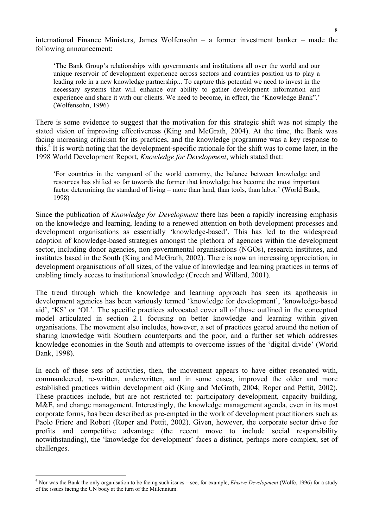international Finance Ministers, James Wolfensohn – a former investment banker – made the following announcement:

'The Bank Group's relationships with governments and institutions all over the world and our unique reservoir of development experience across sectors and countries position us to play a leading role in a new knowledge partnership... To capture this potential we need to invest in the necessary systems that will enhance our ability to gather development information and experience and share it with our clients. We need to become, in effect, the "Knowledge Bank".' (Wolfensohn, 1996)

There is some evidence to suggest that the motivation for this strategic shift was not simply the stated vision of improving effectiveness (King and McGrath, 2004). At the time, the Bank was facing increasing criticism for its practices, and the knowledge programme was a key response to this.<sup>4</sup> It is worth noting that the development-specific rationale for the shift was to come later, in the 1998 World Development Report, *Knowledge for Development*, which stated that:

'For countries in the vanguard of the world economy, the balance between knowledge and resources has shifted so far towards the former that knowledge has become the most important factor determining the standard of living – more than land, than tools, than labor.' (World Bank, 1998)

Since the publication of *Knowledge for Development* there has been a rapidly increasing emphasis on the knowledge and learning, leading to a renewed attention on both development processes and development organisations as essentially 'knowledge-based'. This has led to the widespread adoption of knowledge-based strategies amongst the plethora of agencies within the development sector, including donor agencies, non-governmental organisations (NGOs), research institutes, and institutes based in the South (King and McGrath, 2002). There is now an increasing appreciation, in development organisations of all sizes, of the value of knowledge and learning practices in terms of enabling timely access to institutional knowledge (Creech and Willard, 2001).

The trend through which the knowledge and learning approach has seen its apotheosis in development agencies has been variously termed 'knowledge for development', 'knowledge-based aid', 'KS' or 'OL'. The specific practices advocated cover all of those outlined in the conceptual model articulated in section 2.1 focusing on better knowledge and learning within given organisations. The movement also includes, however, a set of practices geared around the notion of sharing knowledge with Southern counterparts and the poor, and a further set which addresses knowledge economies in the South and attempts to overcome issues of the 'digital divide' (World Bank, 1998).

In each of these sets of activities, then, the movement appears to have either resonated with, commandeered, re-written, underwritten, and in some cases, improved the older and more established practices within development aid (King and McGrath, 2004; Roper and Pettit, 2002). These practices include, but are not restricted to: participatory development, capacity building, M&E, and change management. Interestingly, the knowledge management agenda, even in its most corporate forms, has been described as pre-empted in the work of development practitioners such as Paolo Friere and Robert (Roper and Pettit, 2002). Given, however, the corporate sector drive for profits and competitive advantage (the recent move to include social responsibility notwithstanding), the 'knowledge for development' faces a distinct, perhaps more complex, set of challenges.

 4 Nor was the Bank the only organisation to be facing such issues – see, for example, *Elusive Development* (Wolfe, 1996) for a study of the issues facing the UN body at the turn of the Millennium.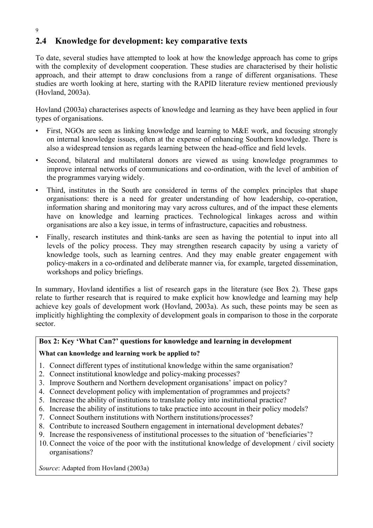# **2.4 Knowledge for development: key comparative texts**

To date, several studies have attempted to look at how the knowledge approach has come to grips with the complexity of development cooperation. These studies are characterised by their holistic approach, and their attempt to draw conclusions from a range of different organisations. These studies are worth looking at here, starting with the RAPID literature review mentioned previously (Hovland, 2003a).

Hovland (2003a) characterises aspects of knowledge and learning as they have been applied in four types of organisations.

- First, NGOs are seen as linking knowledge and learning to M&E work, and focusing strongly on internal knowledge issues, often at the expense of enhancing Southern knowledge. There is also a widespread tension as regards learning between the head-office and field levels.
- Second, bilateral and multilateral donors are viewed as using knowledge programmes to improve internal networks of communications and co-ordination, with the level of ambition of the programmes varying widely.
- Third, institutes in the South are considered in terms of the complex principles that shape organisations: there is a need for greater understanding of how leadership, co-operation, information sharing and monitoring may vary across cultures, and of the impact these elements have on knowledge and learning practices. Technological linkages across and within organisations are also a key issue, in terms of infrastructure, capacities and robustness.
- Finally, research institutes and think-tanks are seen as having the potential to input into all levels of the policy process. They may strengthen research capacity by using a variety of knowledge tools, such as learning centres. And they may enable greater engagement with policy-makers in a co-ordinated and deliberate manner via, for example, targeted dissemination, workshops and policy briefings.

In summary, Hovland identifies a list of research gaps in the literature (see Box 2). These gaps relate to further research that is required to make explicit how knowledge and learning may help achieve key goals of development work (Hovland, 2003a). As such, these points may be seen as implicitly highlighting the complexity of development goals in comparison to those in the corporate sector.

### **Box 2: Key 'What Can?' questions for knowledge and learning in development**

### **What can knowledge and learning work be applied to?**

- 1. Connect different types of institutional knowledge within the same organisation?
- 2. Connect institutional knowledge and policy-making processes?
- 3. Improve Southern and Northern development organisations' impact on policy?
- 4. Connect development policy with implementation of programmes and projects?
- 5. Increase the ability of institutions to translate policy into institutional practice?
- 6. Increase the ability of institutions to take practice into account in their policy models?
- 7. Connect Southern institutions with Northern institutions/processes?
- 8. Contribute to increased Southern engagement in international development debates?
- 9. Increase the responsiveness of institutional processes to the situation of 'beneficiaries'?
- 10.Connect the voice of the poor with the institutional knowledge of development / civil society organisations?

*Source*: Adapted from Hovland (2003a)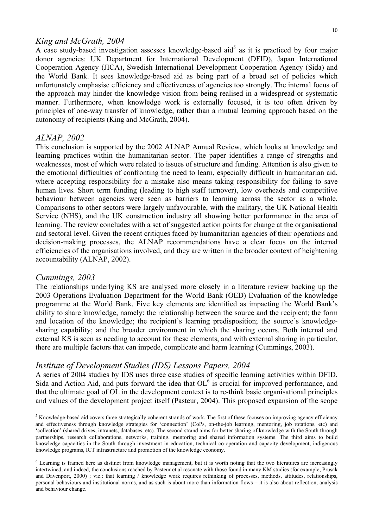#### *King and McGrath, 2004*

A case study-based investigation assesses knowledge-based aid<sup>5</sup> as it is practiced by four major donor agencies: UK Department for International Development (DFID), Japan International Cooperation Agency (JICA), Swedish International Development Cooperation Agency (Sida) and the World Bank. It sees knowledge-based aid as being part of a broad set of policies which unfortunately emphasise efficiency and effectiveness of agencies too strongly. The internal focus of the approach may hinder the knowledge vision from being realised in a widespread or systematic manner. Furthermore, when knowledge work is externally focused, it is too often driven by principles of one-way transfer of knowledge, rather than a mutual learning approach based on the autonomy of recipients (King and McGrath, 2004).

#### *ALNAP, 2002*

This conclusion is supported by the 2002 ALNAP Annual Review, which looks at knowledge and learning practices within the humanitarian sector. The paper identifies a range of strengths and weaknesses, most of which were related to issues of structure and funding. Attention is also given to the emotional difficulties of confronting the need to learn, especially difficult in humanitarian aid, where accepting responsibility for a mistake also means taking responsibility for failing to save human lives. Short term funding (leading to high staff turnover), low overheads and competitive behaviour between agencies were seen as barriers to learning across the sector as a whole. Comparisons to other sectors were largely unfavourable, with the military, the UK National Health Service (NHS), and the UK construction industry all showing better performance in the area of learning. The review concludes with a set of suggested action points for change at the organisational and sectoral level. Given the recent critiques faced by humanitarian agencies of their operations and decision-making processes, the ALNAP recommendations have a clear focus on the internal efficiencies of the organisations involved, and they are written in the broader context of heightening accountability (ALNAP, 2002).

#### *Cummings, 2003*

 $\overline{a}$ 

The relationships underlying KS are analysed more closely in a literature review backing up the 2003 Operations Evaluation Department for the World Bank (OED) Evaluation of the knowledge programme at the World Bank. Five key elements are identified as impacting the World Bank's ability to share knowledge, namely: the relationship between the source and the recipient; the form and location of the knowledge; the recipient's learning predisposition; the source's knowledgesharing capability; and the broader environment in which the sharing occurs. Both internal and external KS is seen as needing to account for these elements, and with external sharing in particular, there are multiple factors that can impede, complicate and harm learning (Cummings, 2003).

#### *Institute of Development Studies (IDS) Lessons Papers, 2004*

A series of 2004 studies by IDS uses three case studies of specific learning activities within DFID, Sida and Action Aid, and puts forward the idea that  $OL<sup>6</sup>$  is crucial for improved performance, and that the ultimate goal of OL in the development context is to re-think basic organisational principles and values of the development project itself (Pasteur, 2004). This proposed expansion of the scope

 $<sup>5</sup>$  Knowledge-based aid covers three strategically coherent strands of work. The first of these focuses on improving agency efficiency</sup> and effectiveness through knowledge strategies for 'connection' (CoPs, on-the-job learning, mentoring, job rotations, etc) and 'collection' (shared drives, intranets, databases, etc). The second strand aims for better sharing of knowledge with the South through partnerships, research collaborations, networks, training, mentoring and shared information systems. The third aims to build knowledge capacities in the South through investment in education, technical co-operation and capacity development, indigenous knowledge programs, ICT infrastructure and promotion of the knowledge economy.

<sup>&</sup>lt;sup>6</sup> Learning is framed here as distinct from knowledge management, but it is worth noting that the two literatures are increasingly intertwined, and indeed, the conclusions reached by Pasteur et al resonate with those found in many KM studies (for example, Prusak and Davenport, 2000) ; viz.: that learning / knowledge work requires rethinking of processes, methods, attitudes, relationships, personal behaviours and institutional norms, and as such is about more than information flows – it is also about reflection, analysis and behaviour change.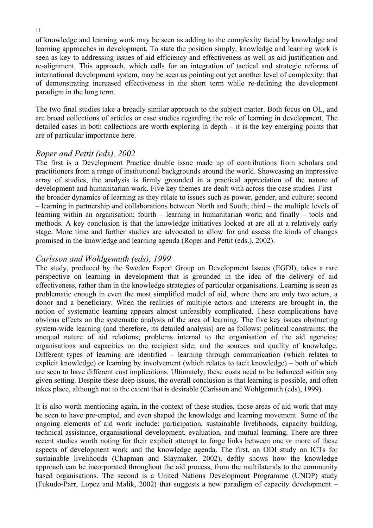of knowledge and learning work may be seen as adding to the complexity faced by knowledge and learning approaches in development. To state the position simply, knowledge and learning work is seen as key to addressing issues of aid efficiency and effectiveness as well as aid justification and re-alignment. This approach, which calls for an integration of tactical and strategic reforms of international development system, may be seen as pointing out yet another level of complexity: that of demonstrating increased effectiveness in the short term while re-defining the development paradigm in the long term.

The two final studies take a broadly similar approach to the subject matter. Both focus on OL, and are broad collections of articles or case studies regarding the role of learning in development. The detailed cases in both collections are worth exploring in depth – it is the key emerging points that are of particular importance here.

### *Roper and Pettit (eds), 2002*

The first is a Development Practice double issue made up of contributions from scholars and practitioners from a range of institutional backgrounds around the world. Showcasing an impressive array of studies, the analysis is firmly grounded in a practical appreciation of the nature of development and humanitarian work. Five key themes are dealt with across the case studies. First – the broader dynamics of learning as they relate to issues such as power, gender, and culture; second – learning in partnership and collaborations between North and South; third – the multiple levels of learning within an organisation; fourth – learning in humanitarian work; and finally – tools and methods. A key conclusion is that the knowledge initiatives looked at are all at a relatively early stage. More time and further studies are advocated to allow for and assess the kinds of changes promised in the knowledge and learning agenda (Roper and Pettit (eds.), 2002).

## *Carlsson and Wohlgemuth (eds), 1999*

The study, produced by the Sweden Expert Group on Development Issues (EGDI), takes a rare perspective on learning in development that is grounded in the idea of the delivery of aid effectiveness, rather than in the knowledge strategies of particular organisations. Learning is seen as problematic enough in even the most simplified model of aid, where there are only two actors, a donor and a beneficiary. When the realities of multiple actors and interests are brought in, the notion of systematic learning appears almost unfeasibly complicated. These complications have obvious effects on the systematic analysis of the area of learning. The five key issues obstructing system-wide learning (and therefore, its detailed analysis) are as follows: political constraints; the unequal nature of aid relations; problems internal to the organisation of the aid agencies; organisations and capacities on the recipient side; and the sources and quality of knowledge. Different types of learning are identified – learning through communication (which relates to explicit knowledge) or learning by involvement (which relates to tacit knowledge) – both of which are seen to have different cost implications. Ultimately, these costs need to be balanced within any given setting. Despite these deep issues, the overall conclusion is that learning is possible, and often takes place, although not to the extent that is desirable (Carlsson and Wohlgemuth (eds), 1999).

It is also worth mentioning again, in the context of these studies, those areas of aid work that may be seen to have pre-empted, and even shaped the knowledge and learning movement. Some of the ongoing elements of aid work include: participation, sustainable livelihoods, capacity building, technical assistance, organisational development, evaluation, and mutual learning. There are three recent studies worth noting for their explicit attempt to forge links between one or more of these aspects of development work and the knowledge agenda. The first, an ODI study on ICTs for sustainable livelihoods (Chapman and Slaymaker, 2002), deftly shows how the knowledge approach can be incorporated throughout the aid process, from the multilaterals to the community based organisations. The second is a United Nations Development Programme (UNDP) study (Fukudo-Parr, Lopez and Malik, 2002) that suggests a new paradigm of capacity development –

#### 11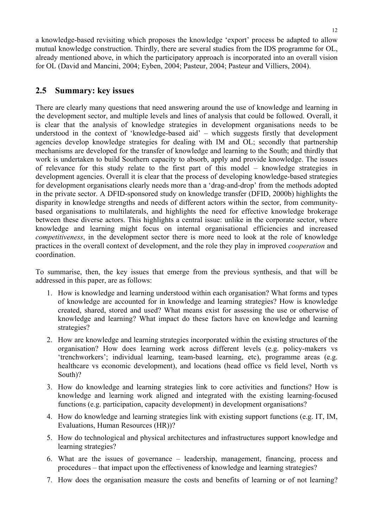a knowledge-based revisiting which proposes the knowledge 'export' process be adapted to allow mutual knowledge construction. Thirdly, there are several studies from the IDS programme for OL, already mentioned above, in which the participatory approach is incorporated into an overall vision for OL (David and Mancini, 2004; Eyben, 2004; Pasteur, 2004; Pasteur and Villiers, 2004).

## **2.5 Summary: key issues**

There are clearly many questions that need answering around the use of knowledge and learning in the development sector, and multiple levels and lines of analysis that could be followed. Overall, it is clear that the analysis of knowledge strategies in development organisations needs to be understood in the context of 'knowledge-based aid' – which suggests firstly that development agencies develop knowledge strategies for dealing with IM and OL; secondly that partnership mechanisms are developed for the transfer of knowledge and learning to the South; and thirdly that work is undertaken to build Southern capacity to absorb, apply and provide knowledge. The issues of relevance for this study relate to the first part of this model – knowledge strategies in development agencies. Overall it is clear that the process of developing knowledge-based strategies for development organisations clearly needs more than a 'drag-and-drop' from the methods adopted in the private sector. A DFID-sponsored study on knowledge transfer (DFID, 2000b) highlights the disparity in knowledge strengths and needs of different actors within the sector, from communitybased organisations to multilaterals, and highlights the need for effective knowledge brokerage between these diverse actors. This highlights a central issue: unlike in the corporate sector, where knowledge and learning might focus on internal organisational efficiencies and increased *competitiveness*, in the development sector there is more need to look at the role of knowledge practices in the overall context of development, and the role they play in improved *cooperation* and coordination.

To summarise, then, the key issues that emerge from the previous synthesis, and that will be addressed in this paper, are as follows:

- 1. How is knowledge and learning understood within each organisation? What forms and types of knowledge are accounted for in knowledge and learning strategies? How is knowledge created, shared, stored and used? What means exist for assessing the use or otherwise of knowledge and learning? What impact do these factors have on knowledge and learning strategies?
- 2. How are knowledge and learning strategies incorporated within the existing structures of the organisation? How does learning work across different levels (e.g. policy-makers vs 'trenchworkers'; individual learning, team-based learning, etc), programme areas (e.g. healthcare vs economic development), and locations (head office vs field level, North vs South)?
- 3. How do knowledge and learning strategies link to core activities and functions? How is knowledge and learning work aligned and integrated with the existing learning-focused functions (e.g. participation, capacity development) in development organisations?
- 4. How do knowledge and learning strategies link with existing support functions (e.g. IT, IM, Evaluations, Human Resources (HR))?
- 5. How do technological and physical architectures and infrastructures support knowledge and learning strategies?
- 6. What are the issues of governance leadership, management, financing, process and procedures – that impact upon the effectiveness of knowledge and learning strategies?
- 7. How does the organisation measure the costs and benefits of learning or of not learning?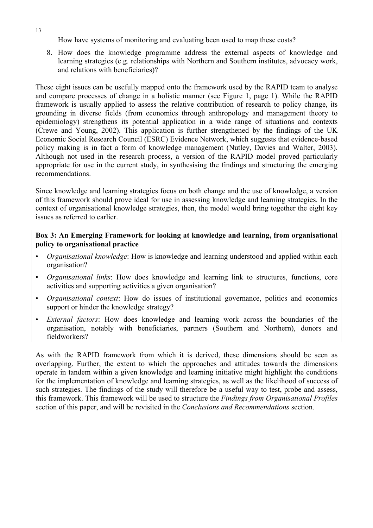How have systems of monitoring and evaluating been used to map these costs?

8. How does the knowledge programme address the external aspects of knowledge and learning strategies (e.g. relationships with Northern and Southern institutes, advocacy work, and relations with beneficiaries)?

These eight issues can be usefully mapped onto the framework used by the RAPID team to analyse and compare processes of change in a holistic manner (see Figure 1, page 1). While the RAPID framework is usually applied to assess the relative contribution of research to policy change, its grounding in diverse fields (from economics through anthropology and management theory to epidemiology) strengthens its potential application in a wide range of situations and contexts (Crewe and Young, 2002). This application is further strengthened by the findings of the UK Economic Social Research Council (ESRC) Evidence Network, which suggests that evidence-based policy making is in fact a form of knowledge management (Nutley, Davies and Walter, 2003). Although not used in the research process, a version of the RAPID model proved particularly appropriate for use in the current study, in synthesising the findings and structuring the emerging recommendations.

Since knowledge and learning strategies focus on both change and the use of knowledge, a version of this framework should prove ideal for use in assessing knowledge and learning strategies. In the context of organisational knowledge strategies, then, the model would bring together the eight key issues as referred to earlier.

**Box 3: An Emerging Framework for looking at knowledge and learning, from organisational policy to organisational practice** 

- *Organisational knowledge*: How is knowledge and learning understood and applied within each organisation?
- *Organisational links*: How does knowledge and learning link to structures, functions, core activities and supporting activities a given organisation?
- *Organisational context*: How do issues of institutional governance, politics and economics support or hinder the knowledge strategy?
- *External factors*: How does knowledge and learning work across the boundaries of the organisation, notably with beneficiaries, partners (Southern and Northern), donors and fieldworkers?

As with the RAPID framework from which it is derived, these dimensions should be seen as overlapping. Further, the extent to which the approaches and attitudes towards the dimensions operate in tandem within a given knowledge and learning initiative might highlight the conditions for the implementation of knowledge and learning strategies, as well as the likelihood of success of such strategies. The findings of the study will therefore be a useful way to test, probe and assess, this framework. This framework will be used to structure the *Findings from Organisational Profiles* section of this paper, and will be revisited in the *Conclusions and Recommendations* section.

13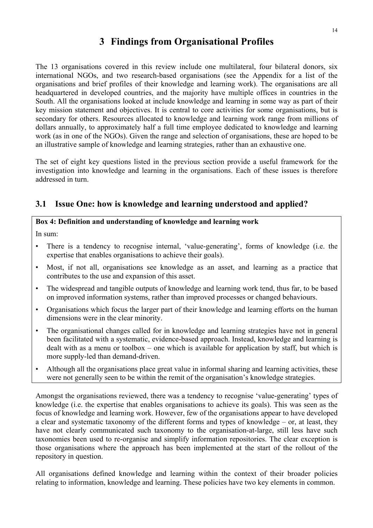# **3 Findings from Organisational Profiles**

The 13 organisations covered in this review include one multilateral, four bilateral donors, six international NGOs, and two research-based organisations (see the Appendix for a list of the organisations and brief profiles of their knowledge and learning work). The organisations are all headquartered in developed countries, and the majority have multiple offices in countries in the South. All the organisations looked at include knowledge and learning in some way as part of their key mission statement and objectives. It is central to core activities for some organisations, but is secondary for others. Resources allocated to knowledge and learning work range from millions of dollars annually, to approximately half a full time employee dedicated to knowledge and learning work (as in one of the NGOs). Given the range and selection of organisations, these are hoped to be an illustrative sample of knowledge and learning strategies, rather than an exhaustive one.

The set of eight key questions listed in the previous section provide a useful framework for the investigation into knowledge and learning in the organisations. Each of these issues is therefore addressed in turn.

## **3.1 Issue One: how is knowledge and learning understood and applied?**

### **Box 4: Definition and understanding of knowledge and learning work**

In sum:

- There is a tendency to recognise internal, 'value-generating', forms of knowledge (i.e. the expertise that enables organisations to achieve their goals).
- Most, if not all, organisations see knowledge as an asset, and learning as a practice that contributes to the use and expansion of this asset.
- The widespread and tangible outputs of knowledge and learning work tend, thus far, to be based on improved information systems, rather than improved processes or changed behaviours.
- Organisations which focus the larger part of their knowledge and learning efforts on the human dimensions were in the clear minority.
- The organisational changes called for in knowledge and learning strategies have not in general been facilitated with a systematic, evidence-based approach. Instead, knowledge and learning is dealt with as a menu or toolbox – one which is available for application by staff, but which is more supply-led than demand-driven.
- Although all the organisations place great value in informal sharing and learning activities, these were not generally seen to be within the remit of the organisation's knowledge strategies.

Amongst the organisations reviewed, there was a tendency to recognise 'value-generating' types of knowledge (i.e. the expertise that enables organisations to achieve its goals). This was seen as the focus of knowledge and learning work. However, few of the organisations appear to have developed a clear and systematic taxonomy of the different forms and types of knowledge – or, at least, they have not clearly communicated such taxonomy to the organisation-at-large, still less have such taxonomies been used to re-organise and simplify information repositories. The clear exception is those organisations where the approach has been implemented at the start of the rollout of the repository in question.

All organisations defined knowledge and learning within the context of their broader policies relating to information, knowledge and learning. These policies have two key elements in common.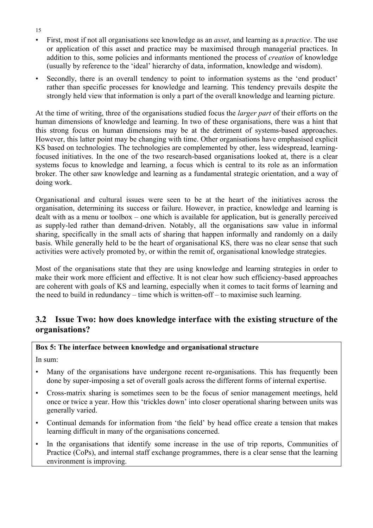- First, most if not all organisations see knowledge as an *asset*, and learning as a *practice*. The use or application of this asset and practice may be maximised through managerial practices. In addition to this, some policies and informants mentioned the process of *creation* of knowledge (usually by reference to the 'ideal' hierarchy of data, information, knowledge and wisdom).
- Secondly, there is an overall tendency to point to information systems as the 'end product' rather than specific processes for knowledge and learning. This tendency prevails despite the strongly held view that information is only a part of the overall knowledge and learning picture.

At the time of writing, three of the organisations studied focus the *larger part* of their efforts on the human dimensions of knowledge and learning. In two of these organisations, there was a hint that this strong focus on human dimensions may be at the detriment of systems-based approaches. However, this latter point may be changing with time. Other organisations have emphasised explicit KS based on technologies. The technologies are complemented by other, less widespread, learningfocused initiatives. In the one of the two research-based organisations looked at, there is a clear systems focus to knowledge and learning, a focus which is central to its role as an information broker. The other saw knowledge and learning as a fundamental strategic orientation, and a way of doing work.

Organisational and cultural issues were seen to be at the heart of the initiatives across the organisation, determining its success or failure. However, in practice, knowledge and learning is dealt with as a menu or toolbox – one which is available for application, but is generally perceived as supply-led rather than demand-driven. Notably, all the organisations saw value in informal sharing, specifically in the small acts of sharing that happen informally and randomly on a daily basis. While generally held to be the heart of organisational KS, there was no clear sense that such activities were actively promoted by, or within the remit of, organisational knowledge strategies.

Most of the organisations state that they are using knowledge and learning strategies in order to make their work more efficient and effective. It is not clear how such efficiency-based approaches are coherent with goals of KS and learning, especially when it comes to tacit forms of learning and the need to build in redundancy – time which is written-off – to maximise such learning.

## **3.2 Issue Two: how does knowledge interface with the existing structure of the organisations?**

### **Box 5: The interface between knowledge and organisational structure**

In sum:

- Many of the organisations have undergone recent re-organisations. This has frequently been done by super-imposing a set of overall goals across the different forms of internal expertise.
- Cross-matrix sharing is sometimes seen to be the focus of senior management meetings, held once or twice a year. How this 'trickles down' into closer operational sharing between units was generally varied.
- Continual demands for information from 'the field' by head office create a tension that makes learning difficult in many of the organisations concerned.
- In the organisations that identify some increase in the use of trip reports, Communities of Practice (CoPs), and internal staff exchange programmes, there is a clear sense that the learning environment is improving.

15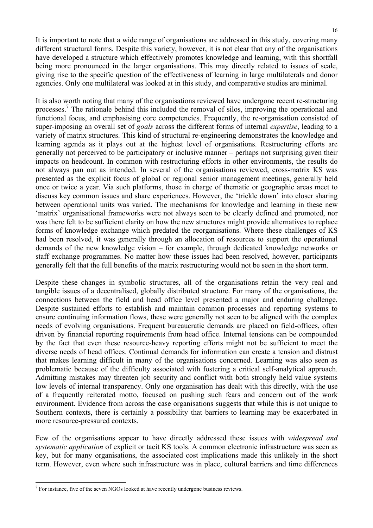It is important to note that a wide range of organisations are addressed in this study, covering many different structural forms. Despite this variety, however, it is not clear that any of the organisations have developed a structure which effectively promotes knowledge and learning, with this shortfall being more pronounced in the larger organisations. This may directly related to issues of scale, giving rise to the specific question of the effectiveness of learning in large multilaterals and donor agencies. Only one multilateral was looked at in this study, and comparative studies are minimal.

It is also worth noting that many of the organisations reviewed have undergone recent re-structuring processes.<sup>7</sup> The rationale behind this included the removal of silos, improving the operational and functional focus, and emphasising core competencies. Frequently, the re-organisation consisted of super-imposing an overall set of *goals* across the different forms of internal *expertise*, leading to a variety of matrix structures. This kind of structural re-engineering demonstrates the knowledge and learning agenda as it plays out at the highest level of organisations. Restructuring efforts are generally not perceived to be participatory or inclusive manner – perhaps not surprising given their impacts on headcount. In common with restructuring efforts in other environments, the results do not always pan out as intended. In several of the organisations reviewed, cross-matrix KS was presented as the explicit focus of global or regional senior management meetings, generally held once or twice a year. Via such platforms, those in charge of thematic or geographic areas meet to discuss key common issues and share experiences. However, the 'trickle down' into closer sharing between operational units was varied. The mechanisms for knowledge and learning in these new 'matrix' organisational frameworks were not always seen to be clearly defined and promoted, nor was there felt to be sufficient clarity on how the new structures might provide alternatives to replace forms of knowledge exchange which predated the reorganisations. Where these challenges of KS had been resolved, it was generally through an allocation of resources to support the operational demands of the new knowledge vision – for example, through dedicated knowledge networks or staff exchange programmes. No matter how these issues had been resolved, however, participants generally felt that the full benefits of the matrix restructuring would not be seen in the short term.

Despite these changes in symbolic structures, all of the organisations retain the very real and tangible issues of a decentralised, globally distributed structure. For many of the organisations, the connections between the field and head office level presented a major and enduring challenge. Despite sustained efforts to establish and maintain common processes and reporting systems to ensure continuing information flows, these were generally not seen to be aligned with the complex needs of evolving organisations. Frequent bureaucratic demands are placed on field-offices, often driven by financial reporting requirements from head office. Internal tensions can be compounded by the fact that even these resource-heavy reporting efforts might not be sufficient to meet the diverse needs of head offices. Continual demands for information can create a tension and distrust that makes learning difficult in many of the organisations concerned. Learning was also seen as problematic because of the difficulty associated with fostering a critical self-analytical approach. Admitting mistakes may threaten job security and conflict with both strongly held value systems low levels of internal transparency. Only one organisation has dealt with this directly, with the use of a frequently reiterated motto, focused on pushing such fears and concern out of the work environment. Evidence from across the case organisations suggests that while this is not unique to Southern contexts, there is certainly a possibility that barriers to learning may be exacerbated in more resource-pressured contexts.

Few of the organisations appear to have directly addressed these issues with *widespread and systematic application* of explicit or tacit KS tools. A common electronic infrastructure was seen as key, but for many organisations, the associated cost implications made this unlikely in the short term. However, even where such infrastructure was in place, cultural barriers and time differences

 $\overline{a}$ 

 $<sup>7</sup>$  For instance, five of the seven NGOs looked at have recently undergone business reviews.</sup>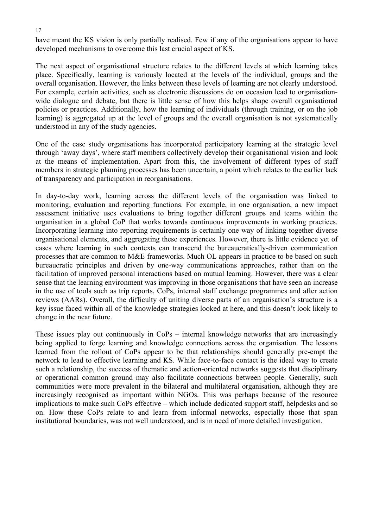have meant the KS vision is only partially realised. Few if any of the organisations appear to have developed mechanisms to overcome this last crucial aspect of KS.

The next aspect of organisational structure relates to the different levels at which learning takes place. Specifically, learning is variously located at the levels of the individual, groups and the overall organisation. However, the links between these levels of learning are not clearly understood. For example, certain activities, such as electronic discussions do on occasion lead to organisationwide dialogue and debate, but there is little sense of how this helps shape overall organisational policies or practices. Additionally, how the learning of individuals (through training, or on the job learning) is aggregated up at the level of groups and the overall organisation is not systematically understood in any of the study agencies.

One of the case study organisations has incorporated participatory learning at the strategic level through 'away days', where staff members collectively develop their organisational vision and look at the means of implementation. Apart from this, the involvement of different types of staff members in strategic planning processes has been uncertain, a point which relates to the earlier lack of transparency and participation in reorganisations.

In day-to-day work, learning across the different levels of the organisation was linked to monitoring, evaluation and reporting functions. For example, in one organisation, a new impact assessment initiative uses evaluations to bring together different groups and teams within the organisation in a global CoP that works towards continuous improvements in working practices. Incorporating learning into reporting requirements is certainly one way of linking together diverse organisational elements, and aggregating these experiences. However, there is little evidence yet of cases where learning in such contexts can transcend the bureaucratically-driven communication processes that are common to M&E frameworks. Much OL appears in practice to be based on such bureaucratic principles and driven by one-way communications approaches, rather than on the facilitation of improved personal interactions based on mutual learning. However, there was a clear sense that the learning environment was improving in those organisations that have seen an increase in the use of tools such as trip reports, CoPs, internal staff exchange programmes and after action reviews (AARs). Overall, the difficulty of uniting diverse parts of an organisation's structure is a key issue faced within all of the knowledge strategies looked at here, and this doesn't look likely to change in the near future.

These issues play out continuously in CoPs – internal knowledge networks that are increasingly being applied to forge learning and knowledge connections across the organisation. The lessons learned from the rollout of CoPs appear to be that relationships should generally pre-empt the network to lead to effective learning and KS. While face-to-face contact is the ideal way to create such a relationship, the success of thematic and action-oriented networks suggests that disciplinary or operational common ground may also facilitate connections between people. Generally, such communities were more prevalent in the bilateral and multilateral organisation, although they are increasingly recognised as important within NGOs. This was perhaps because of the resource implications to make such CoPs effective – which include dedicated support staff, helpdesks and so on. How these CoPs relate to and learn from informal networks, especially those that span institutional boundaries, was not well understood, and is in need of more detailed investigation.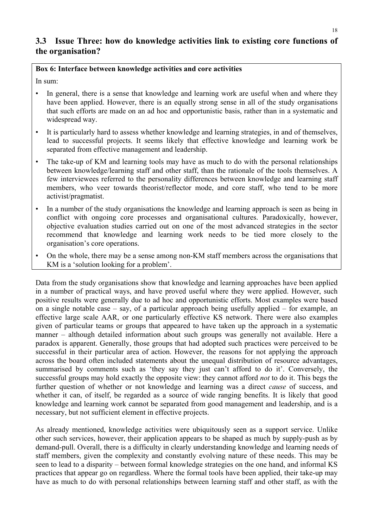# **3.3 Issue Three: how do knowledge activities link to existing core functions of the organisation?**

#### **Box 6: Interface between knowledge activities and core activities**

In sum:

- In general, there is a sense that knowledge and learning work are useful when and where they have been applied. However, there is an equally strong sense in all of the study organisations that such efforts are made on an ad hoc and opportunistic basis, rather than in a systematic and widespread way.
- It is particularly hard to assess whether knowledge and learning strategies, in and of themselves, lead to successful projects. It seems likely that effective knowledge and learning work be separated from effective management and leadership.
- The take-up of KM and learning tools may have as much to do with the personal relationships between knowledge/learning staff and other staff, than the rationale of the tools themselves. A few interviewees referred to the personality differences between knowledge and learning staff members, who veer towards theorist/reflector mode, and core staff, who tend to be more activist/pragmatist.
- In a number of the study organisations the knowledge and learning approach is seen as being in conflict with ongoing core processes and organisational cultures. Paradoxically, however, objective evaluation studies carried out on one of the most advanced strategies in the sector recommend that knowledge and learning work needs to be tied more closely to the organisation's core operations.
- On the whole, there may be a sense among non-KM staff members across the organisations that KM is a 'solution looking for a problem'.

Data from the study organisations show that knowledge and learning approaches have been applied in a number of practical ways, and have proved useful where they were applied. However, such positive results were generally due to ad hoc and opportunistic efforts. Most examples were based on a single notable case – say, of a particular approach being usefully applied – for example, an effective large scale AAR, or one particularly effective KS network. There were also examples given of particular teams or groups that appeared to have taken up the approach in a systematic manner – although detailed information about such groups was generally not available. Here a paradox is apparent. Generally, those groups that had adopted such practices were perceived to be successful in their particular area of action. However, the reasons for not applying the approach across the board often included statements about the unequal distribution of resource advantages, summarised by comments such as 'they say they just can't afford to do it'. Conversely, the successful groups may hold exactly the opposite view: they cannot afford *not* to do it. This begs the further question of whether or not knowledge and learning was a direct *cause* of success, and whether it can, of itself, be regarded as a source of wide ranging benefits. It is likely that good knowledge and learning work cannot be separated from good management and leadership, and is a necessary, but not sufficient element in effective projects.

As already mentioned, knowledge activities were ubiquitously seen as a support service. Unlike other such services, however, their application appears to be shaped as much by supply-push as by demand-pull. Overall, there is a difficulty in clearly understanding knowledge and learning needs of staff members, given the complexity and constantly evolving nature of these needs. This may be seen to lead to a disparity – between formal knowledge strategies on the one hand, and informal KS practices that appear go on regardless. Where the formal tools have been applied, their take-up may have as much to do with personal relationships between learning staff and other staff, as with the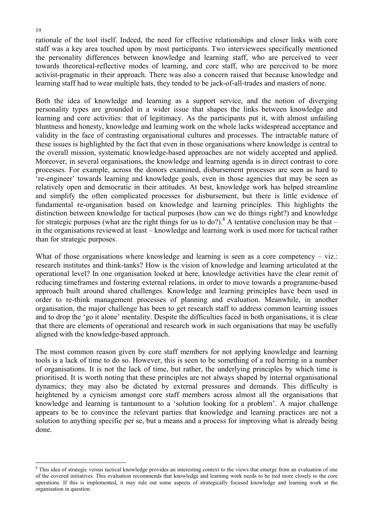rationale of the tool itself. Indeed, the need for effective relationships and closer links with core staff was a key area touched upon by most participants. Two interviewees specifically mentioned the personality differences between knowledge and learning staff, who are perceived to veer towards theoretical-reflective modes of learning, and core staff, who are perceived to be more activist-pragmatic in their approach. There was also a concern raised that because knowledge and learning staff had to wear multiple hats, they tended to be jack-of-all-trades and masters of none.

Both the idea of knowledge and learning as a support service, and the notion of diverging personality types are grounded in a wider issue that shapes the links between knowledge and learning and core activities: that of legitimacy. As the participants put it, with almost unfailing bluntness and honesty, knowledge and learning work on the whole lacks widespread acceptance and validity in the face of contrasting organisational cultures and processes. The intractable nature of these issues is highlighted by the fact that even in those organisations where knowledge is central to the overall mission, systematic knowledge-based approaches are not widely accepted and applied. Moreover, in several organisations, the knowledge and learning agenda is in direct contrast to core processes. For example, across the donors examined, disbursement processes are seen as hard to 're-engineer' towards learning and knowledge goals, even in those agencies that may be seen as relatively open and democratic in their attitudes. At best, knowledge work has helped streamline and simplify the often complicated processes for disbursement, but there is little evidence of fundamental re-organisation based on knowledge and learning principles. This highlights the distinction between knowledge for tactical purposes (how can we do things right?) and knowledge for strategic purposes (what are the right things for us to do?).<sup>8</sup> A tentative conclusion may be that  $$ in the organisations reviewed at least – knowledge and learning work is used more for tactical rather than for strategic purposes.

What of those organisations where knowledge and learning is seen as a core competency – viz.: research institutes and think-tanks? How is the vision of knowledge and learning articulated at the operational level? In one organisation looked at here, knowledge activities have the clear remit of reducing timeframes and fostering external relations, in order to move towards a programme-based approach built around shared challenges. Knowledge and learning principles have been used in order to re-think management processes of planning and evaluation. Meanwhile, in another organisation, the major challenge has been to get research staff to address common learning issues and to drop the 'go it alone' mentality. Despite the difficulties faced in both organisations, it is clear that there are elements of operational and research work in such organisations that may be usefully aligned with the knowledge-based approach.

The most common reason given by core staff members for not applying knowledge and learning tools is a lack of time to do so. However, this is seen to be something of a red herring in a number of organisations. It is not the lack of time, but rather, the underlying principles by which time is prioritised. It is worth noting that these principles are not always shaped by internal organisational dynamics; they may also be dictated by external pressures and demands. This difficulty is heightened by a cynicism amongst core staff members across almost all the organisations that knowledge and learning is tantamount to a 'solution looking for a problem'. A major challenge appears to be to convince the relevant parties that knowledge and learning practices are not a solution to anything specific per se, but a means and a process for improving what is already being done.

 $\overline{a}$ 

<sup>&</sup>lt;sup>8</sup> This idea of strategic versus tactical knowledge provides an interesting context to the views that emerge from an evaluation of one of the covered initiatives. This evaluation recommends that knowledge and learning work needs to be tied more closely to the core operations. If this is implemented, it may rule out some aspects of strategically focused knowledge and learning work at the organisation in question.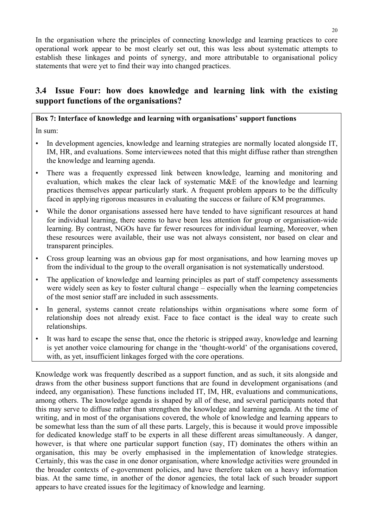In the organisation where the principles of connecting knowledge and learning practices to core operational work appear to be most clearly set out, this was less about systematic attempts to establish these linkages and points of synergy, and more attributable to organisational policy statements that were yet to find their way into changed practices.

# **3.4 Issue Four: how does knowledge and learning link with the existing support functions of the organisations?**

### **Box 7: Interface of knowledge and learning with organisations' support functions**

In sum:

- In development agencies, knowledge and learning strategies are normally located alongside IT, IM, HR, and evaluations. Some interviewees noted that this might diffuse rather than strengthen the knowledge and learning agenda.
- There was a frequently expressed link between knowledge, learning and monitoring and evaluation, which makes the clear lack of systematic M&E of the knowledge and learning practices themselves appear particularly stark. A frequent problem appears to be the difficulty faced in applying rigorous measures in evaluating the success or failure of KM programmes.
- While the donor organisations assessed here have tended to have significant resources at hand for individual learning, there seems to have been less attention for group or organisation-wide learning. By contrast, NGOs have far fewer resources for individual learning, Moreover, when these resources were available, their use was not always consistent, nor based on clear and transparent principles.
- Cross group learning was an obvious gap for most organisations, and how learning moves up from the individual to the group to the overall organisation is not systematically understood.
- The application of knowledge and learning principles as part of staff competency assessments were widely seen as key to foster cultural change – especially when the learning competencies of the most senior staff are included in such assessments.
- In general, systems cannot create relationships within organisations where some form of relationship does not already exist. Face to face contact is the ideal way to create such relationships.
- It was hard to escape the sense that, once the rhetoric is stripped away, knowledge and learning is yet another voice clamouring for change in the 'thought-world' of the organisations covered, with, as yet, insufficient linkages forged with the core operations.

Knowledge work was frequently described as a support function, and as such, it sits alongside and draws from the other business support functions that are found in development organisations (and indeed, any organisation). These functions included IT, IM, HR, evaluations and communications, among others. The knowledge agenda is shaped by all of these, and several participants noted that this may serve to diffuse rather than strengthen the knowledge and learning agenda. At the time of writing, and in most of the organisations covered, the whole of knowledge and learning appears to be somewhat less than the sum of all these parts. Largely, this is because it would prove impossible for dedicated knowledge staff to be experts in all these different areas simultaneously. A danger, however, is that where one particular support function (say, IT) dominates the others within an organisation, this may be overly emphasised in the implementation of knowledge strategies. Certainly, this was the case in one donor organisation, where knowledge activities were grounded in the broader contexts of e-government policies, and have therefore taken on a heavy information bias. At the same time, in another of the donor agencies, the total lack of such broader support appears to have created issues for the legitimacy of knowledge and learning.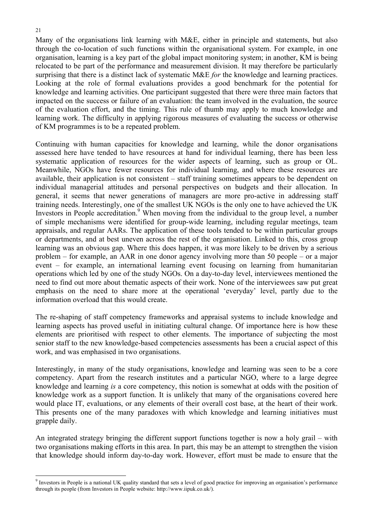Many of the organisations link learning with M&E, either in principle and statements, but also through the co-location of such functions within the organisational system. For example, in one organisation, learning is a key part of the global impact monitoring system; in another, KM is being relocated to be part of the performance and measurement division. It may therefore be particularly surprising that there is a distinct lack of systematic M&E *for* the knowledge and learning practices. Looking at the role of formal evaluations provides a good benchmark for the potential for knowledge and learning activities. One participant suggested that there were three main factors that impacted on the success or failure of an evaluation: the team involved in the evaluation, the source of the evaluation effort, and the timing. This rule of thumb may apply to much knowledge and learning work. The difficulty in applying rigorous measures of evaluating the success or otherwise of KM programmes is to be a repeated problem.

Continuing with human capacities for knowledge and learning, while the donor organisations assessed here have tended to have resources at hand for individual learning, there has been less systematic application of resources for the wider aspects of learning, such as group or OL. Meanwhile, NGOs have fewer resources for individual learning, and where these resources are available, their application is not consistent – staff training sometimes appears to be dependent on individual managerial attitudes and personal perspectives on budgets and their allocation. In general, it seems that newer generations of managers are more pro-active in addressing staff training needs. Interestingly, one of the smallest UK NGOs is the only one to have achieved the UK Investors in People accreditation.<sup>9</sup> When moving from the individual to the group level, a number of simple mechanisms were identified for group-wide learning, including regular meetings, team appraisals, and regular AARs. The application of these tools tended to be within particular groups or departments, and at best uneven across the rest of the organisation. Linked to this, cross group learning was an obvious gap. Where this does happen, it was more likely to be driven by a serious problem – for example, an AAR in one donor agency involving more than 50 people – or a major event – for example, an international learning event focusing on learning from humanitarian operations which led by one of the study NGOs. On a day-to-day level, interviewees mentioned the need to find out more about thematic aspects of their work. None of the interviewees saw put great emphasis on the need to share more at the operational 'everyday' level, partly due to the information overload that this would create.

The re-shaping of staff competency frameworks and appraisal systems to include knowledge and learning aspects has proved useful in initiating cultural change. Of importance here is how these elements are prioritised with respect to other elements. The importance of subjecting the most senior staff to the new knowledge-based competencies assessments has been a crucial aspect of this work, and was emphasised in two organisations.

Interestingly, in many of the study organisations, knowledge and learning was seen to be a core competency. Apart from the research institutes and a particular NGO, where to a large degree knowledge and learning *is* a core competency, this notion is somewhat at odds with the position of knowledge work as a support function. It is unlikely that many of the organisations covered here would place IT, evaluations, or any elements of their overall cost base, at the heart of their work. This presents one of the many paradoxes with which knowledge and learning initiatives must grapple daily.

An integrated strategy bringing the different support functions together is now a holy grail – with two organisations making efforts in this area. In part, this may be an attempt to strengthen the vision that knowledge should inform day-to-day work. However, effort must be made to ensure that the

<sup>&</sup>lt;sup>9</sup> Investors in People is a national UK quality standard that sets a level of good practice for improving an organisation's performance through its people (from Investors in People website: http://www.iipuk.co.uk/).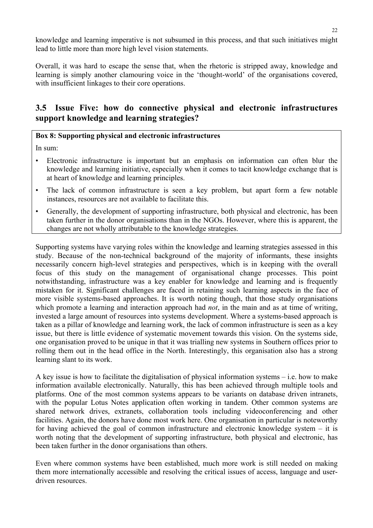knowledge and learning imperative is not subsumed in this process, and that such initiatives might lead to little more than more high level vision statements.

Overall, it was hard to escape the sense that, when the rhetoric is stripped away, knowledge and learning is simply another clamouring voice in the 'thought-world' of the organisations covered, with insufficient linkages to their core operations.

## **3.5 Issue Five: how do connective physical and electronic infrastructures support knowledge and learning strategies?**

### **Box 8: Supporting physical and electronic infrastructures**

In sum:

- Electronic infrastructure is important but an emphasis on information can often blur the knowledge and learning initiative, especially when it comes to tacit knowledge exchange that is at heart of knowledge and learning principles.
- The lack of common infrastructure is seen a key problem, but apart form a few notable instances, resources are not available to facilitate this.
- Generally, the development of supporting infrastructure, both physical and electronic, has been taken further in the donor organisations than in the NGOs. However, where this is apparent, the changes are not wholly attributable to the knowledge strategies.

Supporting systems have varying roles within the knowledge and learning strategies assessed in this study. Because of the non-technical background of the majority of informants, these insights necessarily concern high-level strategies and perspectives, which is in keeping with the overall focus of this study on the management of organisational change processes. This point notwithstanding, infrastructure was a key enabler for knowledge and learning and is frequently mistaken for it. Significant challenges are faced in retaining such learning aspects in the face of more visible systems-based approaches. It is worth noting though, that those study organisations which promote a learning and interaction approach had *not*, in the main and as at time of writing, invested a large amount of resources into systems development. Where a systems-based approach is taken as a pillar of knowledge and learning work, the lack of common infrastructure is seen as a key issue, but there is little evidence of systematic movement towards this vision. On the systems side, one organisation proved to be unique in that it was trialling new systems in Southern offices prior to rolling them out in the head office in the North. Interestingly, this organisation also has a strong learning slant to its work.

A key issue is how to facilitate the digitalisation of physical information systems – i.e. how to make information available electronically. Naturally, this has been achieved through multiple tools and platforms. One of the most common systems appears to be variants on database driven intranets, with the popular Lotus Notes application often working in tandem. Other common systems are shared network drives, extranets, collaboration tools including videoconferencing and other facilities. Again, the donors have done most work here. One organisation in particular is noteworthy for having achieved the goal of common infrastructure and electronic knowledge system – it is worth noting that the development of supporting infrastructure, both physical and electronic, has been taken further in the donor organisations than others.

Even where common systems have been established, much more work is still needed on making them more internationally accessible and resolving the critical issues of access, language and userdriven resources.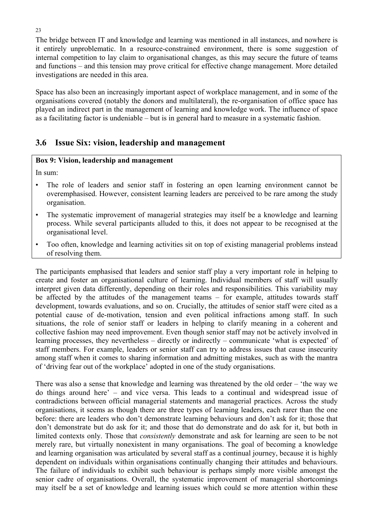The bridge between IT and knowledge and learning was mentioned in all instances, and nowhere is it entirely unproblematic. In a resource-constrained environment, there is some suggestion of internal competition to lay claim to organisational changes, as this may secure the future of teams and functions – and this tension may prove critical for effective change management. More detailed investigations are needed in this area.

Space has also been an increasingly important aspect of workplace management, and in some of the organisations covered (notably the donors and multilateral), the re-organisation of office space has played an indirect part in the management of learning and knowledge work. The influence of space as a facilitating factor is undeniable – but is in general hard to measure in a systematic fashion.

## **3.6 Issue Six: vision, leadership and management**

### **Box 9: Vision, leadership and management**

In sum:

- The role of leaders and senior staff in fostering an open learning environment cannot be overemphasised. However, consistent learning leaders are perceived to be rare among the study organisation.
- The systematic improvement of managerial strategies may itself be a knowledge and learning process. While several participants alluded to this, it does not appear to be recognised at the organisational level.
- Too often, knowledge and learning activities sit on top of existing managerial problems instead of resolving them.

The participants emphasised that leaders and senior staff play a very important role in helping to create and foster an organisational culture of learning. Individual members of staff will usually interpret given data differently, depending on their roles and responsibilities. This variability may be affected by the attitudes of the management teams – for example, attitudes towards staff development, towards evaluations, and so on. Crucially, the attitudes of senior staff were cited as a potential cause of de-motivation, tension and even political infractions among staff. In such situations, the role of senior staff or leaders in helping to clarify meaning in a coherent and collective fashion may need improvement. Even though senior staff may not be actively involved in learning processes, they nevertheless – directly or indirectly – communicate 'what is expected' of staff members. For example, leaders or senior staff can try to address issues that cause insecurity among staff when it comes to sharing information and admitting mistakes, such as with the mantra of 'driving fear out of the workplace' adopted in one of the study organisations.

There was also a sense that knowledge and learning was threatened by the old order – 'the way we do things around here' – and vice versa. This leads to a continual and widespread issue of contradictions between official managerial statements and managerial practices. Across the study organisations, it seems as though there are three types of learning leaders, each rarer than the one before: there are leaders who don't demonstrate learning behaviours and don't ask for it; those that don't demonstrate but do ask for it; and those that do demonstrate and do ask for it, but both in limited contexts only. Those that *consistently* demonstrate and ask for learning are seen to be not merely rare, but virtually nonexistent in many organisations. The goal of becoming a knowledge and learning organisation was articulated by several staff as a continual journey, because it is highly dependent on individuals within organisations continually changing their attitudes and behaviours. The failure of individuals to exhibit such behaviour is perhaps simply more visible amongst the senior cadre of organisations. Overall, the systematic improvement of managerial shortcomings may itself be a set of knowledge and learning issues which could se more attention within these

23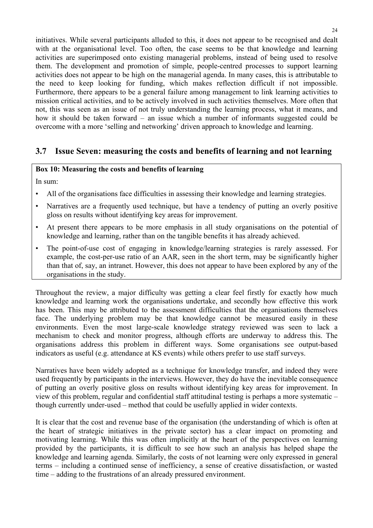initiatives. While several participants alluded to this, it does not appear to be recognised and dealt with at the organisational level. Too often, the case seems to be that knowledge and learning activities are superimposed onto existing managerial problems, instead of being used to resolve them. The development and promotion of simple, people-centred processes to support learning activities does not appear to be high on the managerial agenda. In many cases, this is attributable to the need to keep looking for funding, which makes reflection difficult if not impossible. Furthermore, there appears to be a general failure among management to link learning activities to mission critical activities, and to be actively involved in such activities themselves. More often that not, this was seen as an issue of not truly understanding the learning process, what it means, and how it should be taken forward – an issue which a number of informants suggested could be overcome with a more 'selling and networking' driven approach to knowledge and learning.

## **3.7 Issue Seven: measuring the costs and benefits of learning and not learning**

#### **Box 10: Measuring the costs and benefits of learning**

In sum:

- All of the organisations face difficulties in assessing their knowledge and learning strategies.
- Narratives are a frequently used technique, but have a tendency of putting an overly positive gloss on results without identifying key areas for improvement.
- At present there appears to be more emphasis in all study organisations on the potential of knowledge and learning, rather than on the tangible benefits it has already achieved.
- The point-of-use cost of engaging in knowledge/learning strategies is rarely assessed. For example, the cost-per-use ratio of an AAR, seen in the short term, may be significantly higher than that of, say, an intranet. However, this does not appear to have been explored by any of the organisations in the study.

Throughout the review, a major difficulty was getting a clear feel firstly for exactly how much knowledge and learning work the organisations undertake, and secondly how effective this work has been. This may be attributed to the assessment difficulties that the organisations themselves face. The underlying problem may be that knowledge cannot be measured easily in these environments. Even the most large-scale knowledge strategy reviewed was seen to lack a mechanism to check and monitor progress, although efforts are underway to address this. The organisations address this problem in different ways. Some organisations see output-based indicators as useful (e.g. attendance at KS events) while others prefer to use staff surveys.

Narratives have been widely adopted as a technique for knowledge transfer, and indeed they were used frequently by participants in the interviews. However, they do have the inevitable consequence of putting an overly positive gloss on results without identifying key areas for improvement. In view of this problem, regular and confidential staff attitudinal testing is perhaps a more systematic – though currently under-used – method that could be usefully applied in wider contexts.

It is clear that the cost and revenue base of the organisation (the understanding of which is often at the heart of strategic initiatives in the private sector) has a clear impact on promoting and motivating learning. While this was often implicitly at the heart of the perspectives on learning provided by the participants, it is difficult to see how such an analysis has helped shape the knowledge and learning agenda. Similarly, the costs of not learning were only expressed in general terms – including a continued sense of inefficiency, a sense of creative dissatisfaction, or wasted time – adding to the frustrations of an already pressured environment.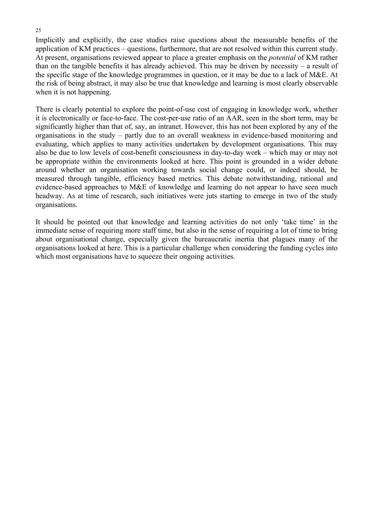Implicitly and explicitly, the case studies raise questions about the measurable benefits of the application of KM practices – questions, furthermore, that are not resolved within this current study. At present, organisations reviewed appear to place a greater emphasis on the *potential* of KM rather than on the tangible benefits it has already achieved. This may be driven by necessity – a result of the specific stage of the knowledge programmes in question, or it may be due to a lack of M&E. At the risk of being abstract, it may also be true that knowledge and learning is most clearly observable when it is not happening.

There is clearly potential to explore the point-of-use cost of engaging in knowledge work, whether it is electronically or face-to-face. The cost-per-use ratio of an AAR, seen in the short term, may be significantly higher than that of, say, an intranet. However, this has not been explored by any of the organisations in the study – partly due to an overall weakness in evidence-based monitoring and evaluating, which applies to many activities undertaken by development organisations. This may also be due to low levels of cost-benefit consciousness in day-to-day work – which may or may not be appropriate within the environments looked at here. This point is grounded in a wider debate around whether an organisation working towards social change could, or indeed should, be measured through tangible, efficiency based metrics. This debate notwithstanding, rational and evidence-based approaches to M&E of knowledge and learning do not appear to have seen much headway. As at time of research, such initiatives were juts starting to emerge in two of the study organisations.

It should be pointed out that knowledge and learning activities do not only 'take time' in the immediate sense of requiring more staff time, but also in the sense of requiring a lot of time to bring about organisational change, especially given the bureaucratic inertia that plagues many of the organisations looked at here. This is a particular challenge when considering the funding cycles into which most organisations have to squeeze their ongoing activities.

#### 25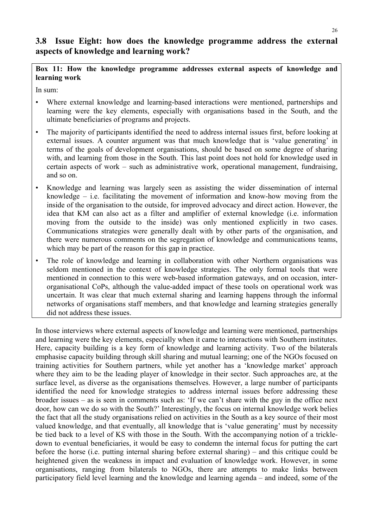## **3.8 Issue Eight: how does the knowledge programme address the external aspects of knowledge and learning work?**

**Box 11: How the knowledge programme addresses external aspects of knowledge and learning work** 

In sum:

- Where external knowledge and learning-based interactions were mentioned, partnerships and learning were the key elements, especially with organisations based in the South, and the ultimate beneficiaries of programs and projects.
- The majority of participants identified the need to address internal issues first, before looking at external issues. A counter argument was that much knowledge that is 'value generating' in terms of the goals of development organisations, should be based on some degree of sharing with, and learning from those in the South. This last point does not hold for knowledge used in certain aspects of work – such as administrative work, operational management, fundraising, and so on.
- Knowledge and learning was largely seen as assisting the wider dissemination of internal knowledge – i.e. facilitating the movement of information and know-how moving from the inside of the organisation to the outside, for improved advocacy and direct action. However, the idea that KM can also act as a filter and amplifier of external knowledge (i.e. information moving from the outside to the inside) was only mentioned explicitly in two cases. Communications strategies were generally dealt with by other parts of the organisation, and there were numerous comments on the segregation of knowledge and communications teams, which may be part of the reason for this gap in practice.
- The role of knowledge and learning in collaboration with other Northern organisations was seldom mentioned in the context of knowledge strategies. The only formal tools that were mentioned in connection to this were web-based information gateways, and on occasion, interorganisational CoPs, although the value-added impact of these tools on operational work was uncertain. It was clear that much external sharing and learning happens through the informal networks of organisations staff members, and that knowledge and learning strategies generally did not address these issues.

In those interviews where external aspects of knowledge and learning were mentioned, partnerships and learning were the key elements, especially when it came to interactions with Southern institutes. Here, capacity building is a key form of knowledge and learning activity. Two of the bilaterals emphasise capacity building through skill sharing and mutual learning; one of the NGOs focused on training activities for Southern partners, while yet another has a 'knowledge market' approach where they aim to be the leading player of knowledge in their sector. Such approaches are, at the surface level, as diverse as the organisations themselves. However, a large number of participants identified the need for knowledge strategies to address internal issues before addressing these broader issues – as is seen in comments such as: 'If we can't share with the guy in the office next door, how can we do so with the South?' Interestingly, the focus on internal knowledge work belies the fact that all the study organisations relied on activities in the South as a key source of their most valued knowledge, and that eventually, all knowledge that is 'value generating' must by necessity be tied back to a level of KS with those in the South. With the accompanying notion of a trickledown to eventual beneficiaries, it would be easy to condemn the internal focus for putting the cart before the horse (i.e. putting internal sharing before external sharing) – and this critique could be heightened given the weakness in impact and evaluation of knowledge work. However, in some organisations, ranging from bilaterals to NGOs, there are attempts to make links between participatory field level learning and the knowledge and learning agenda – and indeed, some of the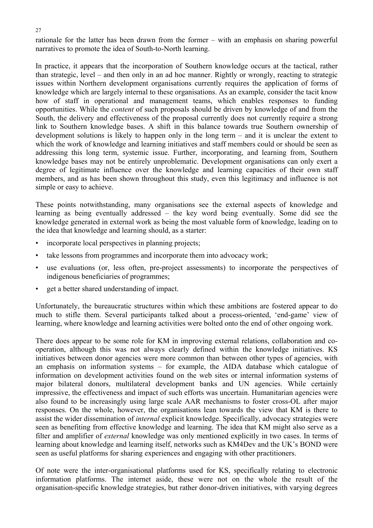rationale for the latter has been drawn from the former – with an emphasis on sharing powerful narratives to promote the idea of South-to-North learning.

In practice, it appears that the incorporation of Southern knowledge occurs at the tactical, rather than strategic, level – and then only in an ad hoc manner. Rightly or wrongly, reacting to strategic issues within Northern development organisations currently requires the application of forms of knowledge which are largely internal to these organisations. As an example, consider the tacit know how of staff in operational and management teams, which enables responses to funding opportunities. While the *content* of such proposals should be driven by knowledge of and from the South, the delivery and effectiveness of the proposal currently does not currently require a strong link to Southern knowledge bases. A shift in this balance towards true Southern ownership of development solutions is likely to happen only in the long term – and it is unclear the extent to which the work of knowledge and learning initiatives and staff members could or should be seen as addressing this long term, systemic issue. Further, incorporating, and learning from, Southern knowledge bases may not be entirely unproblematic. Development organisations can only exert a degree of legitimate influence over the knowledge and learning capacities of their own staff members, and as has been shown throughout this study, even this legitimacy and influence is not simple or easy to achieve.

These points notwithstanding, many organisations see the external aspects of knowledge and learning as being eventually addressed – the key word being eventually. Some did see the knowledge generated in external work as being the most valuable form of knowledge, leading on to the idea that knowledge and learning should, as a starter:

- incorporate local perspectives in planning projects;
- take lessons from programmes and incorporate them into advocacy work;
- use evaluations (or, less often, pre-project assessments) to incorporate the perspectives of indigenous beneficiaries of programmes;
- get a better shared understanding of impact.

Unfortunately, the bureaucratic structures within which these ambitions are fostered appear to do much to stifle them. Several participants talked about a process-oriented, 'end-game' view of learning, where knowledge and learning activities were bolted onto the end of other ongoing work.

There does appear to be some role for KM in improving external relations, collaboration and cooperation, although this was not always clearly defined within the knowledge initiatives. KS initiatives between donor agencies were more common than between other types of agencies, with an emphasis on information systems – for example, the AIDA database which catalogue of information on development activities found on the web sites or internal information systems of major bilateral donors, multilateral development banks and UN agencies. While certainly impressive, the effectiveness and impact of such efforts was uncertain. Humanitarian agencies were also found to be increasingly using large scale AAR mechanisms to foster cross-OL after major responses. On the whole, however, the organisations lean towards the view that KM is there to assist the wider dissemination of *internal* explicit knowledge. Specifically, advocacy strategies were seen as benefiting from effective knowledge and learning. The idea that KM might also serve as a filter and amplifier of *external* knowledge was only mentioned explicitly in two cases. In terms of learning about knowledge and learning itself, networks such as KM4Dev and the UK's BOND were seen as useful platforms for sharing experiences and engaging with other practitioners.

Of note were the inter-organisational platforms used for KS, specifically relating to electronic information platforms. The internet aside, these were not on the whole the result of the organisation-specific knowledge strategies, but rather donor-driven initiatives, with varying degrees

#### 27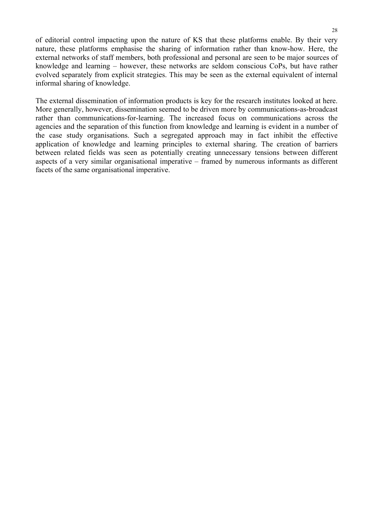of editorial control impacting upon the nature of KS that these platforms enable. By their very nature, these platforms emphasise the sharing of information rather than know-how. Here, the external networks of staff members, both professional and personal are seen to be major sources of knowledge and learning – however, these networks are seldom conscious CoPs, but have rather evolved separately from explicit strategies. This may be seen as the external equivalent of internal informal sharing of knowledge.

The external dissemination of information products is key for the research institutes looked at here. More generally, however, dissemination seemed to be driven more by communications-as-broadcast rather than communications-for-learning. The increased focus on communications across the agencies and the separation of this function from knowledge and learning is evident in a number of the case study organisations. Such a segregated approach may in fact inhibit the effective application of knowledge and learning principles to external sharing. The creation of barriers between related fields was seen as potentially creating unnecessary tensions between different aspects of a very similar organisational imperative – framed by numerous informants as different facets of the same organisational imperative.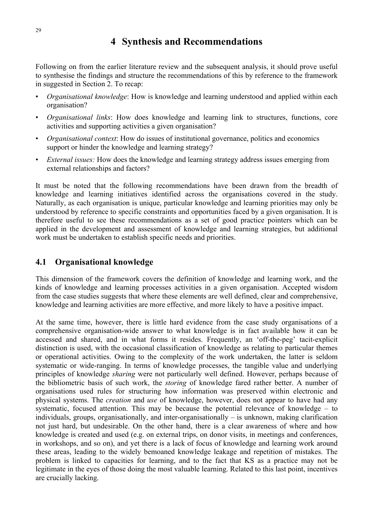# **4 Synthesis and Recommendations**

Following on from the earlier literature review and the subsequent analysis, it should prove useful to synthesise the findings and structure the recommendations of this by reference to the framework in suggested in Section 2. To recap:

- *Organisational knowledge*: How is knowledge and learning understood and applied within each organisation?
- *Organisational links*: How does knowledge and learning link to structures, functions, core activities and supporting activities a given organisation?
- *Organisational context*: How do issues of institutional governance, politics and economics support or hinder the knowledge and learning strategy?
- *External issues:* How does the knowledge and learning strategy address issues emerging from external relationships and factors?

It must be noted that the following recommendations have been drawn from the breadth of knowledge and learning initiatives identified across the organisations covered in the study. Naturally, as each organisation is unique, particular knowledge and learning priorities may only be understood by reference to specific constraints and opportunities faced by a given organisation. It is therefore useful to see these recommendations as a set of good practice pointers which can be applied in the development and assessment of knowledge and learning strategies, but additional work must be undertaken to establish specific needs and priorities.

## **4.1 Organisational knowledge**

This dimension of the framework covers the definition of knowledge and learning work, and the kinds of knowledge and learning processes activities in a given organisation. Accepted wisdom from the case studies suggests that where these elements are well defined, clear and comprehensive, knowledge and learning activities are more effective, and more likely to have a positive impact.

At the same time, however, there is little hard evidence from the case study organisations of a comprehensive organisation-wide answer to what knowledge is in fact available how it can be accessed and shared, and in what forms it resides. Frequently, an 'off-the-peg' tacit-explicit distinction is used, with the occasional classification of knowledge as relating to particular themes or operational activities. Owing to the complexity of the work undertaken, the latter is seldom systematic or wide-ranging. In terms of knowledge processes, the tangible value and underlying principles of knowledge *sharing* were not particularly well defined. However, perhaps because of the bibliometric basis of such work, the *storing* of knowledge fared rather better. A number of organisations used rules for structuring how information was preserved within electronic and physical systems. The *creation* and *use* of knowledge, however, does not appear to have had any systematic, focused attention. This may be because the potential relevance of knowledge – to individuals, groups, organisationally, and inter-organisationally – is unknown, making clarification not just hard, but undesirable. On the other hand, there is a clear awareness of where and how knowledge is created and used (e.g. on external trips, on donor visits, in meetings and conferences, in workshops, and so on), and yet there is a lack of focus of knowledge and learning work around these areas, leading to the widely bemoaned knowledge leakage and repetition of mistakes. The problem is linked to capacities for learning, and to the fact that KS as a practice may not be legitimate in the eyes of those doing the most valuable learning. Related to this last point, incentives are crucially lacking.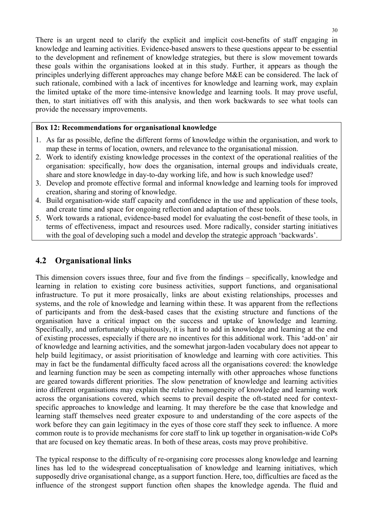There is an urgent need to clarify the explicit and implicit cost-benefits of staff engaging in knowledge and learning activities. Evidence-based answers to these questions appear to be essential to the development and refinement of knowledge strategies, but there is slow movement towards these goals within the organisations looked at in this study. Further, it appears as though the principles underlying different approaches may change before M&E can be considered. The lack of such rationale, combined with a lack of incentives for knowledge and learning work, may explain the limited uptake of the more time-intensive knowledge and learning tools. It may prove useful, then, to start initiatives off with this analysis, and then work backwards to see what tools can provide the necessary improvements.

#### **Box 12: Recommendations for organisational knowledge**

- 1. As far as possible, define the different forms of knowledge within the organisation, and work to map these in terms of location, owners, and relevance to the organisational mission.
- 2. Work to identify existing knowledge processes in the context of the operational realities of the organisation: specifically, how does the organisation, internal groups and individuals create, share and store knowledge in day-to-day working life, and how is such knowledge used?
- 3. Develop and promote effective formal and informal knowledge and learning tools for improved creation, sharing and storing of knowledge.
- 4. Build organisation-wide staff capacity and confidence in the use and application of these tools, and create time and space for ongoing reflection and adaptation of these tools.
- 5. Work towards a rational, evidence-based model for evaluating the cost-benefit of these tools, in terms of effectiveness, impact and resources used. More radically, consider starting initiatives with the goal of developing such a model and develop the strategic approach 'backwards'.

## **4.2 Organisational links**

This dimension covers issues three, four and five from the findings – specifically, knowledge and learning in relation to existing core business activities, support functions, and organisational infrastructure. To put it more prosaically, links are about existing relationships, processes and systems, and the role of knowledge and learning within these. It was apparent from the reflections of participants and from the desk-based cases that the existing structure and functions of the organisation have a critical impact on the success and uptake of knowledge and learning. Specifically, and unfortunately ubiquitously, it is hard to add in knowledge and learning at the end of existing processes, especially if there are no incentives for this additional work. This 'add-on' air of knowledge and learning activities, and the somewhat jargon-laden vocabulary does not appear to help build legitimacy, or assist prioritisation of knowledge and learning with core activities. This may in fact be the fundamental difficulty faced across all the organisations covered: the knowledge and learning function may be seen as competing internally with other approaches whose functions are geared towards different priorities. The slow penetration of knowledge and learning activities into different organisations may explain the relative homogeneity of knowledge and learning work across the organisations covered, which seems to prevail despite the oft-stated need for contextspecific approaches to knowledge and learning. It may therefore be the case that knowledge and learning staff themselves need greater exposure to and understanding of the core aspects of the work before they can gain legitimacy in the eyes of those core staff they seek to influence. A more common route is to provide mechanisms for core staff to link up together in organisation-wide CoPs that are focused on key thematic areas. In both of these areas, costs may prove prohibitive.

The typical response to the difficulty of re-organising core processes along knowledge and learning lines has led to the widespread conceptualisation of knowledge and learning initiatives, which supposedly drive organisational change, as a support function. Here, too, difficulties are faced as the influence of the strongest support function often shapes the knowledge agenda. The fluid and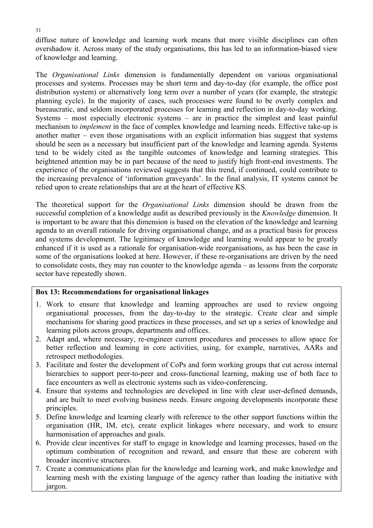diffuse nature of knowledge and learning work means that more visible disciplines can often overshadow it. Across many of the study organisations, this has led to an information-biased view of knowledge and learning.

The *Organisational Links* dimension is fundamentally dependent on various organisational processes and systems. Processes may be short term and day-to-day (for example, the office post distribution system) or alternatively long term over a number of years (for example, the strategic planning cycle). In the majority of cases, such processes were found to be overly complex and bureaucratic, and seldom incorporated processes for learning and reflection in day-to-day working. Systems – most especially electronic systems – are in practice the simplest and least painful mechanism to *implement* in the face of complex knowledge and learning needs. Effective take-up is another matter – even those organisations with an explicit information bias suggest that systems should be seen as a necessary but insufficient part of the knowledge and learning agenda. Systems tend to be widely cited as the tangible outcomes of knowledge and learning strategies. This heightened attention may be in part because of the need to justify high front-end investments. The experience of the organisations reviewed suggests that this trend, if continued, could contribute to the increasing prevalence of 'information graveyards'. In the final analysis, IT systems cannot be relied upon to create relationships that are at the heart of effective KS.

The theoretical support for the *Organisational Links* dimension should be drawn from the successful completion of a knowledge audit as described previously in the *Knowledge* dimension. It is important to be aware that this dimension is based on the elevation of the knowledge and learning agenda to an overall rationale for driving organisational change, and as a practical basis for process and systems development. The legitimacy of knowledge and learning would appear to be greatly enhanced if it is used as a rationale for organisation-wide reorganisations, as has been the case in some of the organisations looked at here. However, if these re-organisations are driven by the need to consolidate costs, they may run counter to the knowledge agenda – as lessons from the corporate sector have repeatedly shown.

#### **Box 13: Recommendations for organisational linkages**

- 1. Work to ensure that knowledge and learning approaches are used to review ongoing organisational processes, from the day-to-day to the strategic. Create clear and simple mechanisms for sharing good practices in these processes, and set up a series of knowledge and learning pilots across groups, departments and offices.
- 2. Adapt and, where necessary, re-engineer current procedures and processes to allow space for better reflection and learning in core activities, using, for example, narratives, AARs and retrospect methodologies.
- 3. Facilitate and foster the development of CoPs and form working groups that cut across internal hierarchies to support peer-to-peer and cross-functional learning, making use of both face to face encounters as well as electronic systems such as video-conferencing.
- 4. Ensure that systems and technologies are developed in line with clear user-defined demands, and are built to meet evolving business needs. Ensure ongoing developments incorporate these principles.
- 5. Define knowledge and learning clearly with reference to the other support functions within the organisation (HR, IM, etc), create explicit linkages where necessary, and work to ensure harmonisation of approaches and goals.
- 6. Provide clear incentives for staff to engage in knowledge and learning processes, based on the optimum combination of recognition and reward, and ensure that these are coherent with broader incentive structures.
- 7. Create a communications plan for the knowledge and learning work, and make knowledge and learning mesh with the existing language of the agency rather than loading the initiative with jargon.

31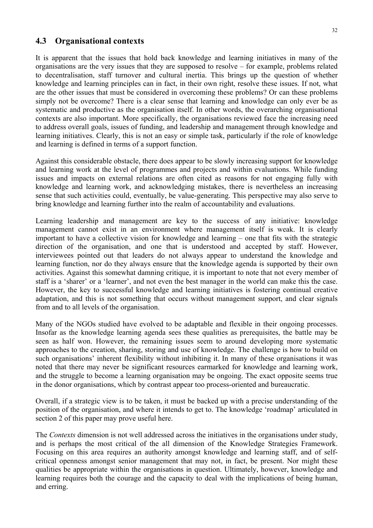#### **4.3 Organisational contexts**

It is apparent that the issues that hold back knowledge and learning initiatives in many of the organisations are the very issues that they are supposed to resolve – for example, problems related to decentralisation, staff turnover and cultural inertia. This brings up the question of whether knowledge and learning principles can in fact, in their own right, resolve these issues. If not, what are the other issues that must be considered in overcoming these problems? Or can these problems simply not be overcome? There is a clear sense that learning and knowledge can only ever be as systematic and productive as the organisation itself. In other words, the overarching organisational contexts are also important. More specifically, the organisations reviewed face the increasing need to address overall goals, issues of funding, and leadership and management through knowledge and learning initiatives. Clearly, this is not an easy or simple task, particularly if the role of knowledge and learning is defined in terms of a support function.

Against this considerable obstacle, there does appear to be slowly increasing support for knowledge and learning work at the level of programmes and projects and within evaluations. While funding issues and impacts on external relations are often cited as reasons for not engaging fully with knowledge and learning work, and acknowledging mistakes, there is nevertheless an increasing sense that such activities could, eventually, be value-generating. This perspective may also serve to bring knowledge and learning further into the realm of accountability and evaluations.

Learning leadership and management are key to the success of any initiative: knowledge management cannot exist in an environment where management itself is weak. It is clearly important to have a collective vision for knowledge and learning – one that fits with the strategic direction of the organisation, and one that is understood and accepted by staff. However, interviewees pointed out that leaders do not always appear to understand the knowledge and learning function, nor do they always ensure that the knowledge agenda is supported by their own activities. Against this somewhat damning critique, it is important to note that not every member of staff is a 'sharer' or a 'learner', and not even the best manager in the world can make this the case. However, the key to successful knowledge and learning initiatives is fostering continual creative adaptation, and this is not something that occurs without management support, and clear signals from and to all levels of the organisation.

Many of the NGOs studied have evolved to be adaptable and flexible in their ongoing processes. Insofar as the knowledge learning agenda sees these qualities as prerequisites, the battle may be seen as half won. However, the remaining issues seem to around developing more systematic approaches to the creation, sharing, storing and use of knowledge. The challenge is how to build on such organisations' inherent flexibility without inhibiting it. In many of these organisations it was noted that there may never be significant resources earmarked for knowledge and learning work, and the struggle to become a learning organisation may be ongoing. The exact opposite seems true in the donor organisations, which by contrast appear too process-oriented and bureaucratic.

Overall, if a strategic view is to be taken, it must be backed up with a precise understanding of the position of the organisation, and where it intends to get to. The knowledge 'roadmap' articulated in section 2 of this paper may prove useful here.

The *Contexts* dimension is not well addressed across the initiatives in the organisations under study, and is perhaps the most critical of the all dimension of the Knowledge Strategies Framework. Focusing on this area requires an authority amongst knowledge and learning staff, and of selfcritical openness amongst senior management that may not, in fact, be present. Nor might these qualities be appropriate within the organisations in question. Ultimately, however, knowledge and learning requires both the courage and the capacity to deal with the implications of being human, and erring.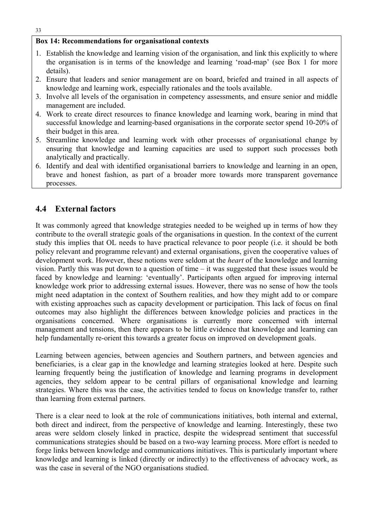#### **Box 14: Recommendations for organisational contexts**

- 1. Establish the knowledge and learning vision of the organisation, and link this explicitly to where the organisation is in terms of the knowledge and learning 'road-map' (see Box 1 for more details).
- 2. Ensure that leaders and senior management are on board, briefed and trained in all aspects of knowledge and learning work, especially rationales and the tools available.
- 3. Involve all levels of the organisation in competency assessments, and ensure senior and middle management are included.
- 4. Work to create direct resources to finance knowledge and learning work, bearing in mind that successful knowledge and learning-based organisations in the corporate sector spend 10-20% of their budget in this area.
- 5. Streamline knowledge and learning work with other processes of organisational change by ensuring that knowledge and learning capacities are used to support such processes both analytically and practically.
- 6. Identify and deal with identified organisational barriers to knowledge and learning in an open, brave and honest fashion, as part of a broader more towards more transparent governance processes.

## **4.4 External factors**

It was commonly agreed that knowledge strategies needed to be weighed up in terms of how they contribute to the overall strategic goals of the organisations in question. In the context of the current study this implies that OL needs to have practical relevance to poor people (i.e. it should be both policy relevant and programme relevant) and external organisations, given the cooperative values of development work. However, these notions were seldom at the *heart* of the knowledge and learning vision. Partly this was put down to a question of time – it was suggested that these issues would be faced by knowledge and learning: 'eventually'. Participants often argued for improving internal knowledge work prior to addressing external issues. However, there was no sense of how the tools might need adaptation in the context of Southern realities, and how they might add to or compare with existing approaches such as capacity development or participation. This lack of focus on final outcomes may also highlight the differences between knowledge policies and practices in the organisations concerned. Where organisations is currently more concerned with internal management and tensions, then there appears to be little evidence that knowledge and learning can help fundamentally re-orient this towards a greater focus on improved on development goals.

Learning between agencies, between agencies and Southern partners, and between agencies and beneficiaries, is a clear gap in the knowledge and learning strategies looked at here. Despite such learning frequently being the justification of knowledge and learning programs in development agencies, they seldom appear to be central pillars of organisational knowledge and learning strategies. Where this was the case, the activities tended to focus on knowledge transfer to, rather than learning from external partners.

There is a clear need to look at the role of communications initiatives, both internal and external, both direct and indirect, from the perspective of knowledge and learning. Interestingly, these two areas were seldom closely linked in practice, despite the widespread sentiment that successful communications strategies should be based on a two-way learning process. More effort is needed to forge links between knowledge and communications initiatives. This is particularly important where knowledge and learning is linked (directly or indirectly) to the effectiveness of advocacy work, as was the case in several of the NGO organisations studied.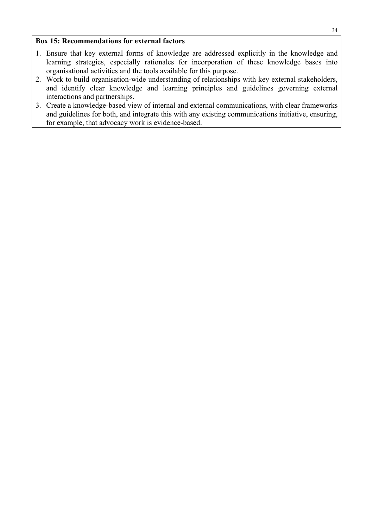#### **Box 15: Recommendations for external factors**

- 1. Ensure that key external forms of knowledge are addressed explicitly in the knowledge and learning strategies, especially rationales for incorporation of these knowledge bases into organisational activities and the tools available for this purpose.
- 2. Work to build organisation-wide understanding of relationships with key external stakeholders, and identify clear knowledge and learning principles and guidelines governing external interactions and partnerships.
- 3. Create a knowledge-based view of internal and external communications, with clear frameworks and guidelines for both, and integrate this with any existing communications initiative, ensuring, for example, that advocacy work is evidence-based.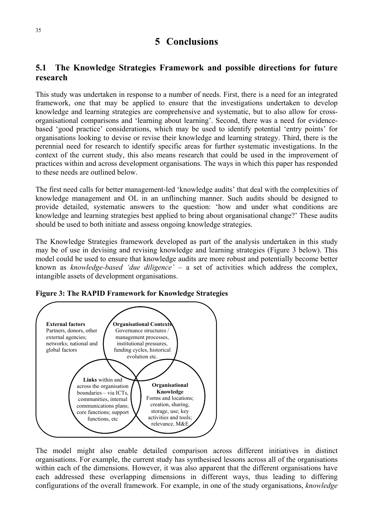## **5 Conclusions**

## **5.1 The Knowledge Strategies Framework and possible directions for future research**

This study was undertaken in response to a number of needs. First, there is a need for an integrated framework, one that may be applied to ensure that the investigations undertaken to develop knowledge and learning strategies are comprehensive and systematic, but to also allow for crossorganisational comparisons and 'learning about learning'. Second, there was a need for evidencebased 'good practice' considerations, which may be used to identify potential 'entry points' for organisations looking to devise or revise their knowledge and learning strategy. Third, there is the perennial need for research to identify specific areas for further systematic investigations. In the context of the current study, this also means research that could be used in the improvement of practices within and across development organisations. The ways in which this paper has responded to these needs are outlined below.

The first need calls for better management-led 'knowledge audits' that deal with the complexities of knowledge management and OL in an unflinching manner. Such audits should be designed to provide detailed, systematic answers to the question: 'how and under what conditions are knowledge and learning strategies best applied to bring about organisational change?' These audits should be used to both initiate and assess ongoing knowledge strategies.

The Knowledge Strategies framework developed as part of the analysis undertaken in this study may be of use in devising and revising knowledge and learning strategies (Figure 3 below). This model could be used to ensure that knowledge audits are more robust and potentially become better known as *knowledge-based 'due diligence'* – a set of activities which address the complex, intangible assets of development organisations.





The model might also enable detailed comparison across different initiatives in distinct organisations. For example, the current study has synthesised lessons across all of the organisations within each of the dimensions. However, it was also apparent that the different organisations have each addressed these overlapping dimensions in different ways, thus leading to differing configurations of the overall framework. For example, in one of the study organisations, *knowledge*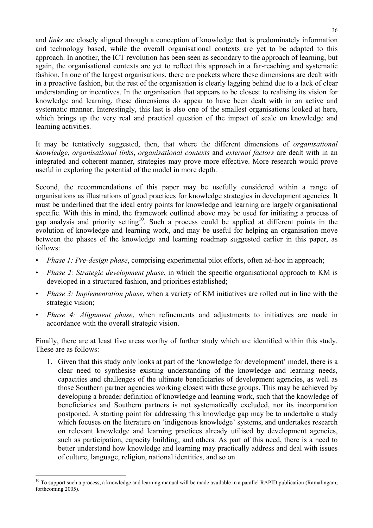and *links* are closely aligned through a conception of knowledge that is predominately information and technology based, while the overall organisational contexts are yet to be adapted to this approach. In another, the ICT revolution has been seen as secondary to the approach of learning, but again, the organisational contexts are yet to reflect this approach in a far-reaching and systematic fashion. In one of the largest organisations, there are pockets where these dimensions are dealt with in a proactive fashion, but the rest of the organisation is clearly lagging behind due to a lack of clear understanding or incentives. In the organisation that appears to be closest to realising its vision for knowledge and learning, these dimensions do appear to have been dealt with in an active and systematic manner. Interestingly, this last is also one of the smallest organisations looked at here, which brings up the very real and practical question of the impact of scale on knowledge and learning activities.

It may be tentatively suggested, then, that where the different dimensions of *organisational knowledge*, *organisational links*, *organisational contexts* and *external factors* are dealt with in an integrated and coherent manner, strategies may prove more effective. More research would prove useful in exploring the potential of the model in more depth.

Second, the recommendations of this paper may be usefully considered within a range of organisations as illustrations of good practices for knowledge strategies in development agencies. It must be underlined that the ideal entry points for knowledge and learning are largely organisational specific. With this in mind, the framework outlined above may be used for initiating a process of gap analysis and priority setting<sup>10</sup>. Such a process could be applied at different points in the evolution of knowledge and learning work, and may be useful for helping an organisation move between the phases of the knowledge and learning roadmap suggested earlier in this paper, as follows:

- *Phase 1: Pre-design phase, comprising experimental pilot efforts, often ad-hoc in approach;*
- *Phase 2: Strategic development phase*, in which the specific organisational approach to KM is developed in a structured fashion, and priorities established;
- *Phase 3: Implementation phase*, when a variety of KM initiatives are rolled out in line with the strategic vision;
- *Phase 4: Alignment phase*, when refinements and adjustments to initiatives are made in accordance with the overall strategic vision.

Finally, there are at least five areas worthy of further study which are identified within this study. These are as follows:

1. Given that this study only looks at part of the 'knowledge for development' model, there is a clear need to synthesise existing understanding of the knowledge and learning needs, capacities and challenges of the ultimate beneficiaries of development agencies, as well as those Southern partner agencies working closest with these groups. This may be achieved by developing a broader definition of knowledge and learning work, such that the knowledge of beneficiaries and Southern partners is not systematically excluded, nor its incorporation postponed. A starting point for addressing this knowledge gap may be to undertake a study which focuses on the literature on 'indigenous knowledge' systems, and undertakes research on relevant knowledge and learning practices already utilised by development agencies, such as participation, capacity building, and others. As part of this need, there is a need to better understand how knowledge and learning may practically address and deal with issues of culture, language, religion, national identities, and so on.

 $\overline{a}$ <sup>10</sup> To support such a process, a knowledge and learning manual will be made available in a parallel RAPID publication (Ramalingam, forthcoming 2005).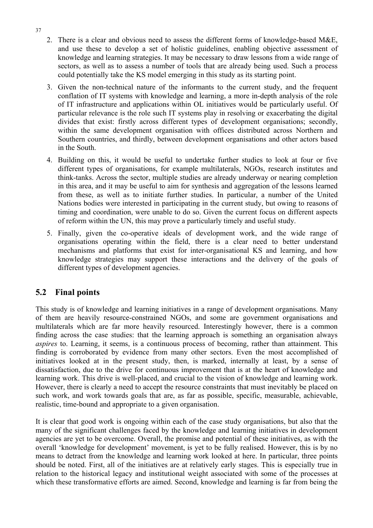- 2. There is a clear and obvious need to assess the different forms of knowledge-based M&E, and use these to develop a set of holistic guidelines, enabling objective assessment of knowledge and learning strategies. It may be necessary to draw lessons from a wide range of sectors, as well as to assess a number of tools that are already being used. Such a process could potentially take the KS model emerging in this study as its starting point.
- 3. Given the non-technical nature of the informants to the current study, and the frequent conflation of IT systems with knowledge and learning, a more in-depth analysis of the role of IT infrastructure and applications within OL initiatives would be particularly useful. Of particular relevance is the role such IT systems play in resolving or exacerbating the digital divides that exist: firstly across different types of development organisations; secondly, within the same development organisation with offices distributed across Northern and Southern countries, and thirdly, between development organisations and other actors based in the South.
- 4. Building on this, it would be useful to undertake further studies to look at four or five different types of organisations, for example multilaterals, NGOs, research institutes and think-tanks. Across the sector, multiple studies are already underway or nearing completion in this area, and it may be useful to aim for synthesis and aggregation of the lessons learned from these, as well as to initiate further studies. In particular, a number of the United Nations bodies were interested in participating in the current study, but owing to reasons of timing and coordination, were unable to do so. Given the current focus on different aspects of reform within the UN, this may prove a particularly timely and useful study.
- 5. Finally, given the co-operative ideals of development work, and the wide range of organisations operating within the field, there is a clear need to better understand mechanisms and platforms that exist for inter-organisational KS and learning, and how knowledge strategies may support these interactions and the delivery of the goals of different types of development agencies.

## **5.2 Final points**

This study is of knowledge and learning initiatives in a range of development organisations. Many of them are heavily resource-constrained NGOs, and some are government organisations and multilaterals which are far more heavily resourced. Interestingly however, there is a common finding across the case studies: that the learning approach is something an organisation always *aspires* to. Learning, it seems, is a continuous process of becoming, rather than attainment. This finding is corroborated by evidence from many other sectors. Even the most accomplished of initiatives looked at in the present study, then, is marked, internally at least, by a sense of dissatisfaction, due to the drive for continuous improvement that is at the heart of knowledge and learning work. This drive is well-placed, and crucial to the vision of knowledge and learning work. However, there is clearly a need to accept the resource constraints that must inevitably be placed on such work, and work towards goals that are, as far as possible, specific, measurable, achievable, realistic, time-bound and appropriate to a given organisation.

It is clear that good work is ongoing within each of the case study organisations, but also that the many of the significant challenges faced by the knowledge and learning initiatives in development agencies are yet to be overcome. Overall, the promise and potential of these initiatives, as with the overall 'knowledge for development' movement, is yet to be fully realised. However, this is by no means to detract from the knowledge and learning work looked at here. In particular, three points should be noted. First, all of the initiatives are at relatively early stages. This is especially true in relation to the historical legacy and institutional weight associated with some of the processes at which these transformative efforts are aimed. Second, knowledge and learning is far from being the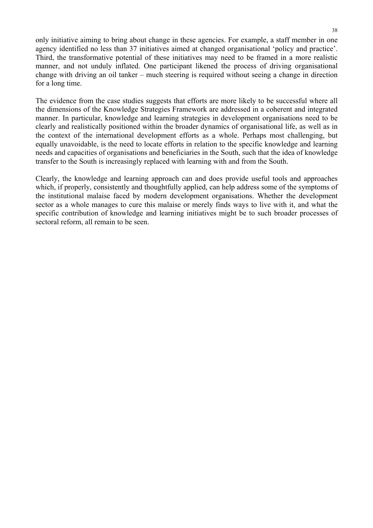only initiative aiming to bring about change in these agencies. For example, a staff member in one agency identified no less than 37 initiatives aimed at changed organisational 'policy and practice'. Third, the transformative potential of these initiatives may need to be framed in a more realistic manner, and not unduly inflated. One participant likened the process of driving organisational change with driving an oil tanker – much steering is required without seeing a change in direction for a long time.

The evidence from the case studies suggests that efforts are more likely to be successful where all the dimensions of the Knowledge Strategies Framework are addressed in a coherent and integrated manner. In particular, knowledge and learning strategies in development organisations need to be clearly and realistically positioned within the broader dynamics of organisational life, as well as in the context of the international development efforts as a whole. Perhaps most challenging, but equally unavoidable, is the need to locate efforts in relation to the specific knowledge and learning needs and capacities of organisations and beneficiaries in the South, such that the idea of knowledge transfer to the South is increasingly replaced with learning with and from the South.

Clearly, the knowledge and learning approach can and does provide useful tools and approaches which, if properly, consistently and thoughtfully applied, can help address some of the symptoms of the institutional malaise faced by modern development organisations. Whether the development sector as a whole manages to cure this malaise or merely finds ways to live with it, and what the specific contribution of knowledge and learning initiatives might be to such broader processes of sectoral reform, all remain to be seen.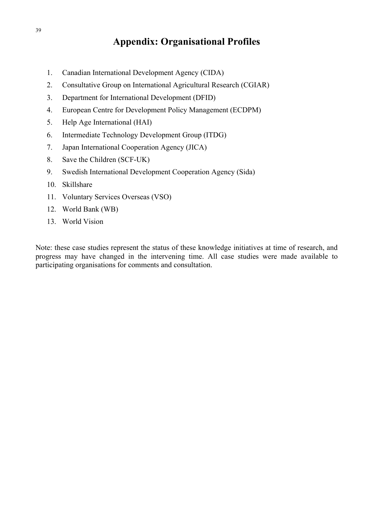# **Appendix: Organisational Profiles**

- 1. Canadian International Development Agency (CIDA)
- 2. Consultative Group on International Agricultural Research (CGIAR)
- 3. Department for International Development (DFID)
- 4. European Centre for Development Policy Management (ECDPM)
- 5. Help Age International (HAI)
- 6. Intermediate Technology Development Group (ITDG)
- 7. Japan International Cooperation Agency (JICA)
- 8. Save the Children (SCF-UK)
- 9. Swedish International Development Cooperation Agency (Sida)
- 10. Skillshare
- 11. Voluntary Services Overseas (VSO)
- 12. World Bank (WB)
- 13. World Vision

Note: these case studies represent the status of these knowledge initiatives at time of research, and progress may have changed in the intervening time. All case studies were made available to participating organisations for comments and consultation.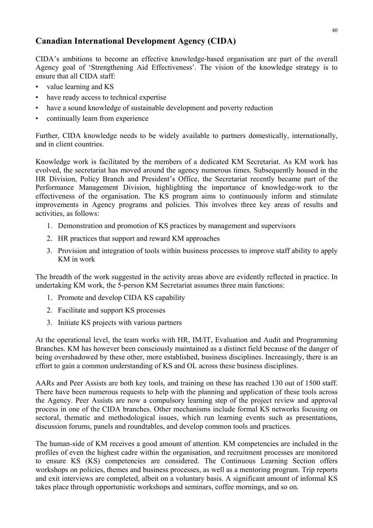## **Canadian International Development Agency (CIDA)**

CIDA's ambitions to become an effective knowledge-based organisation are part of the overall Agency goal of 'Strengthening Aid Effectiveness'. The vision of the knowledge strategy is to ensure that all CIDA staff:

- value learning and KS
- have ready access to technical expertise
- have a sound knowledge of sustainable development and poverty reduction
- continually learn from experience

Further, CIDA knowledge needs to be widely available to partners domestically, internationally, and in client countries.

Knowledge work is facilitated by the members of a dedicated KM Secretariat. As KM work has evolved, the secretariat has moved around the agency numerous times. Subsequently housed in the HR Division, Policy Branch and President's Office, the Secretariat recently became part of the Performance Management Division, highlighting the importance of knowledge-work to the effectiveness of the organisation. The KS program aims to continuously inform and stimulate improvements in Agency programs and policies. This involves three key areas of results and activities, as follows:

- 1. Demonstration and promotion of KS practices by management and supervisors
- 2. HR practices that support and reward KM approaches
- 3. Provision and integration of tools within business processes to improve staff ability to apply KM in work

The breadth of the work suggested in the activity areas above are evidently reflected in practice. In undertaking KM work, the 5-person KM Secretariat assumes three main functions:

- 1. Promote and develop CIDA KS capability
- 2. Facilitate and support KS processes
- 3. Initiate KS projects with various partners

At the operational level, the team works with HR, IM/IT, Evaluation and Audit and Programming Branches. KM has however been consciously maintained as a distinct field because of the danger of being overshadowed by these other, more established, business disciplines. Increasingly, there is an effort to gain a common understanding of KS and OL across these business disciplines.

AARs and Peer Assists are both key tools, and training on these has reached 130 out of 1500 staff. There have been numerous requests to help with the planning and application of these tools across the Agency. Peer Assists are now a compulsory learning step of the project review and approval process in one of the CIDA branches. Other mechanisms include formal KS networks focusing on sectoral, thematic and methodological issues, which run learning events such as presentations, discussion forums, panels and roundtables, and develop common tools and practices.

The human-side of KM receives a good amount of attention. KM competencies are included in the profiles of even the highest cadre within the organisation, and recruitment processes are monitored to ensure KS (KS) competencies are considered. The Continuous Learning Section offers workshops on policies, themes and business processes, as well as a mentoring program. Trip reports and exit interviews are completed, albeit on a voluntary basis. A significant amount of informal KS takes place through opportunistic workshops and seminars, coffee mornings, and so on.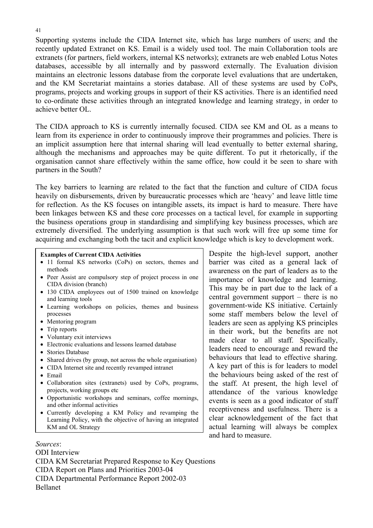Supporting systems include the CIDA Internet site, which has large numbers of users; and the recently updated Extranet on KS. Email is a widely used tool. The main Collaboration tools are extranets (for partners, field workers, internal KS networks); extranets are web enabled Lotus Notes databases, accessible by all internally and by password externally. The Evaluation division maintains an electronic lessons database from the corporate level evaluations that are undertaken, and the KM Secretariat maintains a stories database. All of these systems are used by CoPs, programs, projects and working groups in support of their KS activities. There is an identified need to co-ordinate these activities through an integrated knowledge and learning strategy, in order to achieve better OL.

The CIDA approach to KS is currently internally focused. CIDA see KM and OL as a means to learn from its experience in order to continuously improve their programmes and policies. There is an implicit assumption here that internal sharing will lead eventually to better external sharing, although the mechanisms and approaches may be quite different. To put it rhetorically, if the organisation cannot share effectively within the same office, how could it be seen to share with partners in the South?

The key barriers to learning are related to the fact that the function and culture of CIDA focus heavily on disbursements, driven by bureaucratic processes which are 'heavy' and leave little time for reflection. As the KS focuses on intangible assets, its impact is hard to measure. There have been linkages between KS and these core processes on a tactical level, for example in supporting the business operations group in standardising and simplifying key business processes, which are extremely diversified. The underlying assumption is that such work will free up some time for acquiring and exchanging both the tacit and explicit knowledge which is key to development work.

#### **Examples of Current CIDA Activities**

- 11 formal KS networks (CoPs) on sectors, themes and methods
- Peer Assist are compulsory step of project process in one CIDA division (branch)
- 130 CIDA employees out of 1500 trained on knowledge and learning tools
- Learning workshops on policies, themes and business processes
- Mentoring program
- Trip reports
- Voluntary exit interviews
- Electronic evaluations and lessons learned database
- Stories Database
- Shared drives (by group, not across the whole organisation)
- CIDA Internet site and recently revamped intranet
- Email
- Collaboration sites (extranets) used by CoPs, programs, projects, working groups etc
- Opportunistic workshops and seminars, coffee mornings, and other informal activities
- Currently developing a KM Policy and revamping the Learning Policy, with the objective of having an integrated KM and OL Strategy

*Sources*:

ODI Interview CIDA KM Secretariat Prepared Response to Key Questions CIDA Report on Plans and Priorities 2003-04 CIDA Departmental Performance Report 2002-03 Bellanet

Despite the high-level support, another barrier was cited as a general lack of awareness on the part of leaders as to the importance of knowledge and learning. This may be in part due to the lack of a central government support – there is no government-wide KS initiative. Certainly some staff members below the level of leaders are seen as applying KS principles in their work, but the benefits are not made clear to all staff. Specifically, leaders need to encourage and reward the behaviours that lead to effective sharing. A key part of this is for leaders to model the behaviours being asked of the rest of the staff. At present, the high level of attendance of the various knowledge events is seen as a good indicator of staff receptiveness and usefulness. There is a clear acknowledgement of the fact that actual learning will always be complex and hard to measure.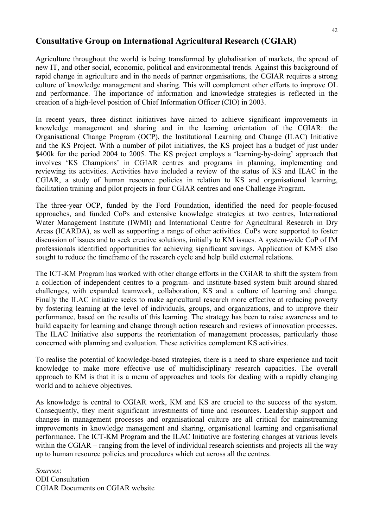## **Consultative Group on International Agricultural Research (CGIAR)**

Agriculture throughout the world is being transformed by globalisation of markets, the spread of new IT, and other social, economic, political and environmental trends. Against this background of rapid change in agriculture and in the needs of partner organisations, the CGIAR requires a strong culture of knowledge management and sharing. This will complement other efforts to improve OL and performance. The importance of information and knowledge strategies is reflected in the creation of a high-level position of Chief Information Officer (CIO) in 2003.

In recent years, three distinct initiatives have aimed to achieve significant improvements in knowledge management and sharing and in the learning orientation of the CGIAR: the Organisational Change Program (OCP), the Institutional Learning and Change (ILAC) Initiative and the KS Project. With a number of pilot initiatives, the KS project has a budget of just under \$400k for the period 2004 to 2005. The KS project employs a 'learning-by-doing' approach that involves 'KS Champions' in CGIAR centres and programs in planning, implementing and reviewing its activities. Activities have included a review of the status of KS and ILAC in the CGIAR, a study of human resource policies in relation to KS and organisational learning, facilitation training and pilot projects in four CGIAR centres and one Challenge Program.

The three-year OCP, funded by the Ford Foundation, identified the need for people-focused approaches, and funded CoPs and extensive knowledge strategies at two centres, International Water Management Institute (IWMI) and International Centre for Agricultural Research in Dry Areas (ICARDA), as well as supporting a range of other activities. CoPs were supported to foster discussion of issues and to seek creative solutions, initially to KM issues. A system-wide CoP of IM professionals identified opportunities for achieving significant savings. Application of KM/S also sought to reduce the timeframe of the research cycle and help build external relations.

The ICT-KM Program has worked with other change efforts in the CGIAR to shift the system from a collection of independent centres to a program- and institute-based system built around shared challenges, with expanded teamwork, collaboration, KS and a culture of learning and change. Finally the ILAC initiative seeks to make agricultural research more effective at reducing poverty by fostering learning at the level of individuals, groups, and organizations, and to improve their performance, based on the results of this learning. The strategy has been to raise awareness and to build capacity for learning and change through action research and reviews of innovation processes. The ILAC Initiative also supports the reorientation of management processes, particularly those concerned with planning and evaluation. These activities complement KS activities.

To realise the potential of knowledge-based strategies, there is a need to share experience and tacit knowledge to make more effective use of multidisciplinary research capacities. The overall approach to KM is that it is a menu of approaches and tools for dealing with a rapidly changing world and to achieve objectives.

As knowledge is central to CGIAR work, KM and KS are crucial to the success of the system. Consequently, they merit significant investments of time and resources. Leadership support and changes in management processes and organisational culture are all critical for mainstreaming improvements in knowledge management and sharing, organisational learning and organisational performance. The ICT-KM Program and the ILAC Initiative are fostering changes at various levels within the CGIAR – ranging from the level of individual research scientists and projects all the way up to human resource policies and procedures which cut across all the centres.

*Sources*: ODI Consultation CGIAR Documents on CGIAR website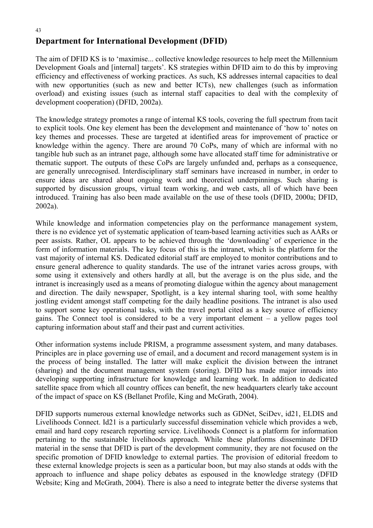### 43 **Department for International Development (DFID)**

The aim of DFID KS is to 'maximise... collective knowledge resources to help meet the Millennium Development Goals and [internal] targets'. KS strategies within DFID aim to do this by improving efficiency and effectiveness of working practices. As such, KS addresses internal capacities to deal with new opportunities (such as new and better ICTs), new challenges (such as information overload) and existing issues (such as internal staff capacities to deal with the complexity of development cooperation) (DFID, 2002a).

The knowledge strategy promotes a range of internal KS tools, covering the full spectrum from tacit to explicit tools. One key element has been the development and maintenance of 'how to' notes on key themes and processes. These are targeted at identified areas for improvement of practice or knowledge within the agency. There are around 70 CoPs, many of which are informal with no tangible hub such as an intranet page, although some have allocated staff time for administrative or thematic support. The outputs of these CoPs are largely unfunded and, perhaps as a consequence, are generally unrecognised. Interdisciplinary staff seminars have increased in number, in order to ensure ideas are shared about ongoing work and theoretical underpinnings. Such sharing is supported by discussion groups, virtual team working, and web casts, all of which have been introduced. Training has also been made available on the use of these tools (DFID, 2000a; DFID, 2002a).

While knowledge and information competencies play on the performance management system, there is no evidence yet of systematic application of team-based learning activities such as AARs or peer assists. Rather, OL appears to be achieved through the 'downloading' of experience in the form of information materials. The key focus of this is the intranet, which is the platform for the vast majority of internal KS. Dedicated editorial staff are employed to monitor contributions and to ensure general adherence to quality standards. The use of the intranet varies across groups, with some using it extensively and others hardly at all, but the average is on the plus side, and the intranet is increasingly used as a means of promoting dialogue within the agency about management and direction. The daily newspaper, Spotlight, is a key internal sharing tool, with some healthy jostling evident amongst staff competing for the daily headline positions. The intranet is also used to support some key operational tasks, with the travel portal cited as a key source of efficiency gains. The Connect tool is considered to be a very important element – a yellow pages tool capturing information about staff and their past and current activities.

Other information systems include PRISM, a programme assessment system, and many databases. Principles are in place governing use of email, and a document and record management system is in the process of being installed. The latter will make explicit the division between the intranet (sharing) and the document management system (storing). DFID has made major inroads into developing supporting infrastructure for knowledge and learning work. In addition to dedicated satellite space from which all country offices can benefit, the new headquarters clearly take account of the impact of space on KS (Bellanet Profile, King and McGrath, 2004).

DFID supports numerous external knowledge networks such as GDNet, SciDev, id21, ELDIS and Livelihoods Connect. Id21 is a particularly successful dissemination vehicle which provides a web, email and hard copy research reporting service. Livelihoods Connect is a platform for information pertaining to the sustainable livelihoods approach. While these platforms disseminate DFID material in the sense that DFID is part of the development community, they are not focused on the specific promotion of DFID knowledge to external parties. The provision of editorial freedom to these external knowledge projects is seen as a particular boon, but may also stands at odds with the approach to influence and shape policy debates as espoused in the knowledge strategy (DFID Website; King and McGrath, 2004). There is also a need to integrate better the diverse systems that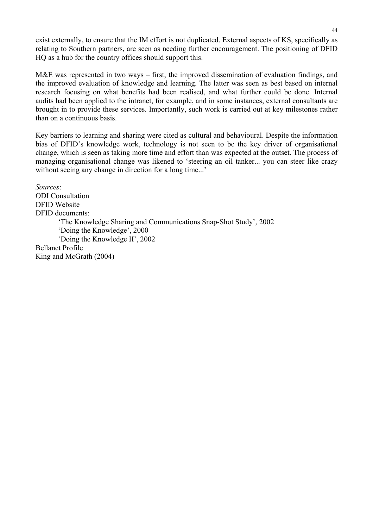exist externally, to ensure that the IM effort is not duplicated. External aspects of KS, specifically as relating to Southern partners, are seen as needing further encouragement. The positioning of DFID HQ as a hub for the country offices should support this.

M&E was represented in two ways – first, the improved dissemination of evaluation findings, and the improved evaluation of knowledge and learning. The latter was seen as best based on internal research focusing on what benefits had been realised, and what further could be done. Internal audits had been applied to the intranet, for example, and in some instances, external consultants are brought in to provide these services. Importantly, such work is carried out at key milestones rather than on a continuous basis.

Key barriers to learning and sharing were cited as cultural and behavioural. Despite the information bias of DFID's knowledge work, technology is not seen to be the key driver of organisational change, which is seen as taking more time and effort than was expected at the outset. The process of managing organisational change was likened to 'steering an oil tanker... you can steer like crazy without seeing any change in direction for a long time...'

*Sources*: ODI Consultation DFID Website DFID documents: 'The Knowledge Sharing and Communications Snap-Shot Study', 2002 'Doing the Knowledge', 2000 'Doing the Knowledge II', 2002 Bellanet Profile King and McGrath (2004)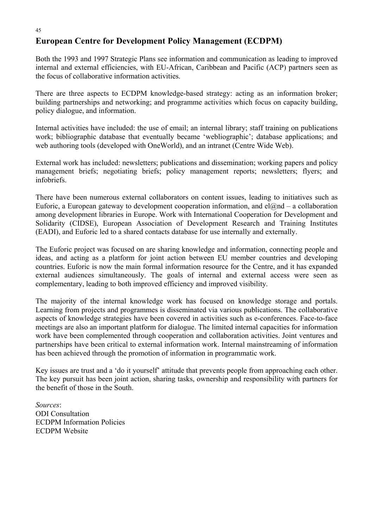## **European Centre for Development Policy Management (ECDPM)**

Both the 1993 and 1997 Strategic Plans see information and communication as leading to improved internal and external efficiencies, with EU-African, Caribbean and Pacific (ACP) partners seen as the focus of collaborative information activities.

There are three aspects to ECDPM knowledge-based strategy: acting as an information broker; building partnerships and networking; and programme activities which focus on capacity building, policy dialogue, and information.

Internal activities have included: the use of email; an internal library; staff training on publications work; bibliographic database that eventually became 'webliographic'; database applications; and web authoring tools (developed with OneWorld), and an intranet (Centre Wide Web).

External work has included: newsletters; publications and dissemination; working papers and policy management briefs; negotiating briefs; policy management reports; newsletters; flyers; and infobriefs.

There have been numerous external collaborators on content issues, leading to initiatives such as Euforic, a European gateway to development cooperation information, and  $el@nd - a$  collaboration among development libraries in Europe. Work with International Cooperation for Development and Solidarity (CIDSE), European Association of Development Research and Training Institutes (EADI), and Euforic led to a shared contacts database for use internally and externally.

The Euforic project was focused on are sharing knowledge and information, connecting people and ideas, and acting as a platform for joint action between EU member countries and developing countries. Euforic is now the main formal information resource for the Centre, and it has expanded external audiences simultaneously. The goals of internal and external access were seen as complementary, leading to both improved efficiency and improved visibility.

The majority of the internal knowledge work has focused on knowledge storage and portals. Learning from projects and programmes is disseminated via various publications. The collaborative aspects of knowledge strategies have been covered in activities such as e-conferences. Face-to-face meetings are also an important platform for dialogue. The limited internal capacities for information work have been complemented through cooperation and collaboration activities. Joint ventures and partnerships have been critical to external information work. Internal mainstreaming of information has been achieved through the promotion of information in programmatic work.

Key issues are trust and a 'do it yourself' attitude that prevents people from approaching each other. The key pursuit has been joint action, sharing tasks, ownership and responsibility with partners for the benefit of those in the South.

*Sources*: ODI Consultation ECDPM Information Policies ECDPM Website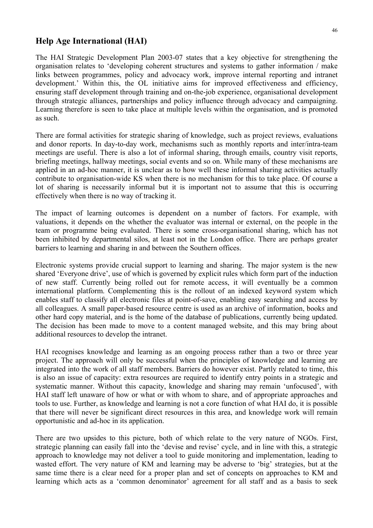#### **Help Age International (HAI)**

The HAI Strategic Development Plan 2003-07 states that a key objective for strengthening the organisation relates to 'developing coherent structures and systems to gather information / make links between programmes, policy and advocacy work, improve internal reporting and intranet development.' Within this, the OL initiative aims for improved effectiveness and efficiency, ensuring staff development through training and on-the-job experience, organisational development through strategic alliances, partnerships and policy influence through advocacy and campaigning. Learning therefore is seen to take place at multiple levels within the organisation, and is promoted as such.

There are formal activities for strategic sharing of knowledge, such as project reviews, evaluations and donor reports. In day-to-day work, mechanisms such as monthly reports and inter/intra-team meetings are useful. There is also a lot of informal sharing, through emails, country visit reports, briefing meetings, hallway meetings, social events and so on. While many of these mechanisms are applied in an ad-hoc manner, it is unclear as to how well these informal sharing activities actually contribute to organisation-wide KS when there is no mechanism for this to take place. Of course a lot of sharing is necessarily informal but it is important not to assume that this is occurring effectively when there is no way of tracking it.

The impact of learning outcomes is dependent on a number of factors. For example, with valuations, it depends on the whether the evaluator was internal or external, on the people in the team or programme being evaluated. There is some cross-organisational sharing, which has not been inhibited by departmental silos, at least not in the London office. There are perhaps greater barriers to learning and sharing in and between the Southern offices.

Electronic systems provide crucial support to learning and sharing. The major system is the new shared 'Everyone drive', use of which is governed by explicit rules which form part of the induction of new staff. Currently being rolled out for remote access, it will eventually be a common international platform. Complementing this is the rollout of an indexed keyword system which enables staff to classify all electronic files at point-of-save, enabling easy searching and access by all colleagues. A small paper-based resource centre is used as an archive of information, books and other hard copy material, and is the home of the database of publications, currently being updated. The decision has been made to move to a content managed website, and this may bring about additional resources to develop the intranet.

HAI recognises knowledge and learning as an ongoing process rather than a two or three year project. The approach will only be successful when the principles of knowledge and learning are integrated into the work of all staff members. Barriers do however exist. Partly related to time, this is also an issue of capacity: extra resources are required to identify entry points in a strategic and systematic manner. Without this capacity, knowledge and sharing may remain 'unfocused', with HAI staff left unaware of how or what or with whom to share, and of appropriate approaches and tools to use. Further, as knowledge and learning is not a core function of what HAI do, it is possible that there will never be significant direct resources in this area, and knowledge work will remain opportunistic and ad-hoc in its application.

There are two upsides to this picture, both of which relate to the very nature of NGOs. First, strategic planning can easily fall into the 'devise and revise' cycle, and in line with this, a strategic approach to knowledge may not deliver a tool to guide monitoring and implementation, leading to wasted effort. The very nature of KM and learning may be adverse to 'big' strategies, but at the same time there is a clear need for a proper plan and set of concepts on approaches to KM and learning which acts as a 'common denominator' agreement for all staff and as a basis to seek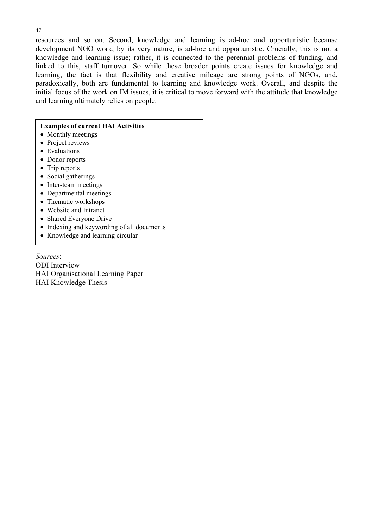resources and so on. Second, knowledge and learning is ad-hoc and opportunistic because development NGO work, by its very nature, is ad-hoc and opportunistic. Crucially, this is not a knowledge and learning issue; rather, it is connected to the perennial problems of funding, and linked to this, staff turnover. So while these broader points create issues for knowledge and learning, the fact is that flexibility and creative mileage are strong points of NGOs, and, paradoxically, both are fundamental to learning and knowledge work. Overall, and despite the initial focus of the work on IM issues, it is critical to move forward with the attitude that knowledge and learning ultimately relies on people.

#### **Examples of current HAI Activities**

- Monthly meetings
- Project reviews
- Evaluations
- Donor reports
- Trip reports
- Social gatherings
- Inter-team meetings
- Departmental meetings
- Thematic workshops
- Website and Intranet
- Shared Everyone Drive
- Indexing and keywording of all documents
- Knowledge and learning circular

*Sources*: ODI Interview HAI Organisational Learning Paper HAI Knowledge Thesis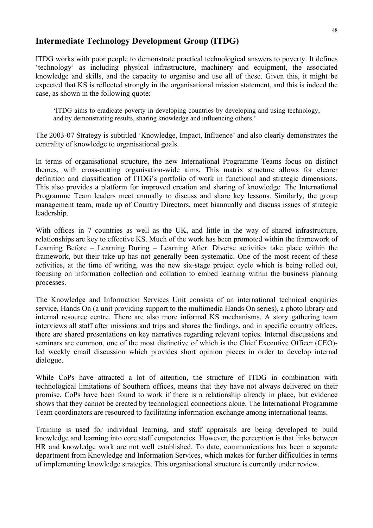## **Intermediate Technology Development Group (ITDG)**

ITDG works with poor people to demonstrate practical technological answers to poverty. It defines 'technology' as including physical infrastructure, machinery and equipment, the associated knowledge and skills, and the capacity to organise and use all of these. Given this, it might be expected that KS is reflected strongly in the organisational mission statement, and this is indeed the case, as shown in the following quote:

'ITDG aims to eradicate poverty in developing countries by developing and using technology, and by demonstrating results, sharing knowledge and influencing others.'

The 2003-07 Strategy is subtitled 'Knowledge, Impact, Influence' and also clearly demonstrates the centrality of knowledge to organisational goals.

In terms of organisational structure, the new International Programme Teams focus on distinct themes, with cross-cutting organisation-wide aims. This matrix structure allows for clearer definition and classification of ITDG's portfolio of work in functional and strategic dimensions. This also provides a platform for improved creation and sharing of knowledge. The International Programme Team leaders meet annually to discuss and share key lessons. Similarly, the group management team, made up of Country Directors, meet biannually and discuss issues of strategic leadership.

With offices in 7 countries as well as the UK, and little in the way of shared infrastructure, relationships are key to effective KS. Much of the work has been promoted within the framework of Learning Before – Learning During – Learning After. Diverse activities take place within the framework, but their take-up has not generally been systematic. One of the most recent of these activities, at the time of writing, was the new six-stage project cycle which is being rolled out, focusing on information collection and collation to embed learning within the business planning processes.

The Knowledge and Information Services Unit consists of an international technical enquiries service, Hands On (a unit providing support to the multimedia Hands On series), a photo library and internal resource centre. There are also more informal KS mechanisms. A story gathering team interviews all staff after missions and trips and shares the findings, and in specific country offices, there are shared presentations on key narratives regarding relevant topics. Internal discussions and seminars are common, one of the most distinctive of which is the Chief Executive Officer (CEO) led weekly email discussion which provides short opinion pieces in order to develop internal dialogue.

While CoPs have attracted a lot of attention, the structure of ITDG in combination with technological limitations of Southern offices, means that they have not always delivered on their promise. CoPs have been found to work if there is a relationship already in place, but evidence shows that they cannot be created by technological connections alone. The International Programme Team coordinators are resourced to facilitating information exchange among international teams.

Training is used for individual learning, and staff appraisals are being developed to build knowledge and learning into core staff competencies. However, the perception is that links between HR and knowledge work are not well established. To date, communications has been a separate department from Knowledge and Information Services, which makes for further difficulties in terms of implementing knowledge strategies. This organisational structure is currently under review.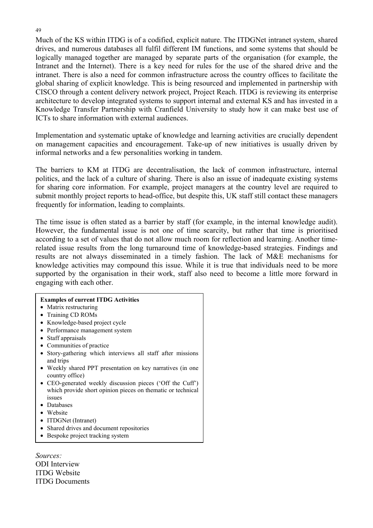Much of the KS within ITDG is of a codified, explicit nature. The ITDGNet intranet system, shared drives, and numerous databases all fulfil different IM functions, and some systems that should be logically managed together are managed by separate parts of the organisation (for example, the Intranet and the Internet). There is a key need for rules for the use of the shared drive and the intranet. There is also a need for common infrastructure across the country offices to facilitate the global sharing of explicit knowledge. This is being resourced and implemented in partnership with CISCO through a content delivery network project, Project Reach. ITDG is reviewing its enterprise architecture to develop integrated systems to support internal and external KS and has invested in a Knowledge Transfer Partnership with Cranfield University to study how it can make best use of ICTs to share information with external audiences.

Implementation and systematic uptake of knowledge and learning activities are crucially dependent on management capacities and encouragement. Take-up of new initiatives is usually driven by informal networks and a few personalities working in tandem.

The barriers to KM at ITDG are decentralisation, the lack of common infrastructure, internal politics, and the lack of a culture of sharing. There is also an issue of inadequate existing systems for sharing core information. For example, project managers at the country level are required to submit monthly project reports to head-office, but despite this, UK staff still contact these managers frequently for information, leading to complaints.

The time issue is often stated as a barrier by staff (for example, in the internal knowledge audit). However, the fundamental issue is not one of time scarcity, but rather that time is prioritised according to a set of values that do not allow much room for reflection and learning. Another timerelated issue results from the long turnaround time of knowledge-based strategies. Findings and results are not always disseminated in a timely fashion. The lack of M&E mechanisms for knowledge activities may compound this issue. While it is true that individuals need to be more supported by the organisation in their work, staff also need to become a little more forward in engaging with each other.

| <b>Examples of current ITDG Activities</b>                                                                                         |
|------------------------------------------------------------------------------------------------------------------------------------|
| • Matrix restructuring                                                                                                             |
|                                                                                                                                    |
| • Training CD ROMs                                                                                                                 |
| Knowledge-based project cycle                                                                                                      |
| Performance management system                                                                                                      |
| • Staff appraisals                                                                                                                 |
| • Communities of practice                                                                                                          |
| Story-gathering which interviews all staff after missions<br>and trips                                                             |
| • Weekly shared PPT presentation on key narratives (in one<br>country office)                                                      |
| • CEO-generated weekly discussion pieces ('Off the Cuff')<br>which provide short opinion pieces on thematic or technical<br>issues |
| Databases                                                                                                                          |
| • Website                                                                                                                          |
| ITDGNet (Intranet)                                                                                                                 |
| Shared drives and document repositories                                                                                            |
| Bespoke project tracking system                                                                                                    |

*Sources:*  ODI Interview ITDG Website ITDG Documents

#### 49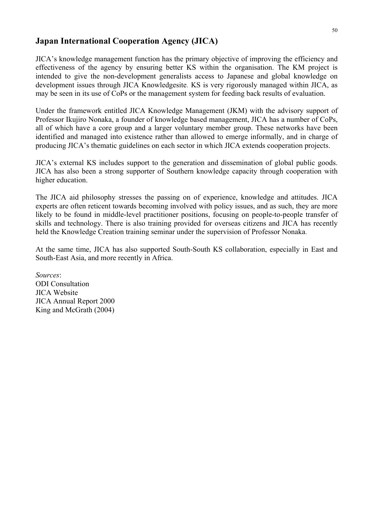### **Japan International Cooperation Agency (JICA)**

JICA's knowledge management function has the primary objective of improving the efficiency and effectiveness of the agency by ensuring better KS within the organisation. The KM project is intended to give the non-development generalists access to Japanese and global knowledge on development issues through JICA Knowledgesite. KS is very rigorously managed within JICA, as may be seen in its use of CoPs or the management system for feeding back results of evaluation.

Under the framework entitled JICA Knowledge Management (JKM) with the advisory support of Professor Ikujiro Nonaka, a founder of knowledge based management, JICA has a number of CoPs, all of which have a core group and a larger voluntary member group. These networks have been identified and managed into existence rather than allowed to emerge informally, and in charge of producing JICA's thematic guidelines on each sector in which JICA extends cooperation projects.

JICA's external KS includes support to the generation and dissemination of global public goods. JICA has also been a strong supporter of Southern knowledge capacity through cooperation with higher education.

The JICA aid philosophy stresses the passing on of experience, knowledge and attitudes. JICA experts are often reticent towards becoming involved with policy issues, and as such, they are more likely to be found in middle-level practitioner positions, focusing on people-to-people transfer of skills and technology. There is also training provided for overseas citizens and JICA has recently held the Knowledge Creation training seminar under the supervision of Professor Nonaka.

At the same time, JICA has also supported South-South KS collaboration, especially in East and South-East Asia, and more recently in Africa.

*Sources*: ODI Consultation JICA Website JICA Annual Report 2000 King and McGrath (2004)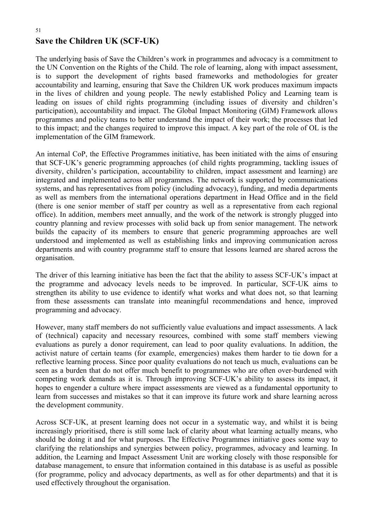# **Save the Children UK (SCF-UK)**

The underlying basis of Save the Children's work in programmes and advocacy is a commitment to the UN Convention on the Rights of the Child. The role of learning, along with impact assessment, is to support the development of rights based frameworks and methodologies for greater accountability and learning, ensuring that Save the Children UK work produces maximum impacts in the lives of children and young people. The newly established Policy and Learning team is leading on issues of child rights programming (including issues of diversity and children's participation), accountability and impact. The Global Impact Monitoring (GIM) Framework allows programmes and policy teams to better understand the impact of their work; the processes that led to this impact; and the changes required to improve this impact. A key part of the role of OL is the implementation of the GIM framework.

An internal CoP, the Effective Programmes initiative, has been initiated with the aims of ensuring that SCF-UK's generic programming approaches (of child rights programming, tackling issues of diversity, children's participation, accountability to children, impact assessment and learning) are integrated and implemented across all programmes. The network is supported by communications systems, and has representatives from policy (including advocacy), funding, and media departments as well as members from the international operations department in Head Office and in the field (there is one senior member of staff per country as well as a representative from each regional office). In addition, members meet annually, and the work of the network is strongly plugged into country planning and review processes with solid back up from senior management. The network builds the capacity of its members to ensure that generic programming approaches are well understood and implemented as well as establishing links and improving communication across departments and with country programme staff to ensure that lessons learned are shared across the organisation.

The driver of this learning initiative has been the fact that the ability to assess SCF-UK's impact at the programme and advocacy levels needs to be improved. In particular, SCF-UK aims to strengthen its ability to use evidence to identify what works and what does not, so that learning from these assessments can translate into meaningful recommendations and hence, improved programming and advocacy.

However, many staff members do not sufficiently value evaluations and impact assessments. A lack of (technical) capacity and necessary resources, combined with some staff members viewing evaluations as purely a donor requirement, can lead to poor quality evaluations. In addition, the activist nature of certain teams (for example, emergencies) makes them harder to tie down for a reflective learning process. Since poor quality evaluations do not teach us much, evaluations can be seen as a burden that do not offer much benefit to programmes who are often over-burdened with competing work demands as it is. Through improving SCF-UK's ability to assess its impact, it hopes to engender a culture where impact assessments are viewed as a fundamental opportunity to learn from successes and mistakes so that it can improve its future work and share learning across the development community.

Across SCF-UK, at present learning does not occur in a systematic way, and whilst it is being increasingly prioritised, there is still some lack of clarity about what learning actually means, who should be doing it and for what purposes. The Effective Programmes initiative goes some way to clarifying the relationships and synergies between policy, programmes, advocacy and learning. In addition, the Learning and Impact Assessment Unit are working closely with those responsible for database management, to ensure that information contained in this database is as useful as possible (for programme, policy and advocacy departments, as well as for other departments) and that it is used effectively throughout the organisation.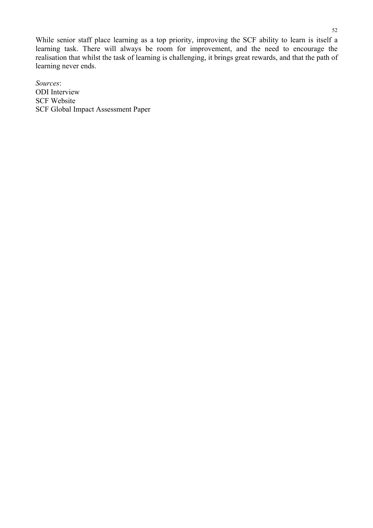While senior staff place learning as a top priority, improving the SCF ability to learn is itself a learning task. There will always be room for improvement, and the need to encourage the realisation that whilst the task of learning is challenging, it brings great rewards, and that the path of learning never ends.

*Sources*: ODI Interview SCF Website SCF Global Impact Assessment Paper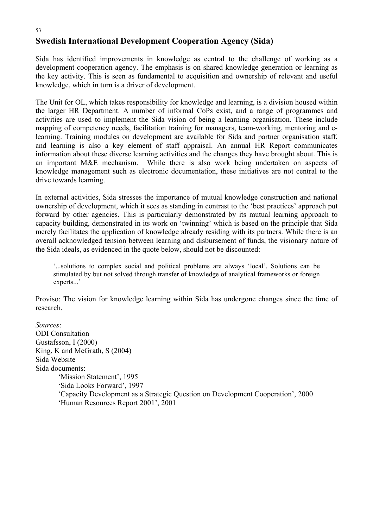#### 53

## **Swedish International Development Cooperation Agency (Sida)**

Sida has identified improvements in knowledge as central to the challenge of working as a development cooperation agency. The emphasis is on shared knowledge generation or learning as the key activity. This is seen as fundamental to acquisition and ownership of relevant and useful knowledge, which in turn is a driver of development.

The Unit for OL, which takes responsibility for knowledge and learning, is a division housed within the larger HR Department. A number of informal CoPs exist, and a range of programmes and activities are used to implement the Sida vision of being a learning organisation. These include mapping of competency needs, facilitation training for managers, team-working, mentoring and elearning. Training modules on development are available for Sida and partner organisation staff, and learning is also a key element of staff appraisal. An annual HR Report communicates information about these diverse learning activities and the changes they have brought about. This is an important M&E mechanism. While there is also work being undertaken on aspects of knowledge management such as electronic documentation, these initiatives are not central to the drive towards learning.

In external activities, Sida stresses the importance of mutual knowledge construction and national ownership of development, which it sees as standing in contrast to the 'best practices' approach put forward by other agencies. This is particularly demonstrated by its mutual learning approach to capacity building, demonstrated in its work on 'twinning' which is based on the principle that Sida merely facilitates the application of knowledge already residing with its partners. While there is an overall acknowledged tension between learning and disbursement of funds, the visionary nature of the Sida ideals, as evidenced in the quote below, should not be discounted:

'...solutions to complex social and political problems are always 'local'. Solutions can be stimulated by but not solved through transfer of knowledge of analytical frameworks or foreign experts...'

Proviso: The vision for knowledge learning within Sida has undergone changes since the time of research.

*Sources*: ODI Consultation Gustafsson, I (2000) King, K and McGrath, S (2004) Sida Website Sida documents: 'Mission Statement', 1995 'Sida Looks Forward', 1997 'Capacity Development as a Strategic Question on Development Cooperation', 2000 'Human Resources Report 2001', 2001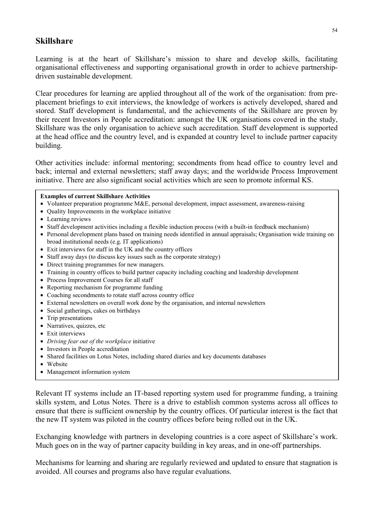## **Skillshare**

Learning is at the heart of Skillshare's mission to share and develop skills, facilitating organisational effectiveness and supporting organisational growth in order to achieve partnershipdriven sustainable development.

Clear procedures for learning are applied throughout all of the work of the organisation: from preplacement briefings to exit interviews, the knowledge of workers is actively developed, shared and stored. Staff development is fundamental, and the achievements of the Skillshare are proven by their recent Investors in People accreditation: amongst the UK organisations covered in the study, Skillshare was the only organisation to achieve such accreditation. Staff development is supported at the head office and the country level, and is expanded at country level to include partner capacity building.

Other activities include: informal mentoring; secondments from head office to country level and back; internal and external newsletters; staff away days; and the worldwide Process Improvement initiative. There are also significant social activities which are seen to promote informal KS.

#### **Examples of current Skillshare Activities**

- Volunteer preparation programme M&E, personal development, impact assessment, awareness-raising
- Quality Improvements in the workplace initiative
- Learning reviews
- Staff development activities including a flexible induction process (with a built-in feedback mechanism)
- Personal development plans based on training needs identified in annual appraisals; Organisation wide training on broad institutional needs (e.g. IT applications)
- Exit interviews for staff in the UK and the country offices
- Staff away days (to discuss key issues such as the corporate strategy)
- Direct training programmes for new managers.
- Training in country offices to build partner capacity including coaching and leadership development
- Process Improvement Courses for all staff
- Reporting mechanism for programme funding
- Coaching secondments to rotate staff across country office
- External newsletters on overall work done by the organisation, and internal newsletters
- Social gatherings, cakes on birthdays
- Trip presentations
- Narratives, quizzes, etc
- Exit interviews
- *Driving fear out of the workplace* initiative
- Investors in People accreditation
- Shared facilities on Lotus Notes, including shared diaries and key documents databases
- Website
- Management information system

Relevant IT systems include an IT-based reporting system used for programme funding, a training skills system, and Lotus Notes. There is a drive to establish common systems across all offices to ensure that there is sufficient ownership by the country offices. Of particular interest is the fact that the new IT system was piloted in the country offices before being rolled out in the UK.

Exchanging knowledge with partners in developing countries is a core aspect of Skillshare's work. Much goes on in the way of partner capacity building in key areas, and in one-off partnerships.

Mechanisms for learning and sharing are regularly reviewed and updated to ensure that stagnation is avoided. All courses and programs also have regular evaluations.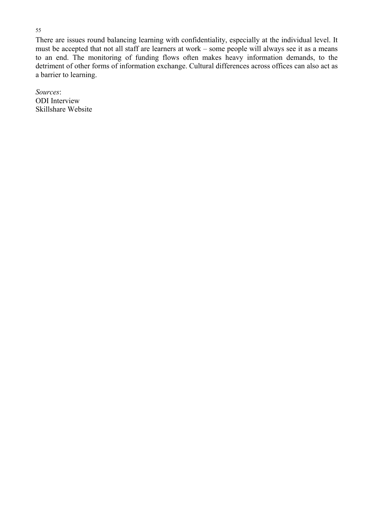There are issues round balancing learning with confidentiality, especially at the individual level. It must be accepted that not all staff are learners at work – some people will always see it as a means to an end. The monitoring of funding flows often makes heavy information demands, to the detriment of other forms of information exchange. Cultural differences across offices can also act as a barrier to learning.

*Sources*: ODI Interview Skillshare Website

#### 55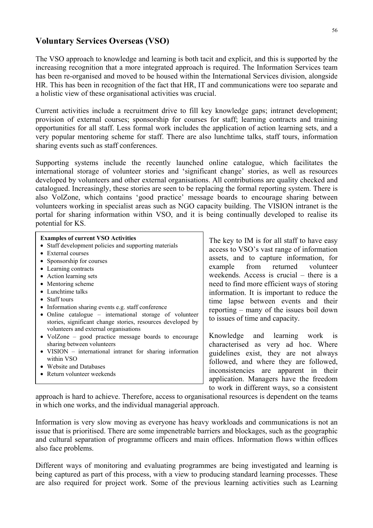#### **Voluntary Services Overseas (VSO)**

The VSO approach to knowledge and learning is both tacit and explicit, and this is supported by the increasing recognition that a more integrated approach is required. The Information Services team has been re-organised and moved to be housed within the International Services division, alongside HR. This has been in recognition of the fact that HR, IT and communications were too separate and a holistic view of these organisational activities was crucial.

Current activities include a recruitment drive to fill key knowledge gaps; intranet development; provision of external courses; sponsorship for courses for staff; learning contracts and training opportunities for all staff. Less formal work includes the application of action learning sets, and a very popular mentoring scheme for staff. There are also lunchtime talks, staff tours, information sharing events such as staff conferences.

Supporting systems include the recently launched online catalogue, which facilitates the international storage of volunteer stories and 'significant change' stories, as well as resources developed by volunteers and other external organisations. All contributions are quality checked and catalogued. Increasingly, these stories are seen to be replacing the formal reporting system. There is also VolZone, which contains 'good practice' message boards to encourage sharing between volunteers working in specialist areas such as NGO capacity building. The VISION intranet is the portal for sharing information within VSO, and it is being continually developed to realise its potential for KS.

#### **Examples of current VSO Activities**

- Staff development policies and supporting materials
- External courses
- Sponsorship for courses
- Learning contracts
- Action learning sets
- Mentoring scheme
- Lunchtime talks
- Staff tours
- Information sharing events e.g. staff conference
- Online catalogue international storage of volunteer stories, significant change stories, resources developed by volunteers and external organisations
- VolZone good practice message boards to encourage sharing between volunteers
- VISION international intranet for sharing information within VSO
- Website and Databases
- Return volunteer weekends

The key to IM is for all staff to have easy access to VSO's vast range of information assets, and to capture information, for example from returned volunteer weekends. Access is crucial – there is a need to find more efficient ways of storing information. It is important to reduce the time lapse between events and their reporting – many of the issues boil down to issues of time and capacity.

Knowledge and learning work is characterised as very ad hoc. Where guidelines exist, they are not always followed, and where they are followed, inconsistencies are apparent in their application. Managers have the freedom to work in different ways, so a consistent

approach is hard to achieve. Therefore, access to organisational resources is dependent on the teams in which one works, and the individual managerial approach.

Information is very slow moving as everyone has heavy workloads and communications is not an issue that is prioritised. There are some impenetrable barriers and blockages, such as the geographic and cultural separation of programme officers and main offices. Information flows within offices also face problems.

Different ways of monitoring and evaluating programmes are being investigated and learning is being captured as part of this process, with a view to producing standard learning processes. These are also required for project work. Some of the previous learning activities such as Learning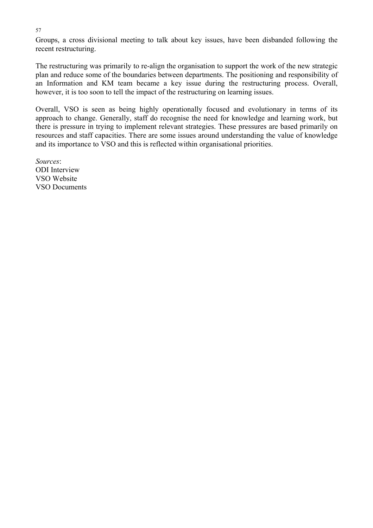57

Groups, a cross divisional meeting to talk about key issues, have been disbanded following the recent restructuring.

The restructuring was primarily to re-align the organisation to support the work of the new strategic plan and reduce some of the boundaries between departments. The positioning and responsibility of an Information and KM team became a key issue during the restructuring process. Overall, however, it is too soon to tell the impact of the restructuring on learning issues.

Overall, VSO is seen as being highly operationally focused and evolutionary in terms of its approach to change. Generally, staff do recognise the need for knowledge and learning work, but there is pressure in trying to implement relevant strategies. These pressures are based primarily on resources and staff capacities. There are some issues around understanding the value of knowledge and its importance to VSO and this is reflected within organisational priorities.

*Sources*: ODI Interview VSO Website VSO Documents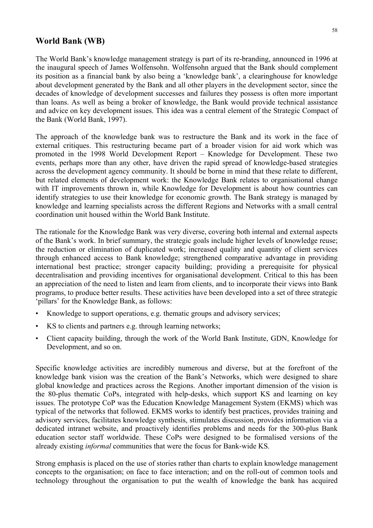### **World Bank (WB)**

The World Bank's knowledge management strategy is part of its re-branding, announced in 1996 at the inaugural speech of James Wolfensohn. Wolfensohn argued that the Bank should complement its position as a financial bank by also being a 'knowledge bank', a clearinghouse for knowledge about development generated by the Bank and all other players in the development sector, since the decades of knowledge of development successes and failures they possess is often more important than loans. As well as being a broker of knowledge, the Bank would provide technical assistance and advice on key development issues. This idea was a central element of the Strategic Compact of the Bank (World Bank, 1997).

The approach of the knowledge bank was to restructure the Bank and its work in the face of external critiques. This restructuring became part of a broader vision for aid work which was promoted in the 1998 World Development Report – Knowledge for Development. These two events, perhaps more than any other, have driven the rapid spread of knowledge-based strategies across the development agency community. It should be borne in mind that these relate to different, but related elements of development work: the Knowledge Bank relates to organisational change with IT improvements thrown in, while Knowledge for Development is about how countries can identify strategies to use their knowledge for economic growth. The Bank strategy is managed by knowledge and learning specialists across the different Regions and Networks with a small central coordination unit housed within the World Bank Institute.

The rationale for the Knowledge Bank was very diverse, covering both internal and external aspects of the Bank's work. In brief summary, the strategic goals include higher levels of knowledge reuse; the reduction or elimination of duplicated work; increased quality and quantity of client services through enhanced access to Bank knowledge; strengthened comparative advantage in providing international best practice; stronger capacity building; providing a prerequisite for physical decentralisation and providing incentives for organisational development. Critical to this has been an appreciation of the need to listen and learn from clients, and to incorporate their views into Bank programs, to produce better results. These activities have been developed into a set of three strategic 'pillars' for the Knowledge Bank, as follows:

- Knowledge to support operations, e.g. thematic groups and advisory services;
- KS to clients and partners e.g. through learning networks;
- Client capacity building, through the work of the World Bank Institute, GDN, Knowledge for Development, and so on.

Specific knowledge activities are incredibly numerous and diverse, but at the forefront of the knowledge bank vision was the creation of the Bank's Networks, which were designed to share global knowledge and practices across the Regions. Another important dimension of the vision is the 80-plus thematic CoPs, integrated with help-desks, which support KS and learning on key issues. The prototype CoP was the Education Knowledge Management System (EKMS) which was typical of the networks that followed. EKMS works to identify best practices, provides training and advisory services, facilitates knowledge synthesis, stimulates discussion, provides information via a dedicated intranet website, and proactively identifies problems and needs for the 300-plus Bank education sector staff worldwide. These CoPs were designed to be formalised versions of the already existing *informal* communities that were the focus for Bank-wide KS.

Strong emphasis is placed on the use of stories rather than charts to explain knowledge management concepts to the organisation; on face to face interaction; and on the roll-out of common tools and technology throughout the organisation to put the wealth of knowledge the bank has acquired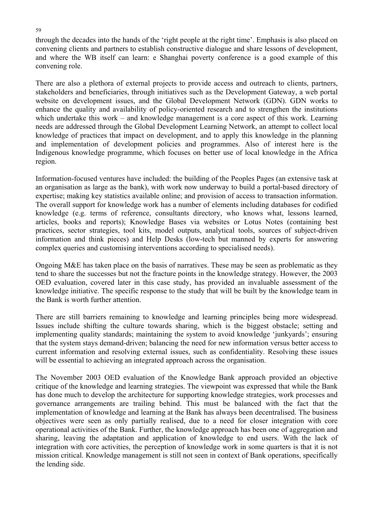through the decades into the hands of the 'right people at the right time'. Emphasis is also placed on convening clients and partners to establish constructive dialogue and share lessons of development, and where the WB itself can learn: e Shanghai poverty conference is a good example of this convening role.

There are also a plethora of external projects to provide access and outreach to clients, partners, stakeholders and beneficiaries, through initiatives such as the Development Gateway, a web portal website on development issues, and the Global Development Network (GDN). GDN works to enhance the quality and availability of policy-oriented research and to strengthen the institutions which undertake this work – and knowledge management is a core aspect of this work. Learning needs are addressed through the Global Development Learning Network, an attempt to collect local knowledge of practices that impact on development, and to apply this knowledge in the planning and implementation of development policies and programmes. Also of interest here is the Indigenous knowledge programme, which focuses on better use of local knowledge in the Africa region.

Information-focused ventures have included: the building of the Peoples Pages (an extensive task at an organisation as large as the bank), with work now underway to build a portal-based directory of expertise; making key statistics available online; and provision of access to transaction information. The overall support for knowledge work has a number of elements including databases for codified knowledge (e.g. terms of reference, consultants directory, who knows what, lessons learned, articles, books and reports); Knowledge Bases via websites or Lotus Notes (containing best practices, sector strategies, tool kits, model outputs, analytical tools, sources of subject-driven information and think pieces) and Help Desks (low-tech but manned by experts for answering complex queries and customising interventions according to specialised needs).

Ongoing M&E has taken place on the basis of narratives. These may be seen as problematic as they tend to share the successes but not the fracture points in the knowledge strategy. However, the 2003 OED evaluation, covered later in this case study, has provided an invaluable assessment of the knowledge initiative. The specific response to the study that will be built by the knowledge team in the Bank is worth further attention.

There are still barriers remaining to knowledge and learning principles being more widespread. Issues include shifting the culture towards sharing, which is the biggest obstacle; setting and implementing quality standards; maintaining the system to avoid knowledge 'junkyards'; ensuring that the system stays demand-driven; balancing the need for new information versus better access to current information and resolving external issues, such as confidentiality. Resolving these issues will be essential to achieving an integrated approach across the organisation.

The November 2003 OED evaluation of the Knowledge Bank approach provided an objective critique of the knowledge and learning strategies. The viewpoint was expressed that while the Bank has done much to develop the architecture for supporting knowledge strategies, work processes and governance arrangements are trailing behind. This must be balanced with the fact that the implementation of knowledge and learning at the Bank has always been decentralised. The business objectives were seen as only partially realised, due to a need for closer integration with core operational activities of the Bank. Further, the knowledge approach has been one of aggregation and sharing, leaving the adaptation and application of knowledge to end users. With the lack of integration with core activities, the perception of knowledge work in some quarters is that it is not mission critical. Knowledge management is still not seen in context of Bank operations, specifically the lending side.

#### 59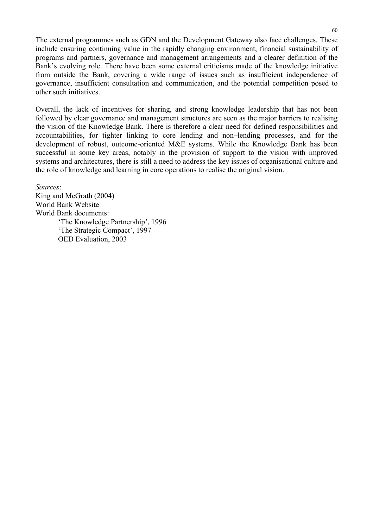The external programmes such as GDN and the Development Gateway also face challenges. These include ensuring continuing value in the rapidly changing environment, financial sustainability of programs and partners, governance and management arrangements and a clearer definition of the Bank's evolving role. There have been some external criticisms made of the knowledge initiative from outside the Bank, covering a wide range of issues such as insufficient independence of governance, insufficient consultation and communication, and the potential competition posed to other such initiatives.

Overall, the lack of incentives for sharing, and strong knowledge leadership that has not been followed by clear governance and management structures are seen as the major barriers to realising the vision of the Knowledge Bank. There is therefore a clear need for defined responsibilities and accountabilities, for tighter linking to core lending and non–lending processes, and for the development of robust, outcome-oriented M&E systems. While the Knowledge Bank has been successful in some key areas, notably in the provision of support to the vision with improved systems and architectures, there is still a need to address the key issues of organisational culture and the role of knowledge and learning in core operations to realise the original vision.

*Sources*: King and McGrath (2004) World Bank Website World Bank documents: 'The Knowledge Partnership', 1996 'The Strategic Compact', 1997 OED Evaluation, 2003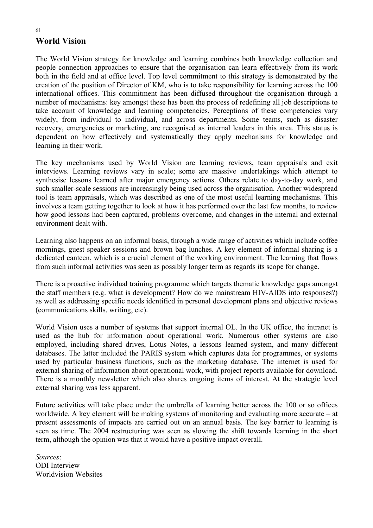# **World Vision**

The World Vision strategy for knowledge and learning combines both knowledge collection and people connection approaches to ensure that the organisation can learn effectively from its work both in the field and at office level. Top level commitment to this strategy is demonstrated by the creation of the position of Director of KM, who is to take responsibility for learning across the 100 international offices. This commitment has been diffused throughout the organisation through a number of mechanisms: key amongst these has been the process of redefining all job descriptions to take account of knowledge and learning competencies. Perceptions of these competencies vary widely, from individual to individual, and across departments. Some teams, such as disaster recovery, emergencies or marketing, are recognised as internal leaders in this area. This status is dependent on how effectively and systematically they apply mechanisms for knowledge and learning in their work.

The key mechanisms used by World Vision are learning reviews, team appraisals and exit interviews. Learning reviews vary in scale; some are massive undertakings which attempt to synthesise lessons learned after major emergency actions. Others relate to day-to-day work, and such smaller-scale sessions are increasingly being used across the organisation. Another widespread tool is team appraisals, which was described as one of the most useful learning mechanisms. This involves a team getting together to look at how it has performed over the last few months, to review how good lessons had been captured, problems overcome, and changes in the internal and external environment dealt with.

Learning also happens on an informal basis, through a wide range of activities which include coffee mornings, guest speaker sessions and brown bag lunches. A key element of informal sharing is a dedicated canteen, which is a crucial element of the working environment. The learning that flows from such informal activities was seen as possibly longer term as regards its scope for change.

There is a proactive individual training programme which targets thematic knowledge gaps amongst the staff members (e.g. what is development? How do we mainstream HIV-AIDS into responses?) as well as addressing specific needs identified in personal development plans and objective reviews (communications skills, writing, etc).

World Vision uses a number of systems that support internal OL. In the UK office, the intranet is used as the hub for information about operational work. Numerous other systems are also employed, including shared drives, Lotus Notes, a lessons learned system, and many different databases. The latter included the PARIS system which captures data for programmes, or systems used by particular business functions, such as the marketing database. The internet is used for external sharing of information about operational work, with project reports available for download. There is a monthly newsletter which also shares ongoing items of interest. At the strategic level external sharing was less apparent.

Future activities will take place under the umbrella of learning better across the 100 or so offices worldwide. A key element will be making systems of monitoring and evaluating more accurate – at present assessments of impacts are carried out on an annual basis. The key barrier to learning is seen as time. The 2004 restructuring was seen as slowing the shift towards learning in the short term, although the opinion was that it would have a positive impact overall.

*Sources*: ODI Interview Worldvision Websites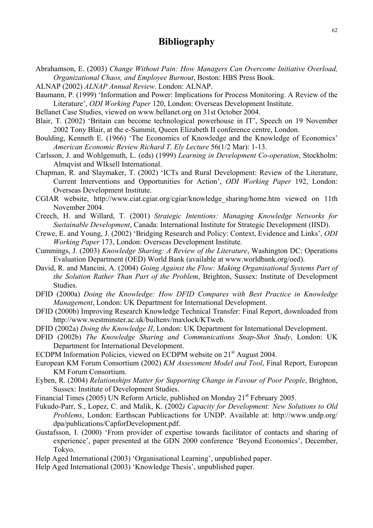## **Bibliography**

- Abrahamson, E. (2003) *Change Without Pain: How Managers Can Overcome Initiative Overload, Organizational Chaos, and Employee Burnout*, Boston: HBS Press Book.
- ALNAP (2002) *ALNAP Annual Review*. London: ALNAP.
- Baumann, P. (1999) 'Information and Power: Implications for Process Monitoring. A Review of the Literature', *ODI Working Paper* 120, London: Overseas Development Institute.
- Bellanet Case Studies, viewed on www.bellanet.org on 31st October 2004.
- Blair, T. (2002) 'Britain can become technological powerhouse in IT', Speech on 19 November 2002 Tony Blair, at the e-Summit, Queen Elizabeth II conference centre, London.
- Boulding, Kenneth E. (1966) 'The Economics of Knowledge and the Knowledge of Economics' *American Economic Review Richard T. Ely Lecture* 56(1/2 Mar): 1-13.
- Carlsson, J. and Wohlgemuth, L. (eds) (1999) *Learning in Development Co-operation*, Stockholm: Almqvist and WIksell International.
- Chapman, R. and Slaymaker, T. (2002) 'ICTs and Rural Development: Review of the Literature, Current Interventions and Opportunities for Action', *ODI Working Paper* 192, London: Overseas Development Institute.
- CGIAR website, http://www.ciat.cgiar.org/cgiar/knowledge\_sharing/home.htm viewed on 11th November 2004.
- Creech, H. and Willard, T. (2001) *Strategic Intentions: Managing Knowledge Networks for Sustainable Development*, Canada: International Institute for Strategic Development (IISD).
- Crewe, E. and Young, J. (2002) 'Bridging Research and Policy: Context, Evidence and Links', *ODI Working Paper* 173, London: Overseas Development Institute.
- Cummings, J. (2003) *Knowledge Sharing: A Review of the Literature*, Washington DC: Operations Evaluation Department (OED) World Bank (available at www.worldbank.org/oed).
- David, R. and Mancini, A. (2004) *Going Against the Flow: Making Organisational Systems Part of the Solution Rather Than Part of the Problem*, Brighton, Sussex: Institute of Development Studies.
- DFID (2000a) *Doing the Knowledge: How DFID Compares with Best Practice in Knowledge Management*, London: UK Department for International Development.
- DFID (2000b) Improving Research Knowledge Technical Transfer: Final Report, downloaded from http://www.westminster.ac.uk/builtenv/maxlock/KTweb.
- DFID (2002a) *Doing the Knowledge II*, London: UK Department for International Development.
- DFID (2002b) *The Knowledge Sharing and Communications Snap-Shot Study*, London: UK Department for International Development.
- ECDPM Information Policies, viewed on ECDPM website on 21<sup>st</sup> August 2004.
- European KM Forum Consortium (2002) *KM Assessment Model and Tool*, Final Report, European KM Forum Consortium.
- Eyben, R. (2004) *Relationships Matter for Supporting Change in Favour of Poor People*, Brighton, Sussex: Institute of Development Studies.
- Financial Times (2005) UN Reform Article, published on Monday 21<sup>st</sup> February 2005.
- Fukudo-Parr, S., Lopez, C. and Malik, K. (2002*) Capacity for Development: New Solutions to Old Problems*, London: Earthscan Publicactions for UNDP. Available at: http://www.undp.org/ dpa/publications/CapforDevelopment.pdf.
- Gustafsson, I. (2000) 'From provider of expertise towards facilitator of contacts and sharing of experience', paper presented at the GDN 2000 conference 'Beyond Economics', December, Tokyo.
- Help Aged International (2003) 'Organisational Learning', unpublished paper.
- Help Aged International (2003) 'Knowledge Thesis', unpublished paper.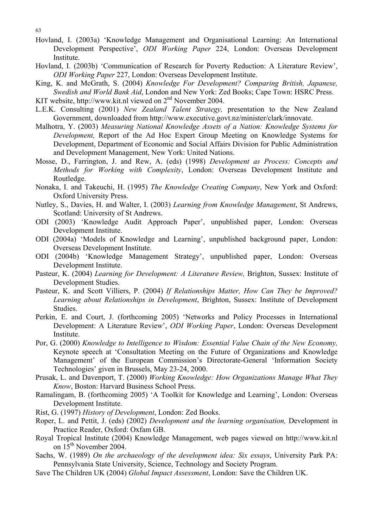63

- Hovland, I. (2003a) 'Knowledge Management and Organisational Learning: An International Development Perspective', *ODI Working Paper* 224, London: Overseas Development Institute.
- Hovland, I. (2003b) 'Communication of Research for Poverty Reduction: A Literature Review', *ODI Working Paper* 227, London: Overseas Development Institute.
- King, K. and McGrath, S. (2004) *Knowledge For Development? Comparing British, Japanese, Swedish and World Bank Aid*, London and New York: Zed Books; Cape Town: HSRC Press.
- KIT website, http://www.kit.nl viewed on 2<sup>nd</sup> November 2004.
- L.E.K. Consulting (2001) *New Zealand Talent Strategy,* presentation to the New Zealand Government, downloaded from http://www.executive.govt.nz/minister/clark/innovate.
- Malhotra, Y. (2003) *Measuring National Knowledge Assets of a Nation: Knowledge Systems for Development,* Report of the Ad Hoc Expert Group Meeting on Knowledge Systems for Development, Department of Economic and Social Affairs Division for Public Administration and Development Management, New York: United Nations.
- Mosse, D., Farrington, J. and Rew, A. (eds) (1998) *Development as Process: Concepts and Methods for Working with Complexity*, London: Overseas Development Institute and Routledge.
- Nonaka, I. and Takeuchi, H. (1995) *The Knowledge Creating Company*, New York and Oxford: Oxford University Press.
- Nutley, S., Davies, H. and Walter, I. (2003) *Learning from Knowledge Management*, St Andrews, Scotland: University of St Andrews.
- ODI (2003) 'Knowledge Audit Approach Paper', unpublished paper, London: Overseas Development Institute.
- ODI (2004a) 'Models of Knowledge and Learning', unpublished background paper, London: Overseas Development Institute.
- ODI (2004b) 'Knowledge Management Strategy', unpublished paper, London: Overseas Development Institute.
- Pasteur, K. (2004) *Learning for Development: A Literature Review,* Brighton, Sussex: Institute of Development Studies.
- Pasteur, K. and Scott Villiers, P. (2004) *If Relationships Matter, How Can They be Improved? Learning about Relationships in Development*, Brighton, Sussex: Institute of Development Studies.
- Perkin, E. and Court, J. (forthcoming 2005) 'Networks and Policy Processes in International Development: A Literature Review', *ODI Working Paper*, London: Overseas Development **Institute**
- Por, G. (2000) *Knowledge to Intelligence to Wisdom: Essential Value Chain of the New Economy,*  Keynote speech at 'Consultation Meeting on the Future of Organizations and Knowledge Management' of the European Commission's Directorate-General 'Information Society Technologies' given in Brussels, May 23-24, 2000.
- Prusak, L. and Davenport, T. (2000) *Working Knowledge: How Organizations Manage What They Know*, Boston: Harvard Business School Press.
- Ramalingam, B. (forthcoming 2005) 'A Toolkit for Knowledge and Learning', London: Overseas Development Institute.
- Rist, G. (1997) *History of Development*, London: Zed Books.
- Roper, L. and Pettit, J. (eds) (2002) *Development and the learning organisation,* Development in Practice Reader, Oxford: Oxfam GB.
- Royal Tropical Institute (2004) Knowledge Management, web pages viewed on http://www.kit.nl on  $15^{th}$  November 2004.
- Sachs, W. (1989) *On the archaeology of the development idea: Six essays*, University Park PA: Pennsylvania State University, Science, Technology and Society Program.
- Save The Children UK (2004) *Global Impact Assessment*, London: Save the Children UK.